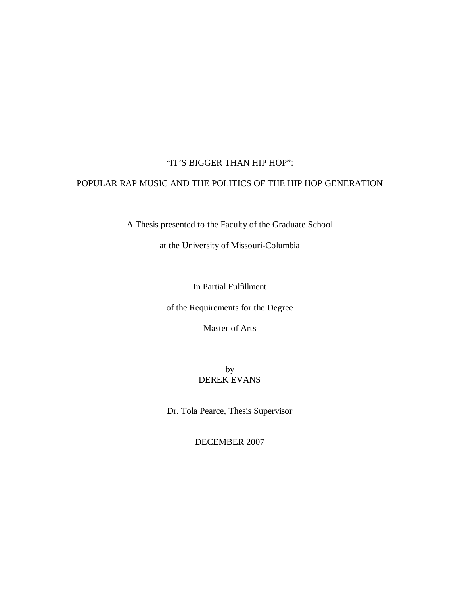# "IT'S BIGGER THAN HIP HOP":

## POPULAR RAP MUSIC AND THE POLITICS OF THE HIP HOP GENERATION

A Thesis presented to the Faculty of the Graduate School

at the University of Missouri-Columbia

In Partial Fulfillment

of the Requirements for the Degree

Master of Arts

by DEREK EVANS

Dr. Tola Pearce, Thesis Supervisor

DECEMBER 2007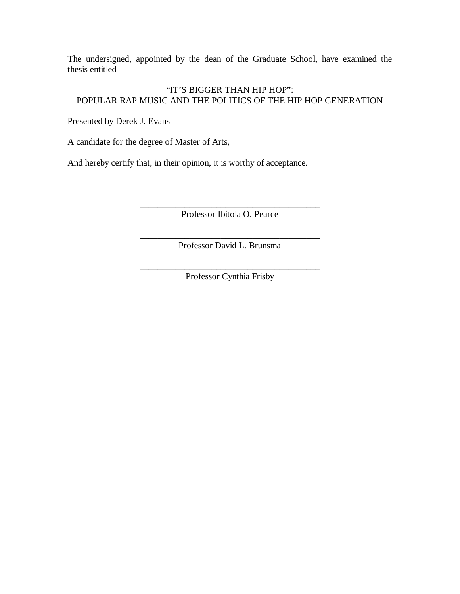The undersigned, appointed by the dean of the Graduate School, have examined the thesis entitled

## "IT'S BIGGER THAN HIP HOP": POPULAR RAP MUSIC AND THE POLITICS OF THE HIP HOP GENERATION

Presented by Derek J. Evans

A candidate for the degree of Master of Arts,

And hereby certify that, in their opinion, it is worthy of acceptance.

\_\_\_\_\_\_\_\_\_\_\_\_\_\_\_\_\_\_\_\_\_\_\_\_\_\_\_\_\_\_\_\_\_\_\_\_\_\_\_\_ Professor Ibitola O. Pearce

\_\_\_\_\_\_\_\_\_\_\_\_\_\_\_\_\_\_\_\_\_\_\_\_\_\_\_\_\_\_\_\_\_\_\_\_\_\_\_\_ Professor David L. Brunsma

\_\_\_\_\_\_\_\_\_\_\_\_\_\_\_\_\_\_\_\_\_\_\_\_\_\_\_\_\_\_\_\_\_\_\_\_\_\_\_\_ Professor Cynthia Frisby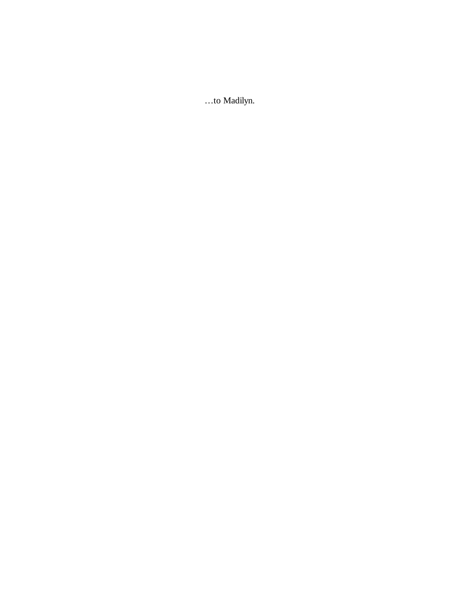…to Madilyn.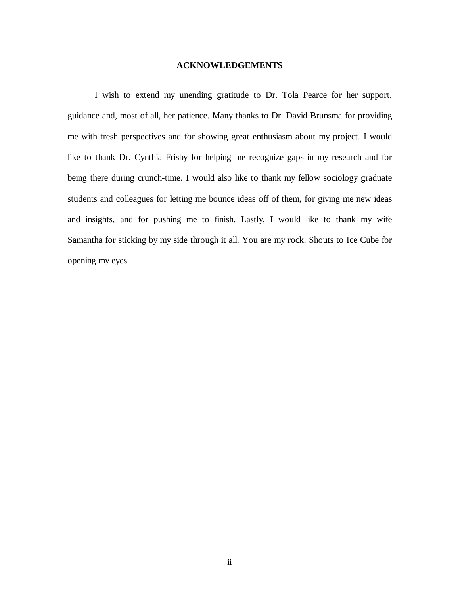### **ACKNOWLEDGEMENTS**

I wish to extend my unending gratitude to Dr. Tola Pearce for her support, guidance and, most of all, her patience. Many thanks to Dr. David Brunsma for providing me with fresh perspectives and for showing great enthusiasm about my project. I would like to thank Dr. Cynthia Frisby for helping me recognize gaps in my research and for being there during crunch-time. I would also like to thank my fellow sociology graduate students and colleagues for letting me bounce ideas off of them, for giving me new ideas and insights, and for pushing me to finish. Lastly, I would like to thank my wife Samantha for sticking by my side through it all. You are my rock. Shouts to Ice Cube for opening my eyes.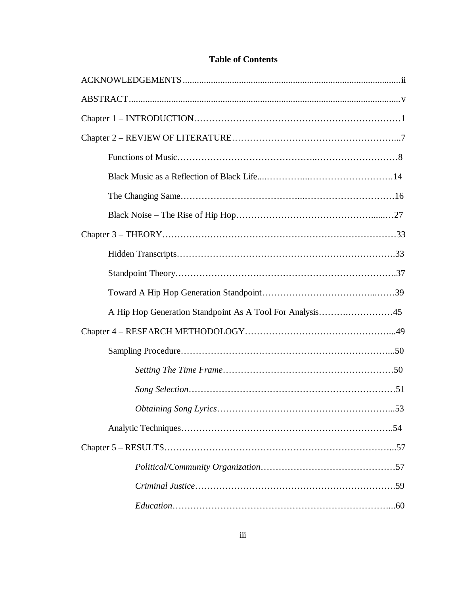| A Hip Hop Generation Standpoint As A Tool For Analysis45 |
|----------------------------------------------------------|
|                                                          |
|                                                          |
|                                                          |
|                                                          |
|                                                          |
|                                                          |
|                                                          |
|                                                          |
|                                                          |
|                                                          |

## **Table of Contents**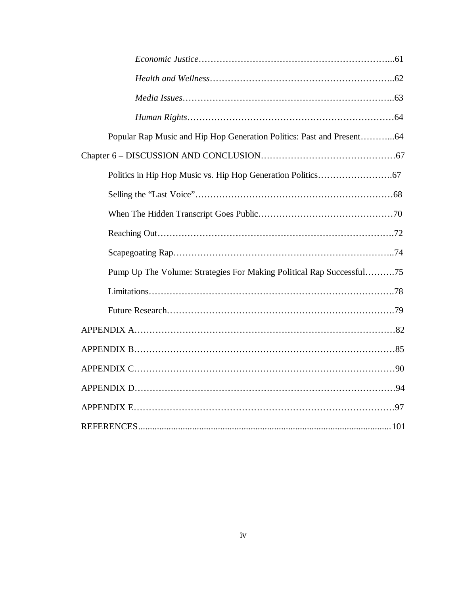| Popular Rap Music and Hip Hop Generation Politics: Past and Present64 |
|-----------------------------------------------------------------------|
|                                                                       |
|                                                                       |
|                                                                       |
|                                                                       |
|                                                                       |
|                                                                       |
| Pump Up The Volume: Strategies For Making Political Rap Successful75  |
|                                                                       |
|                                                                       |
|                                                                       |
|                                                                       |
|                                                                       |
|                                                                       |
|                                                                       |
|                                                                       |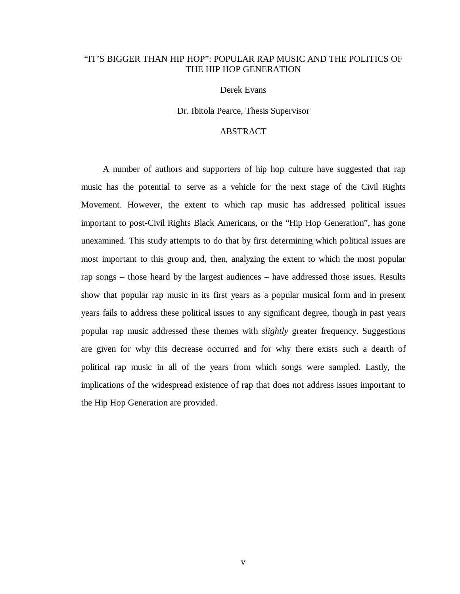## "IT'S BIGGER THAN HIP HOP": POPULAR RAP MUSIC AND THE POLITICS OF THE HIP HOP GENERATION

Derek Evans

Dr. Ibitola Pearce, Thesis Supervisor

### ABSTRACT

A number of authors and supporters of hip hop culture have suggested that rap music has the potential to serve as a vehicle for the next stage of the Civil Rights Movement. However, the extent to which rap music has addressed political issues important to post-Civil Rights Black Americans, or the "Hip Hop Generation", has gone unexamined. This study attempts to do that by first determining which political issues are most important to this group and, then, analyzing the extent to which the most popular rap songs – those heard by the largest audiences – have addressed those issues. Results show that popular rap music in its first years as a popular musical form and in present years fails to address these political issues to any significant degree, though in past years popular rap music addressed these themes with *slightly* greater frequency. Suggestions are given for why this decrease occurred and for why there exists such a dearth of political rap music in all of the years from which songs were sampled. Lastly, the implications of the widespread existence of rap that does not address issues important to the Hip Hop Generation are provided.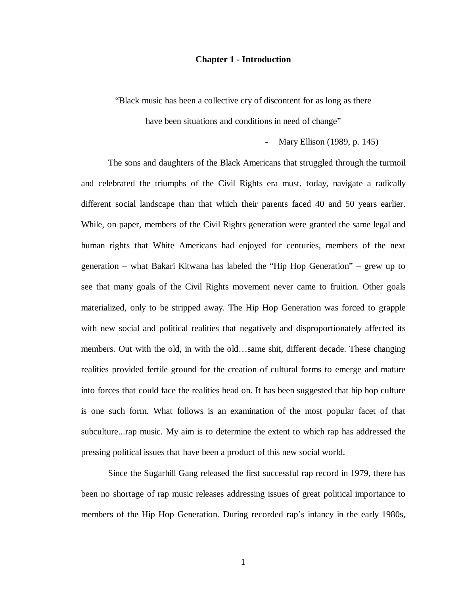#### **Chapter 1 - Introduction**

"Black music has been a collective cry of discontent for as long as there

have been situations and conditions in need of change"

Mary Ellison (1989, p. 145)

The sons and daughters of the Black Americans that struggled through the turmoil and celebrated the triumphs of the Civil Rights era must, today, navigate a radically different social landscape than that which their parents faced 40 and 50 years earlier. While, on paper, members of the Civil Rights generation were granted the same legal and human rights that White Americans had enjoyed for centuries, members of the next generation – what Bakari Kitwana has labeled the "Hip Hop Generation" – grew up to see that many goals of the Civil Rights movement never came to fruition. Other goals materialized, only to be stripped away. The Hip Hop Generation was forced to grapple with new social and political realities that negatively and disproportionately affected its members. Out with the old, in with the old…same shit, different decade. These changing realities provided fertile ground for the creation of cultural forms to emerge and mature into forces that could face the realities head on. It has been suggested that hip hop culture is one such form. What follows is an examination of the most popular facet of that subculture...rap music. My aim is to determine the extent to which rap has addressed the pressing political issues that have been a product of this new social world.

Since the Sugarhill Gang released the first successful rap record in 1979, there has been no shortage of rap music releases addressing issues of great political importance to members of the Hip Hop Generation. During recorded rap's infancy in the early 1980s,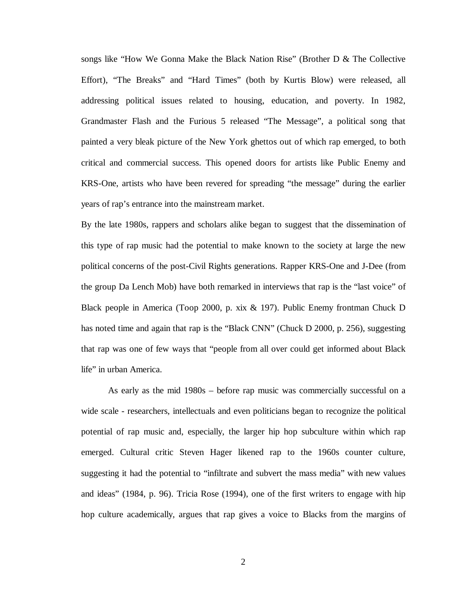songs like "How We Gonna Make the Black Nation Rise" (Brother D & The Collective Effort), "The Breaks" and "Hard Times" (both by Kurtis Blow) were released, all addressing political issues related to housing, education, and poverty. In 1982, Grandmaster Flash and the Furious 5 released "The Message", a political song that painted a very bleak picture of the New York ghettos out of which rap emerged, to both critical and commercial success. This opened doors for artists like Public Enemy and KRS-One, artists who have been revered for spreading "the message" during the earlier years of rap's entrance into the mainstream market.

By the late 1980s, rappers and scholars alike began to suggest that the dissemination of this type of rap music had the potential to make known to the society at large the new political concerns of the post-Civil Rights generations. Rapper KRS-One and J-Dee (from the group Da Lench Mob) have both remarked in interviews that rap is the "last voice" of Black people in America (Toop 2000, p. xix & 197). Public Enemy frontman Chuck D has noted time and again that rap is the "Black CNN" (Chuck D 2000, p. 256), suggesting that rap was one of few ways that "people from all over could get informed about Black life" in urban America.

As early as the mid 1980s – before rap music was commercially successful on a wide scale - researchers, intellectuals and even politicians began to recognize the political potential of rap music and, especially, the larger hip hop subculture within which rap emerged. Cultural critic Steven Hager likened rap to the 1960s counter culture, suggesting it had the potential to "infiltrate and subvert the mass media" with new values and ideas" (1984, p. 96). Tricia Rose (1994), one of the first writers to engage with hip hop culture academically, argues that rap gives a voice to Blacks from the margins of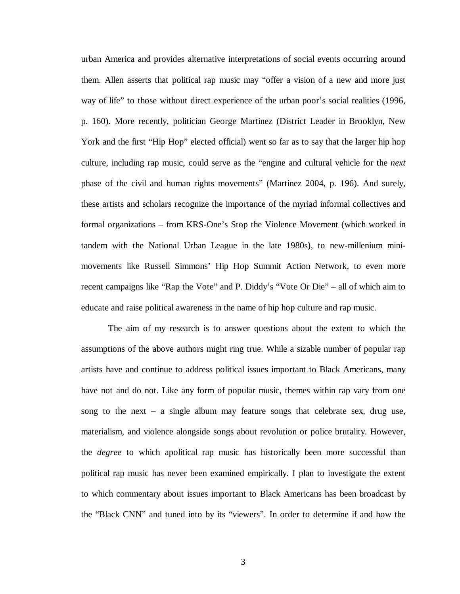urban America and provides alternative interpretations of social events occurring around them. Allen asserts that political rap music may "offer a vision of a new and more just way of life" to those without direct experience of the urban poor's social realities (1996, p. 160). More recently, politician George Martinez (District Leader in Brooklyn, New York and the first "Hip Hop" elected official) went so far as to say that the larger hip hop culture, including rap music, could serve as the "engine and cultural vehicle for the *next* phase of the civil and human rights movements" (Martinez 2004, p. 196). And surely, these artists and scholars recognize the importance of the myriad informal collectives and formal organizations – from KRS-One's Stop the Violence Movement (which worked in tandem with the National Urban League in the late 1980s), to new-millenium minimovements like Russell Simmons' Hip Hop Summit Action Network, to even more recent campaigns like "Rap the Vote" and P. Diddy's "Vote Or Die" – all of which aim to educate and raise political awareness in the name of hip hop culture and rap music.

The aim of my research is to answer questions about the extent to which the assumptions of the above authors might ring true. While a sizable number of popular rap artists have and continue to address political issues important to Black Americans, many have not and do not. Like any form of popular music, themes within rap vary from one song to the next – a single album may feature songs that celebrate sex, drug use, materialism, and violence alongside songs about revolution or police brutality. However, the *degree* to which apolitical rap music has historically been more successful than political rap music has never been examined empirically. I plan to investigate the extent to which commentary about issues important to Black Americans has been broadcast by the "Black CNN" and tuned into by its "viewers". In order to determine if and how the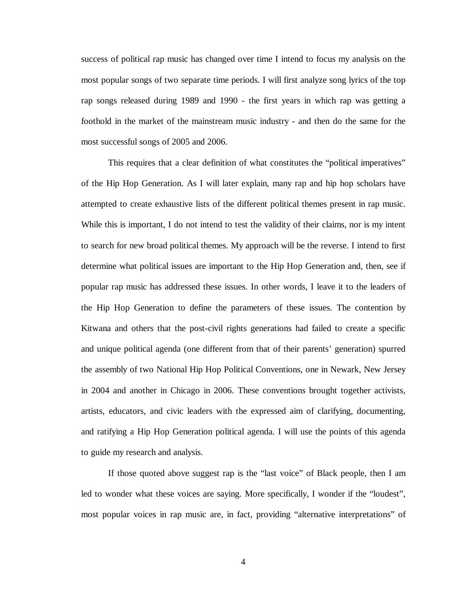success of political rap music has changed over time I intend to focus my analysis on the most popular songs of two separate time periods. I will first analyze song lyrics of the top rap songs released during 1989 and 1990 - the first years in which rap was getting a foothold in the market of the mainstream music industry - and then do the same for the most successful songs of 2005 and 2006.

This requires that a clear definition of what constitutes the "political imperatives" of the Hip Hop Generation. As I will later explain, many rap and hip hop scholars have attempted to create exhaustive lists of the different political themes present in rap music. While this is important, I do not intend to test the validity of their claims, nor is my intent to search for new broad political themes. My approach will be the reverse. I intend to first determine what political issues are important to the Hip Hop Generation and, then, see if popular rap music has addressed these issues. In other words, I leave it to the leaders of the Hip Hop Generation to define the parameters of these issues. The contention by Kitwana and others that the post-civil rights generations had failed to create a specific and unique political agenda (one different from that of their parents' generation) spurred the assembly of two National Hip Hop Political Conventions, one in Newark, New Jersey in 2004 and another in Chicago in 2006. These conventions brought together activists, artists, educators, and civic leaders with the expressed aim of clarifying, documenting, and ratifying a Hip Hop Generation political agenda. I will use the points of this agenda to guide my research and analysis.

If those quoted above suggest rap is the "last voice" of Black people, then I am led to wonder what these voices are saying. More specifically, I wonder if the "loudest", most popular voices in rap music are, in fact, providing "alternative interpretations" of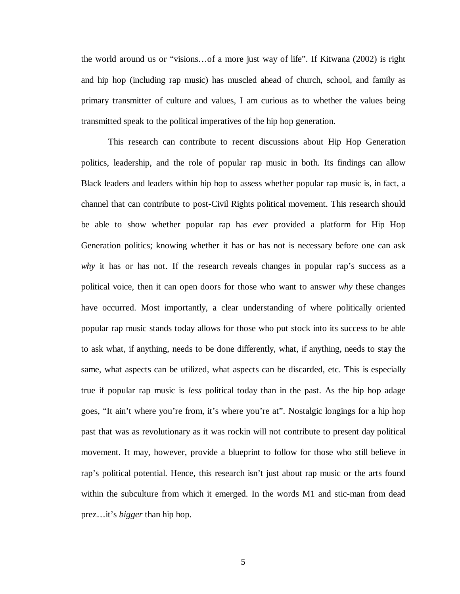the world around us or "visions…of a more just way of life". If Kitwana (2002) is right and hip hop (including rap music) has muscled ahead of church, school, and family as primary transmitter of culture and values, I am curious as to whether the values being transmitted speak to the political imperatives of the hip hop generation.

This research can contribute to recent discussions about Hip Hop Generation politics, leadership, and the role of popular rap music in both. Its findings can allow Black leaders and leaders within hip hop to assess whether popular rap music is, in fact, a channel that can contribute to post-Civil Rights political movement. This research should be able to show whether popular rap has *ever* provided a platform for Hip Hop Generation politics; knowing whether it has or has not is necessary before one can ask *why* it has or has not. If the research reveals changes in popular rap's success as a political voice, then it can open doors for those who want to answer *why* these changes have occurred. Most importantly, a clear understanding of where politically oriented popular rap music stands today allows for those who put stock into its success to be able to ask what, if anything, needs to be done differently, what, if anything, needs to stay the same, what aspects can be utilized, what aspects can be discarded, etc. This is especially true if popular rap music is *less* political today than in the past. As the hip hop adage goes, "It ain't where you're from, it's where you're at". Nostalgic longings for a hip hop past that was as revolutionary as it was rockin will not contribute to present day political movement. It may, however, provide a blueprint to follow for those who still believe in rap's political potential. Hence, this research isn't just about rap music or the arts found within the subculture from which it emerged. In the words M1 and stic-man from dead prez…it's *bigger* than hip hop.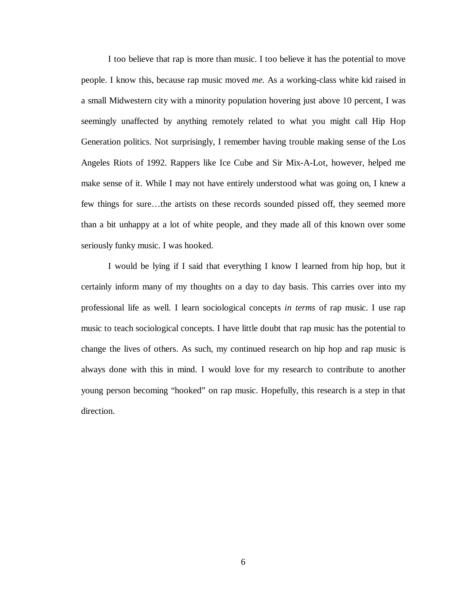I too believe that rap is more than music. I too believe it has the potential to move people. I know this, because rap music moved *me.* As a working-class white kid raised in a small Midwestern city with a minority population hovering just above 10 percent, I was seemingly unaffected by anything remotely related to what you might call Hip Hop Generation politics. Not surprisingly, I remember having trouble making sense of the Los Angeles Riots of 1992. Rappers like Ice Cube and Sir Mix-A-Lot, however, helped me make sense of it. While I may not have entirely understood what was going on, I knew a few things for sure…the artists on these records sounded pissed off, they seemed more than a bit unhappy at a lot of white people, and they made all of this known over some seriously funky music. I was hooked.

I would be lying if I said that everything I know I learned from hip hop, but it certainly inform many of my thoughts on a day to day basis. This carries over into my professional life as well. I learn sociological concepts *in terms* of rap music. I use rap music to teach sociological concepts. I have little doubt that rap music has the potential to change the lives of others. As such, my continued research on hip hop and rap music is always done with this in mind. I would love for my research to contribute to another young person becoming "hooked" on rap music. Hopefully, this research is a step in that direction.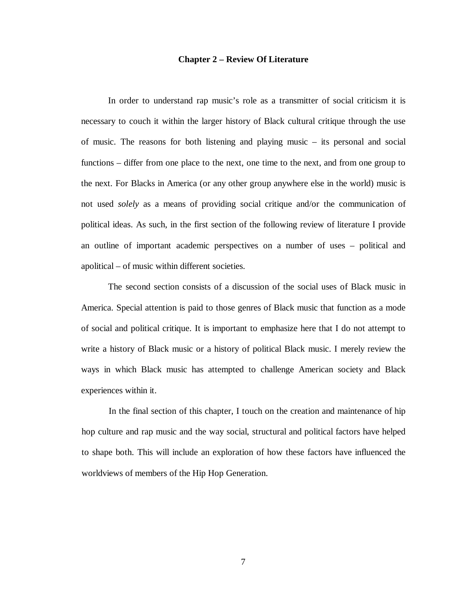### **Chapter 2 – Review Of Literature**

In order to understand rap music's role as a transmitter of social criticism it is necessary to couch it within the larger history of Black cultural critique through the use of music. The reasons for both listening and playing music – its personal and social functions – differ from one place to the next, one time to the next, and from one group to the next. For Blacks in America (or any other group anywhere else in the world) music is not used *solely* as a means of providing social critique and/or the communication of political ideas. As such, in the first section of the following review of literature I provide an outline of important academic perspectives on a number of uses – political and apolitical – of music within different societies.

The second section consists of a discussion of the social uses of Black music in America. Special attention is paid to those genres of Black music that function as a mode of social and political critique. It is important to emphasize here that I do not attempt to write a history of Black music or a history of political Black music. I merely review the ways in which Black music has attempted to challenge American society and Black experiences within it.

In the final section of this chapter, I touch on the creation and maintenance of hip hop culture and rap music and the way social, structural and political factors have helped to shape both. This will include an exploration of how these factors have influenced the worldviews of members of the Hip Hop Generation.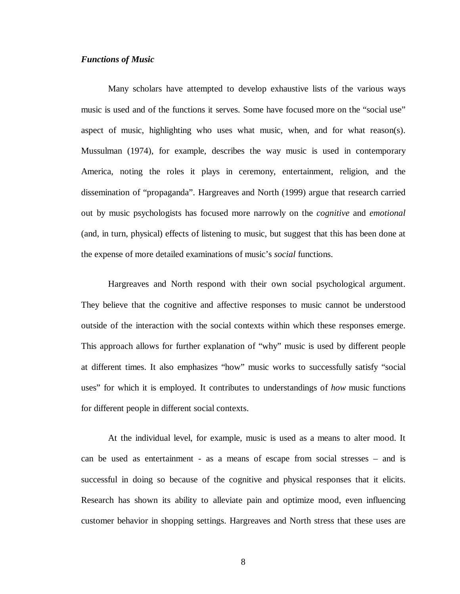## *Functions of Music*

 Many scholars have attempted to develop exhaustive lists of the various ways music is used and of the functions it serves. Some have focused more on the "social use" aspect of music, highlighting who uses what music, when, and for what reason(s). Mussulman (1974), for example, describes the way music is used in contemporary America, noting the roles it plays in ceremony, entertainment, religion, and the dissemination of "propaganda". Hargreaves and North (1999) argue that research carried out by music psychologists has focused more narrowly on the *cognitive* and *emotional* (and, in turn, physical) effects of listening to music, but suggest that this has been done at the expense of more detailed examinations of music's *social* functions.

Hargreaves and North respond with their own social psychological argument. They believe that the cognitive and affective responses to music cannot be understood outside of the interaction with the social contexts within which these responses emerge. This approach allows for further explanation of "why" music is used by different people at different times. It also emphasizes "how" music works to successfully satisfy "social uses" for which it is employed. It contributes to understandings of *how* music functions for different people in different social contexts.

At the individual level, for example, music is used as a means to alter mood. It can be used as entertainment - as a means of escape from social stresses – and is successful in doing so because of the cognitive and physical responses that it elicits. Research has shown its ability to alleviate pain and optimize mood, even influencing customer behavior in shopping settings. Hargreaves and North stress that these uses are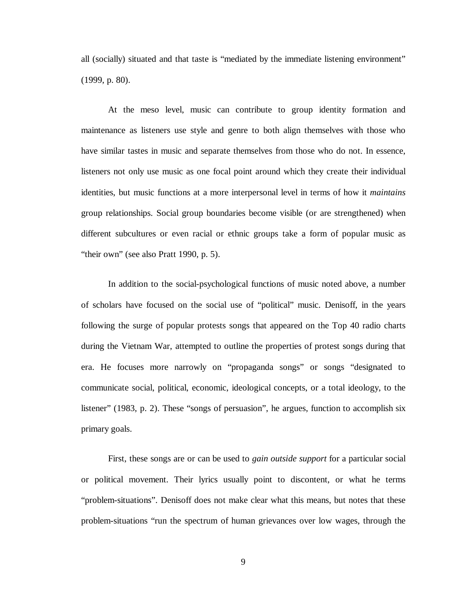all (socially) situated and that taste is "mediated by the immediate listening environment" (1999, p. 80).

At the meso level, music can contribute to group identity formation and maintenance as listeners use style and genre to both align themselves with those who have similar tastes in music and separate themselves from those who do not. In essence, listeners not only use music as one focal point around which they create their individual identities, but music functions at a more interpersonal level in terms of how it *maintains* group relationships. Social group boundaries become visible (or are strengthened) when different subcultures or even racial or ethnic groups take a form of popular music as "their own" (see also Pratt 1990, p. 5).

In addition to the social-psychological functions of music noted above, a number of scholars have focused on the social use of "political" music. Denisoff, in the years following the surge of popular protests songs that appeared on the Top 40 radio charts during the Vietnam War, attempted to outline the properties of protest songs during that era. He focuses more narrowly on "propaganda songs" or songs "designated to communicate social, political, economic, ideological concepts, or a total ideology, to the listener" (1983, p. 2). These "songs of persuasion", he argues, function to accomplish six primary goals.

First, these songs are or can be used to *gain outside support* for a particular social or political movement. Their lyrics usually point to discontent, or what he terms "problem-situations". Denisoff does not make clear what this means, but notes that these problem-situations "run the spectrum of human grievances over low wages, through the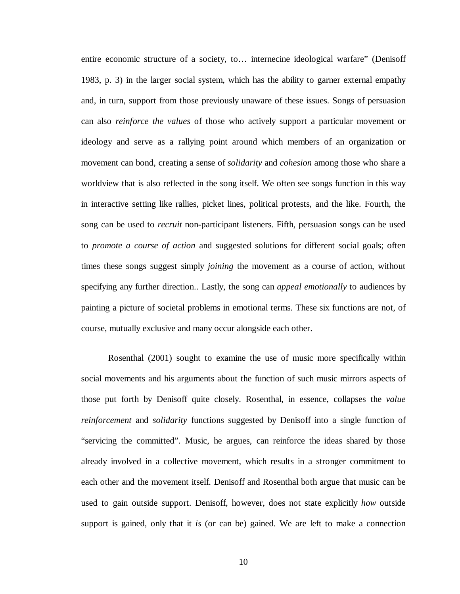entire economic structure of a society, to… internecine ideological warfare" (Denisoff 1983, p. 3) in the larger social system, which has the ability to garner external empathy and, in turn, support from those previously unaware of these issues. Songs of persuasion can also *reinforce the values* of those who actively support a particular movement or ideology and serve as a rallying point around which members of an organization or movement can bond, creating a sense of *solidarity* and *cohesion* among those who share a worldview that is also reflected in the song itself. We often see songs function in this way in interactive setting like rallies, picket lines, political protests, and the like. Fourth, the song can be used to *recruit* non-participant listeners. Fifth, persuasion songs can be used to *promote a course of action* and suggested solutions for different social goals; often times these songs suggest simply *joining* the movement as a course of action, without specifying any further direction.. Lastly, the song can *appeal emotionally* to audiences by painting a picture of societal problems in emotional terms. These six functions are not, of course, mutually exclusive and many occur alongside each other.

Rosenthal (2001) sought to examine the use of music more specifically within social movements and his arguments about the function of such music mirrors aspects of those put forth by Denisoff quite closely. Rosenthal, in essence, collapses the *value reinforcement* and *solidarity* functions suggested by Denisoff into a single function of "servicing the committed". Music, he argues, can reinforce the ideas shared by those already involved in a collective movement, which results in a stronger commitment to each other and the movement itself. Denisoff and Rosenthal both argue that music can be used to gain outside support. Denisoff, however, does not state explicitly *how* outside support is gained, only that it *is* (or can be) gained. We are left to make a connection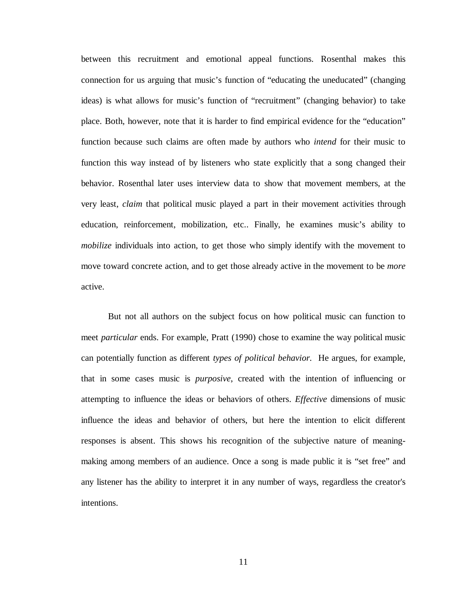between this recruitment and emotional appeal functions. Rosenthal makes this connection for us arguing that music's function of "educating the uneducated" (changing ideas) is what allows for music's function of "recruitment" (changing behavior) to take place. Both, however, note that it is harder to find empirical evidence for the "education" function because such claims are often made by authors who *intend* for their music to function this way instead of by listeners who state explicitly that a song changed their behavior. Rosenthal later uses interview data to show that movement members, at the very least, *claim* that political music played a part in their movement activities through education, reinforcement, mobilization, etc.. Finally, he examines music's ability to *mobilize* individuals into action, to get those who simply identify with the movement to move toward concrete action, and to get those already active in the movement to be *more* active.

 But not all authors on the subject focus on how political music can function to meet *particular* ends. For example, Pratt (1990) chose to examine the way political music can potentially function as different *types of political behavior.* He argues, for example, that in some cases music is *purposive*, created with the intention of influencing or attempting to influence the ideas or behaviors of others. *Effective* dimensions of music influence the ideas and behavior of others, but here the intention to elicit different responses is absent. This shows his recognition of the subjective nature of meaningmaking among members of an audience. Once a song is made public it is "set free" and any listener has the ability to interpret it in any number of ways, regardless the creator's intentions.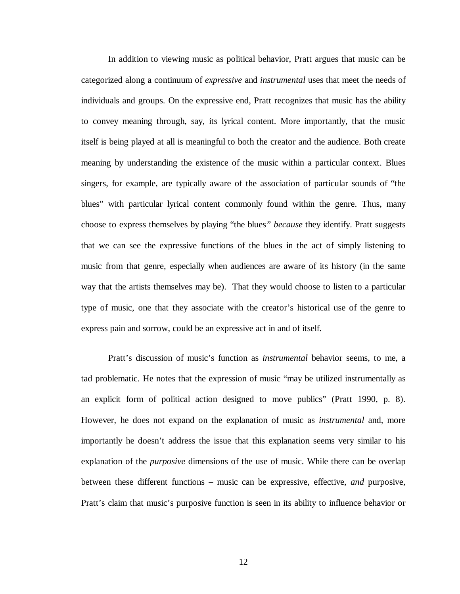In addition to viewing music as political behavior, Pratt argues that music can be categorized along a continuum of *expressive* and *instrumental* uses that meet the needs of individuals and groups. On the expressive end, Pratt recognizes that music has the ability to convey meaning through, say, its lyrical content. More importantly, that the music itself is being played at all is meaningful to both the creator and the audience. Both create meaning by understanding the existence of the music within a particular context. Blues singers, for example, are typically aware of the association of particular sounds of "the blues" with particular lyrical content commonly found within the genre. Thus, many choose to express themselves by playing "the blues*" because* they identify. Pratt suggests that we can see the expressive functions of the blues in the act of simply listening to music from that genre, especially when audiences are aware of its history (in the same way that the artists themselves may be). That they would choose to listen to a particular type of music, one that they associate with the creator's historical use of the genre to express pain and sorrow, could be an expressive act in and of itself.

Pratt's discussion of music's function as *instrumental* behavior seems, to me, a tad problematic. He notes that the expression of music "may be utilized instrumentally as an explicit form of political action designed to move publics" (Pratt 1990, p. 8). However, he does not expand on the explanation of music as *instrumental* and, more importantly he doesn't address the issue that this explanation seems very similar to his explanation of the *purposive* dimensions of the use of music. While there can be overlap between these different functions – music can be expressive, effective, *and* purposive, Pratt's claim that music's purposive function is seen in its ability to influence behavior or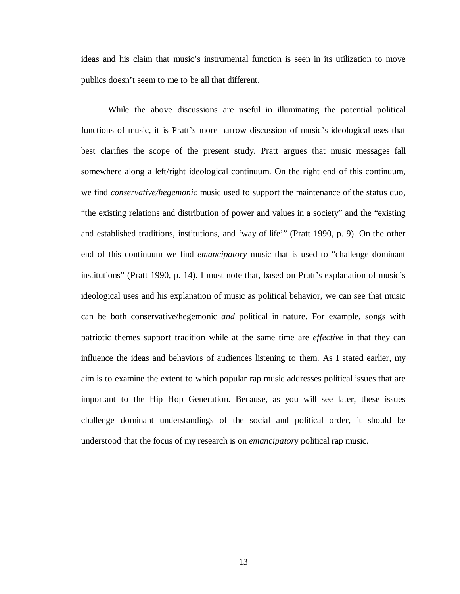ideas and his claim that music's instrumental function is seen in its utilization to move publics doesn't seem to me to be all that different.

 While the above discussions are useful in illuminating the potential political functions of music, it is Pratt's more narrow discussion of music's ideological uses that best clarifies the scope of the present study. Pratt argues that music messages fall somewhere along a left/right ideological continuum. On the right end of this continuum, we find *conservative/hegemonic* music used to support the maintenance of the status quo, "the existing relations and distribution of power and values in a society" and the "existing and established traditions, institutions, and 'way of life'" (Pratt 1990, p. 9). On the other end of this continuum we find *emancipatory* music that is used to "challenge dominant institutions" (Pratt 1990, p. 14). I must note that, based on Pratt's explanation of music's ideological uses and his explanation of music as political behavior, we can see that music can be both conservative/hegemonic *and* political in nature. For example, songs with patriotic themes support tradition while at the same time are *effective* in that they can influence the ideas and behaviors of audiences listening to them. As I stated earlier, my aim is to examine the extent to which popular rap music addresses political issues that are important to the Hip Hop Generation. Because, as you will see later, these issues challenge dominant understandings of the social and political order, it should be understood that the focus of my research is on *emancipatory* political rap music.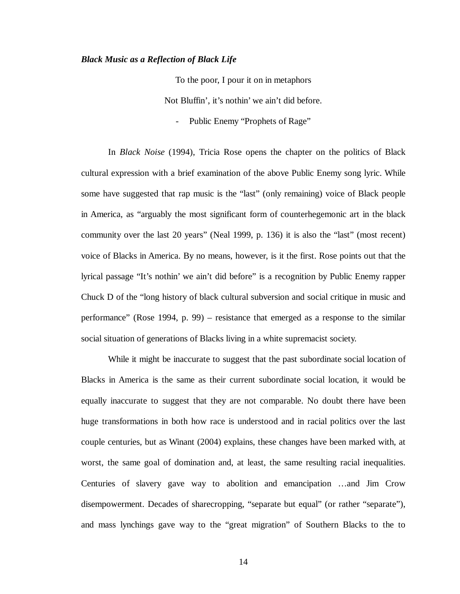#### *Black Music as a Reflection of Black Life*

To the poor, I pour it on in metaphors Not Bluffin', it's nothin' we ain't did before.

Public Enemy "Prophets of Rage"

 In *Black Noise* (1994), Tricia Rose opens the chapter on the politics of Black cultural expression with a brief examination of the above Public Enemy song lyric. While some have suggested that rap music is the "last" (only remaining) voice of Black people in America, as "arguably the most significant form of counterhegemonic art in the black community over the last 20 years" (Neal 1999, p. 136) it is also the "last" (most recent) voice of Blacks in America. By no means, however, is it the first. Rose points out that the lyrical passage "It's nothin' we ain't did before" is a recognition by Public Enemy rapper Chuck D of the "long history of black cultural subversion and social critique in music and performance" (Rose 1994, p. 99) – resistance that emerged as a response to the similar social situation of generations of Blacks living in a white supremacist society.

While it might be inaccurate to suggest that the past subordinate social location of Blacks in America is the same as their current subordinate social location, it would be equally inaccurate to suggest that they are not comparable. No doubt there have been huge transformations in both how race is understood and in racial politics over the last couple centuries, but as Winant (2004) explains, these changes have been marked with, at worst, the same goal of domination and, at least, the same resulting racial inequalities. Centuries of slavery gave way to abolition and emancipation …and Jim Crow disempowerment. Decades of sharecropping, "separate but equal" (or rather "separate"), and mass lynchings gave way to the "great migration" of Southern Blacks to the to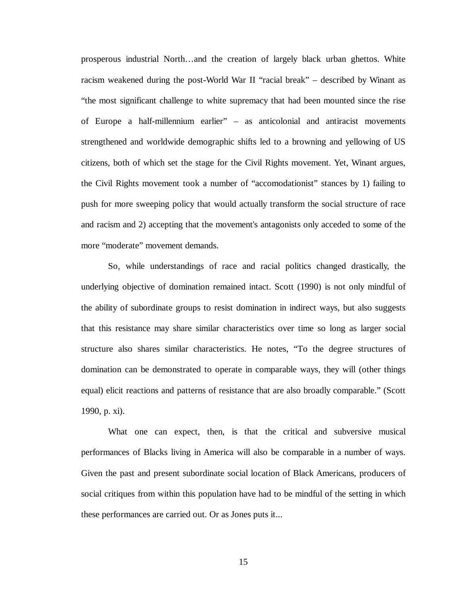prosperous industrial North…and the creation of largely black urban ghettos. White racism weakened during the post-World War II "racial break" – described by Winant as "the most significant challenge to white supremacy that had been mounted since the rise of Europe a half-millennium earlier" – as anticolonial and antiracist movements strengthened and worldwide demographic shifts led to a browning and yellowing of US citizens, both of which set the stage for the Civil Rights movement. Yet, Winant argues, the Civil Rights movement took a number of "accomodationist" stances by 1) failing to push for more sweeping policy that would actually transform the social structure of race and racism and 2) accepting that the movement's antagonists only acceded to some of the more "moderate" movement demands.

So, while understandings of race and racial politics changed drastically, the underlying objective of domination remained intact. Scott (1990) is not only mindful of the ability of subordinate groups to resist domination in indirect ways, but also suggests that this resistance may share similar characteristics over time so long as larger social structure also shares similar characteristics. He notes, "To the degree structures of domination can be demonstrated to operate in comparable ways, they will (other things equal) elicit reactions and patterns of resistance that are also broadly comparable." (Scott 1990, p. xi).

What one can expect, then, is that the critical and subversive musical performances of Blacks living in America will also be comparable in a number of ways. Given the past and present subordinate social location of Black Americans, producers of social critiques from within this population have had to be mindful of the setting in which these performances are carried out. Or as Jones puts it...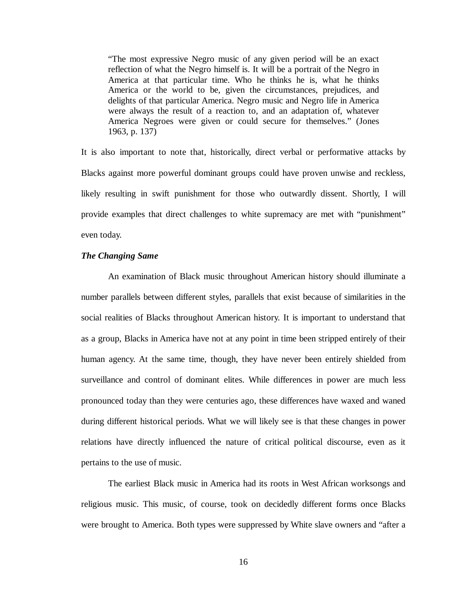"The most expressive Negro music of any given period will be an exact reflection of what the Negro himself is. It will be a portrait of the Negro in America at that particular time. Who he thinks he is, what he thinks America or the world to be, given the circumstances, prejudices, and delights of that particular America. Negro music and Negro life in America were always the result of a reaction to, and an adaptation of, whatever America Negroes were given or could secure for themselves." (Jones 1963, p. 137)

It is also important to note that, historically, direct verbal or performative attacks by Blacks against more powerful dominant groups could have proven unwise and reckless, likely resulting in swift punishment for those who outwardly dissent. Shortly, I will provide examples that direct challenges to white supremacy are met with "punishment" even today.

## *The Changing Same*

 An examination of Black music throughout American history should illuminate a number parallels between different styles, parallels that exist because of similarities in the social realities of Blacks throughout American history. It is important to understand that as a group, Blacks in America have not at any point in time been stripped entirely of their human agency. At the same time, though, they have never been entirely shielded from surveillance and control of dominant elites. While differences in power are much less pronounced today than they were centuries ago, these differences have waxed and waned during different historical periods. What we will likely see is that these changes in power relations have directly influenced the nature of critical political discourse, even as it pertains to the use of music.

 The earliest Black music in America had its roots in West African worksongs and religious music. This music, of course, took on decidedly different forms once Blacks were brought to America. Both types were suppressed by White slave owners and "after a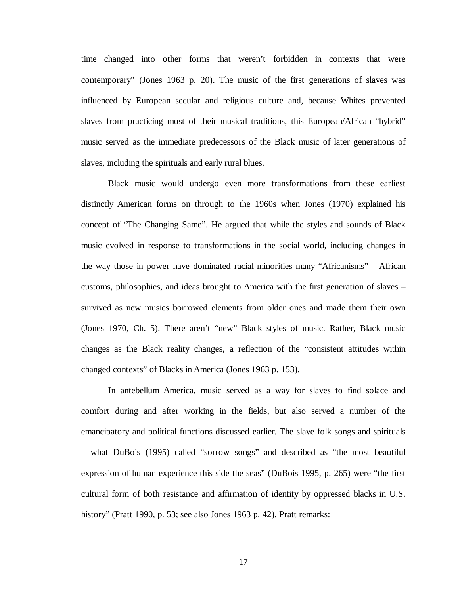time changed into other forms that weren't forbidden in contexts that were contemporary" (Jones 1963 p. 20). The music of the first generations of slaves was influenced by European secular and religious culture and, because Whites prevented slaves from practicing most of their musical traditions, this European/African "hybrid" music served as the immediate predecessors of the Black music of later generations of slaves, including the spirituals and early rural blues.

Black music would undergo even more transformations from these earliest distinctly American forms on through to the 1960s when Jones (1970) explained his concept of "The Changing Same". He argued that while the styles and sounds of Black music evolved in response to transformations in the social world, including changes in the way those in power have dominated racial minorities many "Africanisms" – African customs, philosophies, and ideas brought to America with the first generation of slaves – survived as new musics borrowed elements from older ones and made them their own (Jones 1970, Ch. 5). There aren't "new" Black styles of music. Rather, Black music changes as the Black reality changes, a reflection of the "consistent attitudes within changed contexts" of Blacks in America (Jones 1963 p. 153).

In antebellum America, music served as a way for slaves to find solace and comfort during and after working in the fields, but also served a number of the emancipatory and political functions discussed earlier. The slave folk songs and spirituals – what DuBois (1995) called "sorrow songs" and described as "the most beautiful expression of human experience this side the seas" (DuBois 1995, p. 265) were "the first cultural form of both resistance and affirmation of identity by oppressed blacks in U.S. history" (Pratt 1990, p. 53; see also Jones 1963 p. 42). Pratt remarks: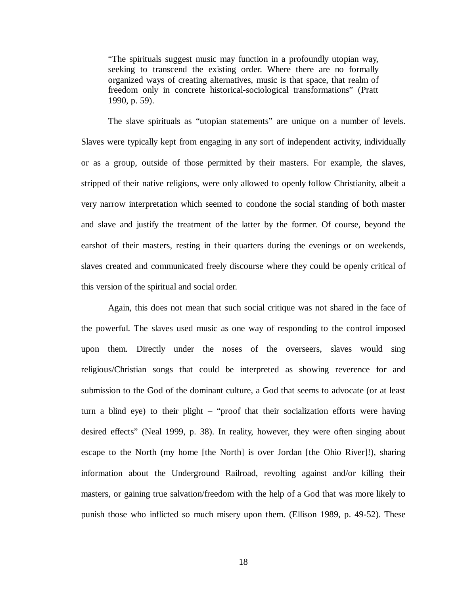"The spirituals suggest music may function in a profoundly utopian way, seeking to transcend the existing order. Where there are no formally organized ways of creating alternatives, music is that space, that realm of freedom only in concrete historical-sociological transformations" (Pratt 1990, p. 59).

The slave spirituals as "utopian statements" are unique on a number of levels. Slaves were typically kept from engaging in any sort of independent activity, individually or as a group, outside of those permitted by their masters. For example, the slaves, stripped of their native religions, were only allowed to openly follow Christianity, albeit a very narrow interpretation which seemed to condone the social standing of both master and slave and justify the treatment of the latter by the former. Of course, beyond the earshot of their masters, resting in their quarters during the evenings or on weekends, slaves created and communicated freely discourse where they could be openly critical of this version of the spiritual and social order.

Again, this does not mean that such social critique was not shared in the face of the powerful. The slaves used music as one way of responding to the control imposed upon them. Directly under the noses of the overseers, slaves would sing religious/Christian songs that could be interpreted as showing reverence for and submission to the God of the dominant culture, a God that seems to advocate (or at least turn a blind eye) to their plight – "proof that their socialization efforts were having desired effects" (Neal 1999, p. 38). In reality, however, they were often singing about escape to the North (my home [the North] is over Jordan [the Ohio River]!), sharing information about the Underground Railroad, revolting against and/or killing their masters, or gaining true salvation/freedom with the help of a God that was more likely to punish those who inflicted so much misery upon them. (Ellison 1989, p. 49-52). These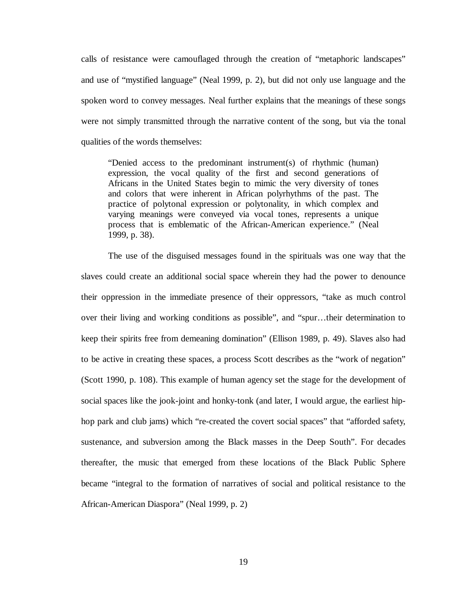calls of resistance were camouflaged through the creation of "metaphoric landscapes" and use of "mystified language" (Neal 1999, p. 2), but did not only use language and the spoken word to convey messages. Neal further explains that the meanings of these songs were not simply transmitted through the narrative content of the song, but via the tonal qualities of the words themselves:

"Denied access to the predominant instrument(s) of rhythmic (human) expression, the vocal quality of the first and second generations of Africans in the United States begin to mimic the very diversity of tones and colors that were inherent in African polyrhythms of the past. The practice of polytonal expression or polytonality, in which complex and varying meanings were conveyed via vocal tones, represents a unique process that is emblematic of the African-American experience." (Neal 1999, p. 38).

The use of the disguised messages found in the spirituals was one way that the slaves could create an additional social space wherein they had the power to denounce their oppression in the immediate presence of their oppressors, "take as much control over their living and working conditions as possible", and "spur…their determination to keep their spirits free from demeaning domination" (Ellison 1989, p. 49). Slaves also had to be active in creating these spaces, a process Scott describes as the "work of negation" (Scott 1990, p. 108). This example of human agency set the stage for the development of social spaces like the jook-joint and honky-tonk (and later, I would argue, the earliest hiphop park and club jams) which "re-created the covert social spaces" that "afforded safety, sustenance, and subversion among the Black masses in the Deep South". For decades thereafter, the music that emerged from these locations of the Black Public Sphere became "integral to the formation of narratives of social and political resistance to the African-American Diaspora" (Neal 1999, p. 2)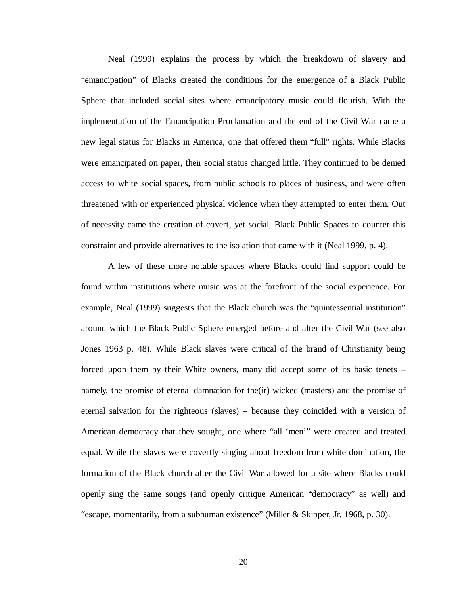Neal (1999) explains the process by which the breakdown of slavery and "emancipation" of Blacks created the conditions for the emergence of a Black Public Sphere that included social sites where emancipatory music could flourish. With the implementation of the Emancipation Proclamation and the end of the Civil War came a new legal status for Blacks in America, one that offered them "full" rights. While Blacks were emancipated on paper, their social status changed little. They continued to be denied access to white social spaces, from public schools to places of business, and were often threatened with or experienced physical violence when they attempted to enter them. Out of necessity came the creation of covert, yet social, Black Public Spaces to counter this constraint and provide alternatives to the isolation that came with it (Neal 1999, p. 4).

A few of these more notable spaces where Blacks could find support could be found within institutions where music was at the forefront of the social experience. For example, Neal (1999) suggests that the Black church was the "quintessential institution" around which the Black Public Sphere emerged before and after the Civil War (see also Jones 1963 p. 48). While Black slaves were critical of the brand of Christianity being forced upon them by their White owners, many did accept some of its basic tenets – namely, the promise of eternal damnation for the(ir) wicked (masters) and the promise of eternal salvation for the righteous (slaves) – because they coincided with a version of American democracy that they sought, one where "all 'men'" were created and treated equal. While the slaves were covertly singing about freedom from white domination, the formation of the Black church after the Civil War allowed for a site where Blacks could openly sing the same songs (and openly critique American "democracy" as well) and "escape, momentarily, from a subhuman existence" (Miller & Skipper, Jr. 1968, p. 30).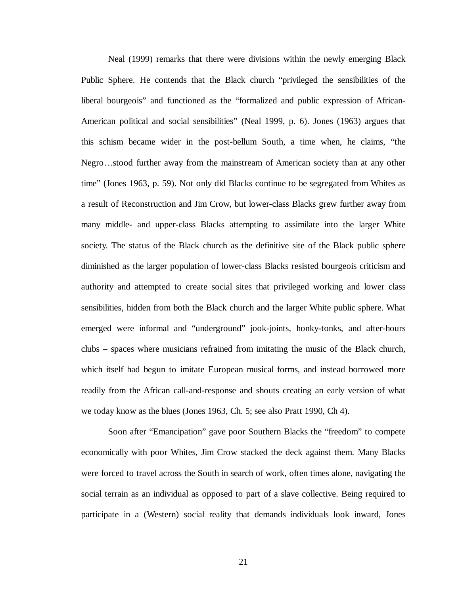Neal (1999) remarks that there were divisions within the newly emerging Black Public Sphere. He contends that the Black church "privileged the sensibilities of the liberal bourgeois" and functioned as the "formalized and public expression of African-American political and social sensibilities" (Neal 1999, p. 6). Jones (1963) argues that this schism became wider in the post-bellum South, a time when, he claims, "the Negro…stood further away from the mainstream of American society than at any other time" (Jones 1963, p. 59). Not only did Blacks continue to be segregated from Whites as a result of Reconstruction and Jim Crow, but lower-class Blacks grew further away from many middle- and upper-class Blacks attempting to assimilate into the larger White society. The status of the Black church as the definitive site of the Black public sphere diminished as the larger population of lower-class Blacks resisted bourgeois criticism and authority and attempted to create social sites that privileged working and lower class sensibilities, hidden from both the Black church and the larger White public sphere. What emerged were informal and "underground" jook-joints, honky-tonks, and after-hours clubs – spaces where musicians refrained from imitating the music of the Black church, which itself had begun to imitate European musical forms, and instead borrowed more readily from the African call-and-response and shouts creating an early version of what we today know as the blues (Jones 1963, Ch. 5; see also Pratt 1990, Ch 4).

 Soon after "Emancipation" gave poor Southern Blacks the "freedom" to compete economically with poor Whites, Jim Crow stacked the deck against them. Many Blacks were forced to travel across the South in search of work, often times alone, navigating the social terrain as an individual as opposed to part of a slave collective. Being required to participate in a (Western) social reality that demands individuals look inward, Jones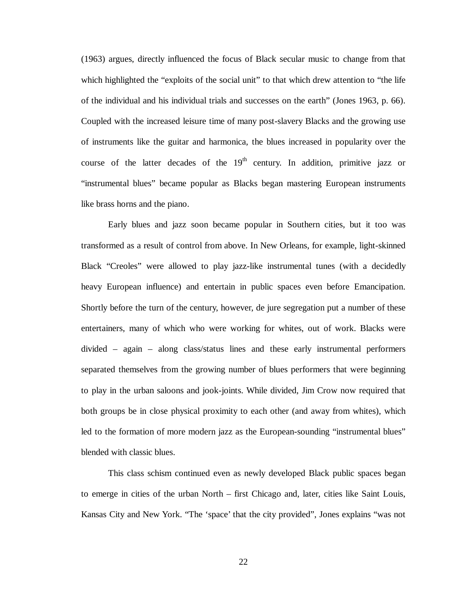(1963) argues, directly influenced the focus of Black secular music to change from that which highlighted the "exploits of the social unit" to that which drew attention to "the life of the individual and his individual trials and successes on the earth" (Jones 1963, p. 66). Coupled with the increased leisure time of many post-slavery Blacks and the growing use of instruments like the guitar and harmonica, the blues increased in popularity over the course of the latter decades of the  $19<sup>th</sup>$  century. In addition, primitive jazz or "instrumental blues" became popular as Blacks began mastering European instruments like brass horns and the piano.

Early blues and jazz soon became popular in Southern cities, but it too was transformed as a result of control from above. In New Orleans, for example, light-skinned Black "Creoles" were allowed to play jazz-like instrumental tunes (with a decidedly heavy European influence) and entertain in public spaces even before Emancipation. Shortly before the turn of the century, however, de jure segregation put a number of these entertainers, many of which who were working for whites, out of work. Blacks were divided – again – along class/status lines and these early instrumental performers separated themselves from the growing number of blues performers that were beginning to play in the urban saloons and jook-joints. While divided, Jim Crow now required that both groups be in close physical proximity to each other (and away from whites), which led to the formation of more modern jazz as the European-sounding "instrumental blues" blended with classic blues.

This class schism continued even as newly developed Black public spaces began to emerge in cities of the urban North – first Chicago and, later, cities like Saint Louis, Kansas City and New York. "The 'space' that the city provided", Jones explains "was not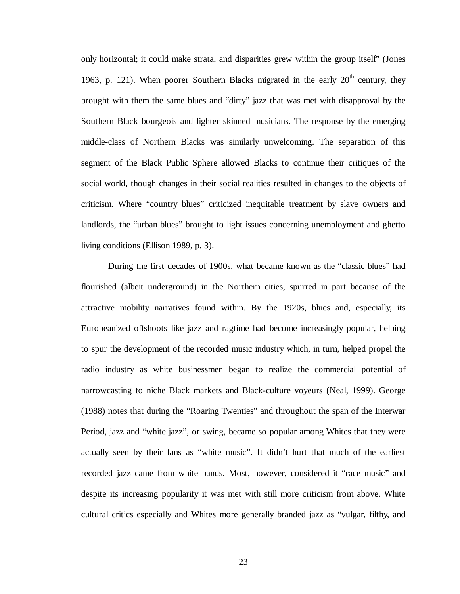only horizontal; it could make strata, and disparities grew within the group itself" (Jones 1963, p. 121). When poorer Southern Blacks migrated in the early  $20<sup>th</sup>$  century, they brought with them the same blues and "dirty" jazz that was met with disapproval by the Southern Black bourgeois and lighter skinned musicians. The response by the emerging middle-class of Northern Blacks was similarly unwelcoming. The separation of this segment of the Black Public Sphere allowed Blacks to continue their critiques of the social world, though changes in their social realities resulted in changes to the objects of criticism. Where "country blues" criticized inequitable treatment by slave owners and landlords, the "urban blues" brought to light issues concerning unemployment and ghetto living conditions (Ellison 1989, p. 3).

During the first decades of 1900s, what became known as the "classic blues" had flourished (albeit underground) in the Northern cities, spurred in part because of the attractive mobility narratives found within. By the 1920s, blues and, especially, its Europeanized offshoots like jazz and ragtime had become increasingly popular, helping to spur the development of the recorded music industry which, in turn, helped propel the radio industry as white businessmen began to realize the commercial potential of narrowcasting to niche Black markets and Black-culture voyeurs (Neal, 1999). George (1988) notes that during the "Roaring Twenties" and throughout the span of the Interwar Period, jazz and "white jazz", or swing, became so popular among Whites that they were actually seen by their fans as "white music". It didn't hurt that much of the earliest recorded jazz came from white bands. Most, however, considered it "race music" and despite its increasing popularity it was met with still more criticism from above. White cultural critics especially and Whites more generally branded jazz as "vulgar, filthy, and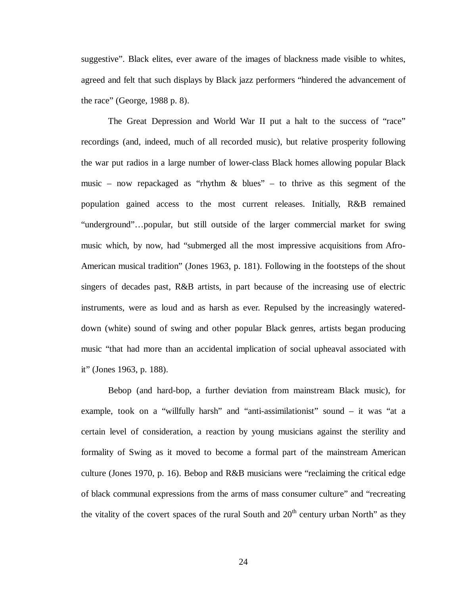suggestive". Black elites, ever aware of the images of blackness made visible to whites, agreed and felt that such displays by Black jazz performers "hindered the advancement of the race" (George, 1988 p. 8).

The Great Depression and World War II put a halt to the success of "race" recordings (and, indeed, much of all recorded music), but relative prosperity following the war put radios in a large number of lower-class Black homes allowing popular Black music – now repackaged as "rhythm  $\&$  blues" – to thrive as this segment of the population gained access to the most current releases. Initially, R&B remained "underground"…popular, but still outside of the larger commercial market for swing music which, by now, had "submerged all the most impressive acquisitions from Afro-American musical tradition" (Jones 1963, p. 181). Following in the footsteps of the shout singers of decades past, R&B artists, in part because of the increasing use of electric instruments, were as loud and as harsh as ever. Repulsed by the increasingly watereddown (white) sound of swing and other popular Black genres, artists began producing music "that had more than an accidental implication of social upheaval associated with it" (Jones 1963, p. 188).

Bebop (and hard-bop, a further deviation from mainstream Black music), for example, took on a "willfully harsh" and "anti-assimilationist" sound – it was "at a certain level of consideration, a reaction by young musicians against the sterility and formality of Swing as it moved to become a formal part of the mainstream American culture (Jones 1970, p. 16). Bebop and R&B musicians were "reclaiming the critical edge of black communal expressions from the arms of mass consumer culture" and "recreating the vitality of the covert spaces of the rural South and  $20<sup>th</sup>$  century urban North" as they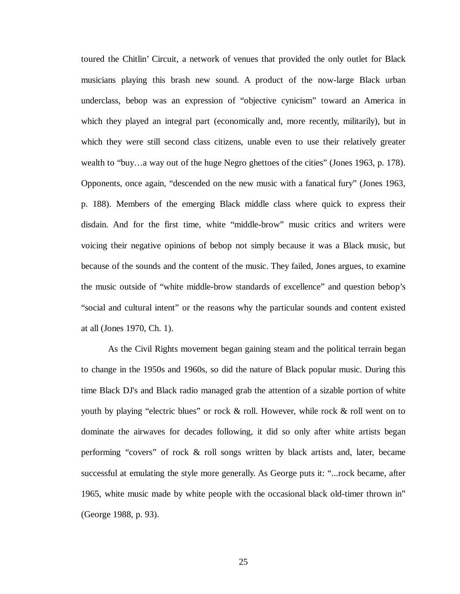toured the Chitlin' Circuit, a network of venues that provided the only outlet for Black musicians playing this brash new sound. A product of the now-large Black urban underclass, bebop was an expression of "objective cynicism" toward an America in which they played an integral part (economically and, more recently, militarily), but in which they were still second class citizens, unable even to use their relatively greater wealth to "buy…a way out of the huge Negro ghettoes of the cities" (Jones 1963, p. 178). Opponents, once again, "descended on the new music with a fanatical fury" (Jones 1963, p. 188). Members of the emerging Black middle class where quick to express their disdain. And for the first time, white "middle-brow" music critics and writers were voicing their negative opinions of bebop not simply because it was a Black music, but because of the sounds and the content of the music. They failed, Jones argues, to examine the music outside of "white middle-brow standards of excellence" and question bebop's "social and cultural intent" or the reasons why the particular sounds and content existed at all (Jones 1970, Ch. 1).

 As the Civil Rights movement began gaining steam and the political terrain began to change in the 1950s and 1960s, so did the nature of Black popular music. During this time Black DJ's and Black radio managed grab the attention of a sizable portion of white youth by playing "electric blues" or rock & roll. However, while rock & roll went on to dominate the airwaves for decades following, it did so only after white artists began performing "covers" of rock & roll songs written by black artists and, later, became successful at emulating the style more generally. As George puts it: "...rock became, after 1965, white music made by white people with the occasional black old-timer thrown in" (George 1988, p. 93).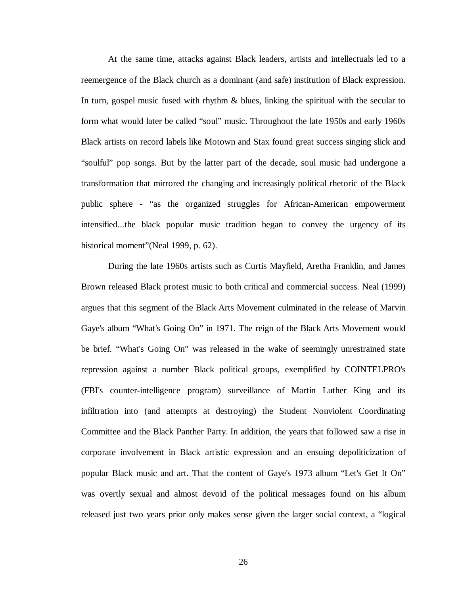At the same time, attacks against Black leaders, artists and intellectuals led to a reemergence of the Black church as a dominant (and safe) institution of Black expression. In turn, gospel music fused with rhythm & blues, linking the spiritual with the secular to form what would later be called "soul" music. Throughout the late 1950s and early 1960s Black artists on record labels like Motown and Stax found great success singing slick and "soulful" pop songs. But by the latter part of the decade, soul music had undergone a transformation that mirrored the changing and increasingly political rhetoric of the Black public sphere - "as the organized struggles for African-American empowerment intensified...the black popular music tradition began to convey the urgency of its historical moment" (Neal 1999, p. 62).

 During the late 1960s artists such as Curtis Mayfield, Aretha Franklin, and James Brown released Black protest music to both critical and commercial success. Neal (1999) argues that this segment of the Black Arts Movement culminated in the release of Marvin Gaye's album "What's Going On" in 1971. The reign of the Black Arts Movement would be brief. "What's Going On" was released in the wake of seemingly unrestrained state repression against a number Black political groups, exemplified by COINTELPRO's (FBI's counter-intelligence program) surveillance of Martin Luther King and its infiltration into (and attempts at destroying) the Student Nonviolent Coordinating Committee and the Black Panther Party. In addition, the years that followed saw a rise in corporate involvement in Black artistic expression and an ensuing depoliticization of popular Black music and art. That the content of Gaye's 1973 album "Let's Get It On" was overtly sexual and almost devoid of the political messages found on his album released just two years prior only makes sense given the larger social context, a "logical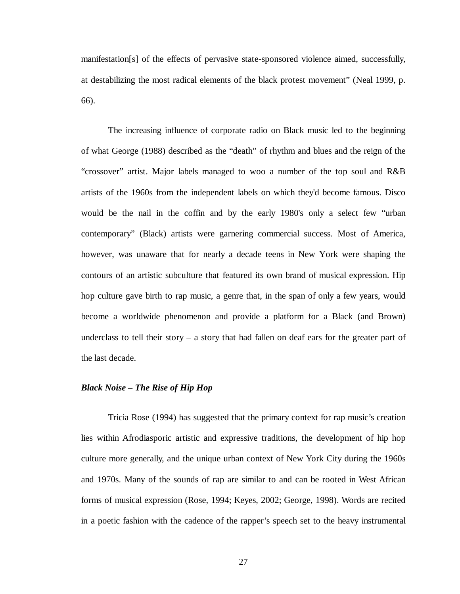manifestation[s] of the effects of pervasive state-sponsored violence aimed, successfully, at destabilizing the most radical elements of the black protest movement" (Neal 1999, p. 66).

 The increasing influence of corporate radio on Black music led to the beginning of what George (1988) described as the "death" of rhythm and blues and the reign of the "crossover" artist. Major labels managed to woo a number of the top soul and R&B artists of the 1960s from the independent labels on which they'd become famous. Disco would be the nail in the coffin and by the early 1980's only a select few "urban contemporary" (Black) artists were garnering commercial success. Most of America, however, was unaware that for nearly a decade teens in New York were shaping the contours of an artistic subculture that featured its own brand of musical expression. Hip hop culture gave birth to rap music, a genre that, in the span of only a few years, would become a worldwide phenomenon and provide a platform for a Black (and Brown) underclass to tell their story – a story that had fallen on deaf ears for the greater part of the last decade.

## *Black Noise – The Rise of Hip Hop*

 Tricia Rose (1994) has suggested that the primary context for rap music's creation lies within Afrodiasporic artistic and expressive traditions, the development of hip hop culture more generally, and the unique urban context of New York City during the 1960s and 1970s. Many of the sounds of rap are similar to and can be rooted in West African forms of musical expression (Rose, 1994; Keyes, 2002; George, 1998). Words are recited in a poetic fashion with the cadence of the rapper's speech set to the heavy instrumental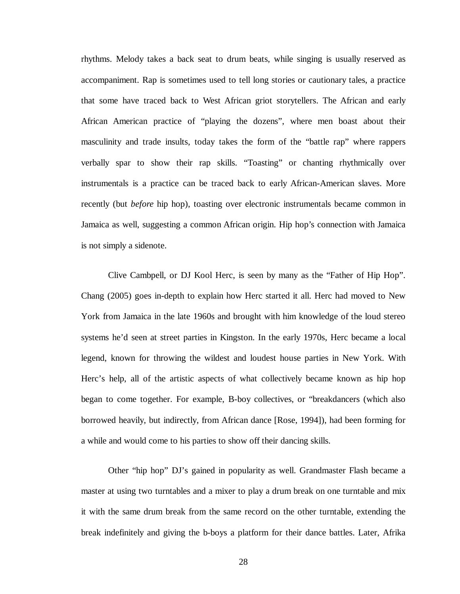rhythms. Melody takes a back seat to drum beats, while singing is usually reserved as accompaniment. Rap is sometimes used to tell long stories or cautionary tales, a practice that some have traced back to West African griot storytellers. The African and early African American practice of "playing the dozens", where men boast about their masculinity and trade insults, today takes the form of the "battle rap" where rappers verbally spar to show their rap skills. "Toasting" or chanting rhythmically over instrumentals is a practice can be traced back to early African-American slaves. More recently (but *before* hip hop), toasting over electronic instrumentals became common in Jamaica as well, suggesting a common African origin. Hip hop's connection with Jamaica is not simply a sidenote.

 Clive Cambpell, or DJ Kool Herc, is seen by many as the "Father of Hip Hop". Chang (2005) goes in-depth to explain how Herc started it all. Herc had moved to New York from Jamaica in the late 1960s and brought with him knowledge of the loud stereo systems he'd seen at street parties in Kingston. In the early 1970s, Herc became a local legend, known for throwing the wildest and loudest house parties in New York. With Herc's help, all of the artistic aspects of what collectively became known as hip hop began to come together. For example, B-boy collectives, or "breakdancers (which also borrowed heavily, but indirectly, from African dance [Rose, 1994]), had been forming for a while and would come to his parties to show off their dancing skills.

 Other "hip hop" DJ's gained in popularity as well. Grandmaster Flash became a master at using two turntables and a mixer to play a drum break on one turntable and mix it with the same drum break from the same record on the other turntable, extending the break indefinitely and giving the b-boys a platform for their dance battles. Later, Afrika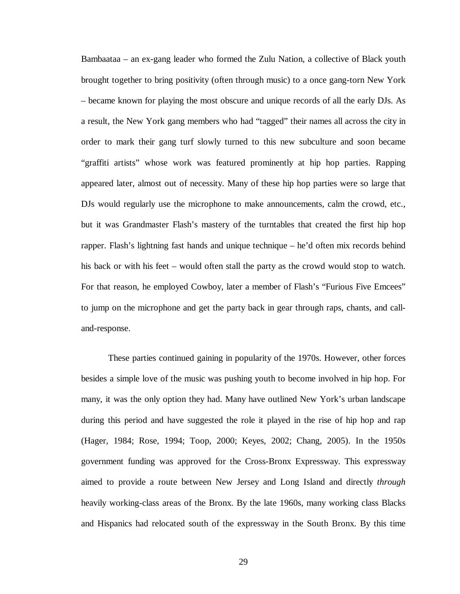Bambaataa – an ex-gang leader who formed the Zulu Nation, a collective of Black youth brought together to bring positivity (often through music) to a once gang-torn New York – became known for playing the most obscure and unique records of all the early DJs. As a result, the New York gang members who had "tagged" their names all across the city in order to mark their gang turf slowly turned to this new subculture and soon became "graffiti artists" whose work was featured prominently at hip hop parties. Rapping appeared later, almost out of necessity. Many of these hip hop parties were so large that DJs would regularly use the microphone to make announcements, calm the crowd, etc., but it was Grandmaster Flash's mastery of the turntables that created the first hip hop rapper. Flash's lightning fast hands and unique technique – he'd often mix records behind his back or with his feet – would often stall the party as the crowd would stop to watch. For that reason, he employed Cowboy, later a member of Flash's "Furious Five Emcees" to jump on the microphone and get the party back in gear through raps, chants, and calland-response.

 These parties continued gaining in popularity of the 1970s. However, other forces besides a simple love of the music was pushing youth to become involved in hip hop. For many, it was the only option they had. Many have outlined New York's urban landscape during this period and have suggested the role it played in the rise of hip hop and rap (Hager, 1984; Rose, 1994; Toop, 2000; Keyes, 2002; Chang, 2005). In the 1950s government funding was approved for the Cross-Bronx Expressway. This expressway aimed to provide a route between New Jersey and Long Island and directly *through* heavily working-class areas of the Bronx. By the late 1960s, many working class Blacks and Hispanics had relocated south of the expressway in the South Bronx. By this time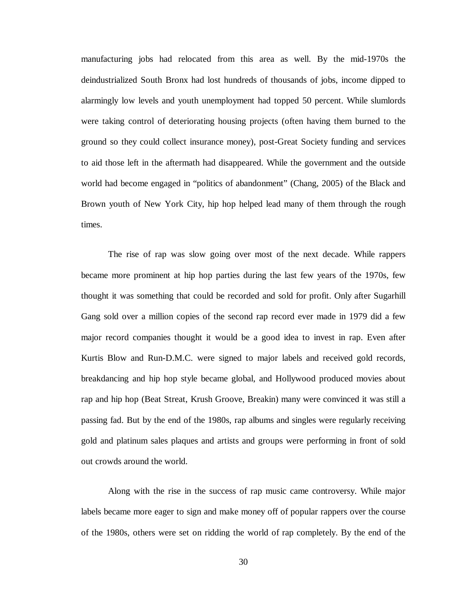manufacturing jobs had relocated from this area as well. By the mid-1970s the deindustrialized South Bronx had lost hundreds of thousands of jobs, income dipped to alarmingly low levels and youth unemployment had topped 50 percent. While slumlords were taking control of deteriorating housing projects (often having them burned to the ground so they could collect insurance money), post-Great Society funding and services to aid those left in the aftermath had disappeared. While the government and the outside world had become engaged in "politics of abandonment" (Chang, 2005) of the Black and Brown youth of New York City, hip hop helped lead many of them through the rough times.

 The rise of rap was slow going over most of the next decade. While rappers became more prominent at hip hop parties during the last few years of the 1970s, few thought it was something that could be recorded and sold for profit. Only after Sugarhill Gang sold over a million copies of the second rap record ever made in 1979 did a few major record companies thought it would be a good idea to invest in rap. Even after Kurtis Blow and Run-D.M.C. were signed to major labels and received gold records, breakdancing and hip hop style became global, and Hollywood produced movies about rap and hip hop (Beat Streat, Krush Groove, Breakin) many were convinced it was still a passing fad. But by the end of the 1980s, rap albums and singles were regularly receiving gold and platinum sales plaques and artists and groups were performing in front of sold out crowds around the world.

 Along with the rise in the success of rap music came controversy. While major labels became more eager to sign and make money off of popular rappers over the course of the 1980s, others were set on ridding the world of rap completely. By the end of the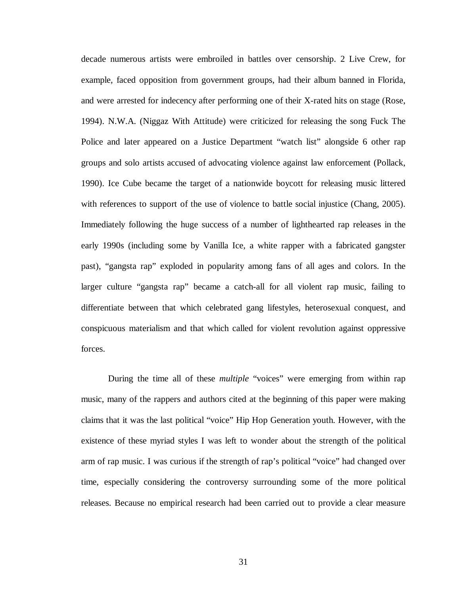decade numerous artists were embroiled in battles over censorship. 2 Live Crew, for example, faced opposition from government groups, had their album banned in Florida, and were arrested for indecency after performing one of their X-rated hits on stage (Rose, 1994). N.W.A. (Niggaz With Attitude) were criticized for releasing the song Fuck The Police and later appeared on a Justice Department "watch list" alongside 6 other rap groups and solo artists accused of advocating violence against law enforcement (Pollack, 1990). Ice Cube became the target of a nationwide boycott for releasing music littered with references to support of the use of violence to battle social injustice (Chang, 2005). Immediately following the huge success of a number of lighthearted rap releases in the early 1990s (including some by Vanilla Ice, a white rapper with a fabricated gangster past), "gangsta rap" exploded in popularity among fans of all ages and colors. In the larger culture "gangsta rap" became a catch-all for all violent rap music, failing to differentiate between that which celebrated gang lifestyles, heterosexual conquest, and conspicuous materialism and that which called for violent revolution against oppressive forces.

 During the time all of these *multiple* "voices" were emerging from within rap music, many of the rappers and authors cited at the beginning of this paper were making claims that it was the last political "voice" Hip Hop Generation youth. However, with the existence of these myriad styles I was left to wonder about the strength of the political arm of rap music. I was curious if the strength of rap's political "voice" had changed over time, especially considering the controversy surrounding some of the more political releases. Because no empirical research had been carried out to provide a clear measure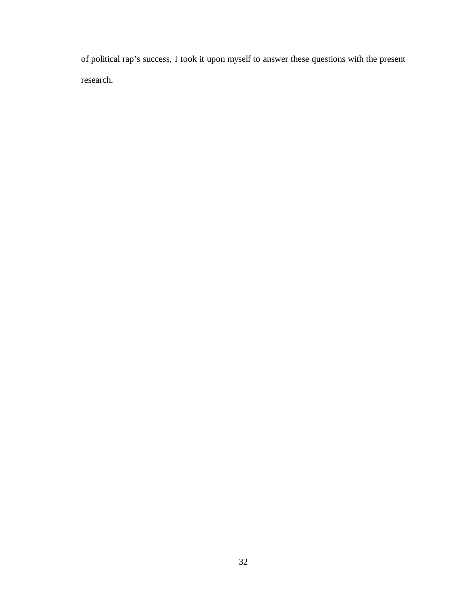of political rap's success, I took it upon myself to answer these questions with the present research.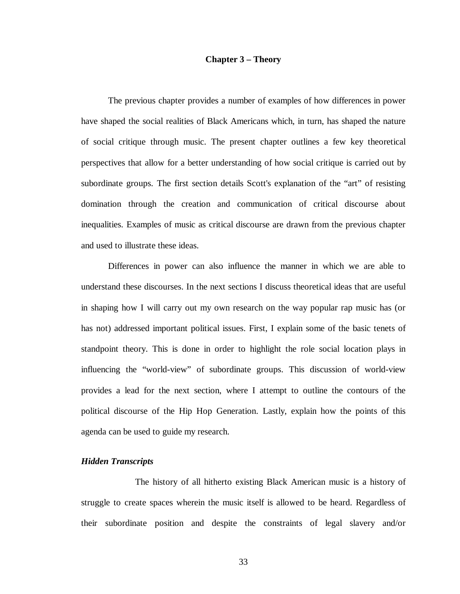#### **Chapter 3 – Theory**

 The previous chapter provides a number of examples of how differences in power have shaped the social realities of Black Americans which, in turn, has shaped the nature of social critique through music. The present chapter outlines a few key theoretical perspectives that allow for a better understanding of how social critique is carried out by subordinate groups. The first section details Scott's explanation of the "art" of resisting domination through the creation and communication of critical discourse about inequalities. Examples of music as critical discourse are drawn from the previous chapter and used to illustrate these ideas.

 Differences in power can also influence the manner in which we are able to understand these discourses. In the next sections I discuss theoretical ideas that are useful in shaping how I will carry out my own research on the way popular rap music has (or has not) addressed important political issues. First, I explain some of the basic tenets of standpoint theory. This is done in order to highlight the role social location plays in influencing the "world-view" of subordinate groups. This discussion of world-view provides a lead for the next section, where I attempt to outline the contours of the political discourse of the Hip Hop Generation. Lastly, explain how the points of this agenda can be used to guide my research.

## *Hidden Transcripts*

 The history of all hitherto existing Black American music is a history of struggle to create spaces wherein the music itself is allowed to be heard. Regardless of their subordinate position and despite the constraints of legal slavery and/or

33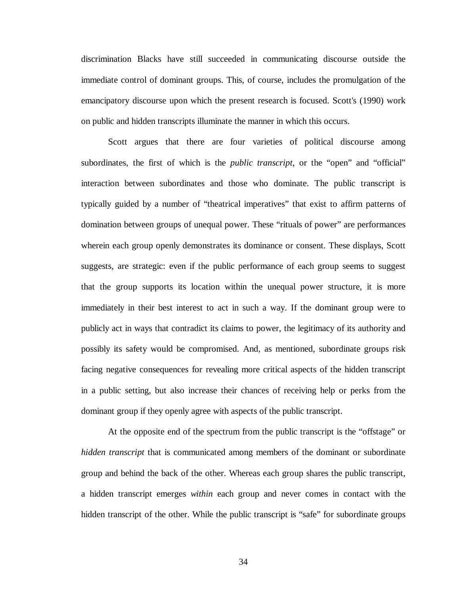discrimination Blacks have still succeeded in communicating discourse outside the immediate control of dominant groups. This, of course, includes the promulgation of the emancipatory discourse upon which the present research is focused. Scott's (1990) work on public and hidden transcripts illuminate the manner in which this occurs.

Scott argues that there are four varieties of political discourse among subordinates, the first of which is the *public transcript*, or the "open" and "official" interaction between subordinates and those who dominate. The public transcript is typically guided by a number of "theatrical imperatives" that exist to affirm patterns of domination between groups of unequal power. These "rituals of power" are performances wherein each group openly demonstrates its dominance or consent. These displays, Scott suggests, are strategic: even if the public performance of each group seems to suggest that the group supports its location within the unequal power structure, it is more immediately in their best interest to act in such a way. If the dominant group were to publicly act in ways that contradict its claims to power, the legitimacy of its authority and possibly its safety would be compromised. And, as mentioned, subordinate groups risk facing negative consequences for revealing more critical aspects of the hidden transcript in a public setting, but also increase their chances of receiving help or perks from the dominant group if they openly agree with aspects of the public transcript.

At the opposite end of the spectrum from the public transcript is the "offstage" or *hidden transcript* that is communicated among members of the dominant or subordinate group and behind the back of the other. Whereas each group shares the public transcript, a hidden transcript emerges *within* each group and never comes in contact with the hidden transcript of the other. While the public transcript is "safe" for subordinate groups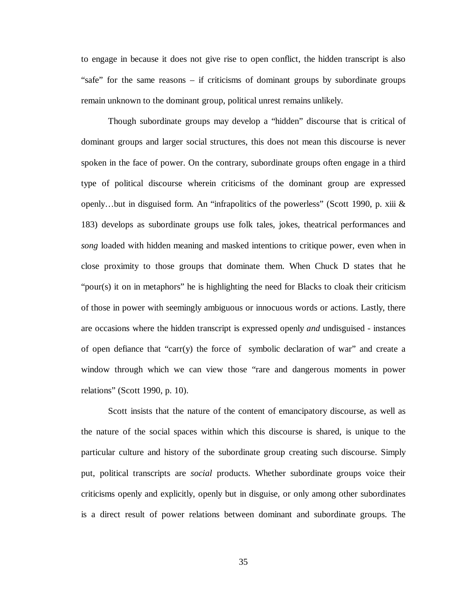to engage in because it does not give rise to open conflict, the hidden transcript is also "safe" for the same reasons – if criticisms of dominant groups by subordinate groups remain unknown to the dominant group, political unrest remains unlikely.

Though subordinate groups may develop a "hidden" discourse that is critical of dominant groups and larger social structures, this does not mean this discourse is never spoken in the face of power. On the contrary, subordinate groups often engage in a third type of political discourse wherein criticisms of the dominant group are expressed openly…but in disguised form. An "infrapolitics of the powerless" (Scott 1990, p. xiii  $\&$ 183) develops as subordinate groups use folk tales, jokes, theatrical performances and *song* loaded with hidden meaning and masked intentions to critique power, even when in close proximity to those groups that dominate them. When Chuck D states that he "pour(s) it on in metaphors" he is highlighting the need for Blacks to cloak their criticism of those in power with seemingly ambiguous or innocuous words or actions. Lastly, there are occasions where the hidden transcript is expressed openly *and* undisguised - instances of open defiance that "carr(y) the force of symbolic declaration of war" and create a window through which we can view those "rare and dangerous moments in power relations" (Scott 1990, p. 10).

Scott insists that the nature of the content of emancipatory discourse, as well as the nature of the social spaces within which this discourse is shared, is unique to the particular culture and history of the subordinate group creating such discourse. Simply put, political transcripts are *social* products. Whether subordinate groups voice their criticisms openly and explicitly, openly but in disguise, or only among other subordinates is a direct result of power relations between dominant and subordinate groups. The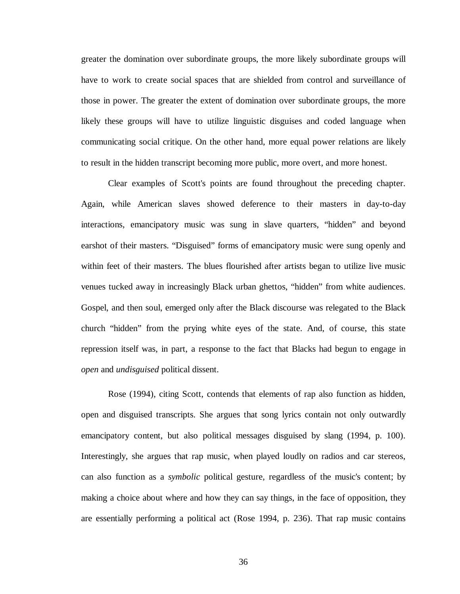greater the domination over subordinate groups, the more likely subordinate groups will have to work to create social spaces that are shielded from control and surveillance of those in power. The greater the extent of domination over subordinate groups, the more likely these groups will have to utilize linguistic disguises and coded language when communicating social critique. On the other hand, more equal power relations are likely to result in the hidden transcript becoming more public, more overt, and more honest.

Clear examples of Scott's points are found throughout the preceding chapter. Again, while American slaves showed deference to their masters in day-to-day interactions, emancipatory music was sung in slave quarters, "hidden" and beyond earshot of their masters. "Disguised" forms of emancipatory music were sung openly and within feet of their masters. The blues flourished after artists began to utilize live music venues tucked away in increasingly Black urban ghettos, "hidden" from white audiences. Gospel, and then soul, emerged only after the Black discourse was relegated to the Black church "hidden" from the prying white eyes of the state. And, of course, this state repression itself was, in part, a response to the fact that Blacks had begun to engage in *open* and *undisguised* political dissent.

 Rose (1994), citing Scott, contends that elements of rap also function as hidden, open and disguised transcripts. She argues that song lyrics contain not only outwardly emancipatory content, but also political messages disguised by slang (1994, p. 100). Interestingly, she argues that rap music, when played loudly on radios and car stereos, can also function as a *symbolic* political gesture, regardless of the music's content; by making a choice about where and how they can say things, in the face of opposition, they are essentially performing a political act (Rose 1994, p. 236). That rap music contains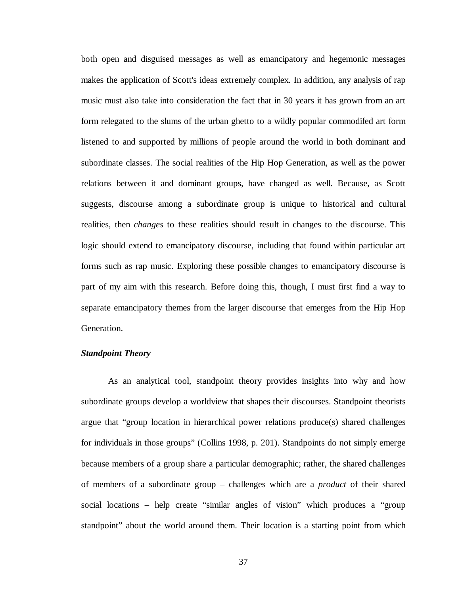both open and disguised messages as well as emancipatory and hegemonic messages makes the application of Scott's ideas extremely complex. In addition, any analysis of rap music must also take into consideration the fact that in 30 years it has grown from an art form relegated to the slums of the urban ghetto to a wildly popular commodifed art form listened to and supported by millions of people around the world in both dominant and subordinate classes. The social realities of the Hip Hop Generation, as well as the power relations between it and dominant groups, have changed as well. Because, as Scott suggests, discourse among a subordinate group is unique to historical and cultural realities, then *changes* to these realities should result in changes to the discourse. This logic should extend to emancipatory discourse, including that found within particular art forms such as rap music. Exploring these possible changes to emancipatory discourse is part of my aim with this research. Before doing this, though, I must first find a way to separate emancipatory themes from the larger discourse that emerges from the Hip Hop Generation.

### *Standpoint Theory*

 As an analytical tool, standpoint theory provides insights into why and how subordinate groups develop a worldview that shapes their discourses. Standpoint theorists argue that "group location in hierarchical power relations produce(s) shared challenges for individuals in those groups" (Collins 1998, p. 201). Standpoints do not simply emerge because members of a group share a particular demographic; rather, the shared challenges of members of a subordinate group – challenges which are a *product* of their shared social locations – help create "similar angles of vision" which produces a "group standpoint" about the world around them. Their location is a starting point from which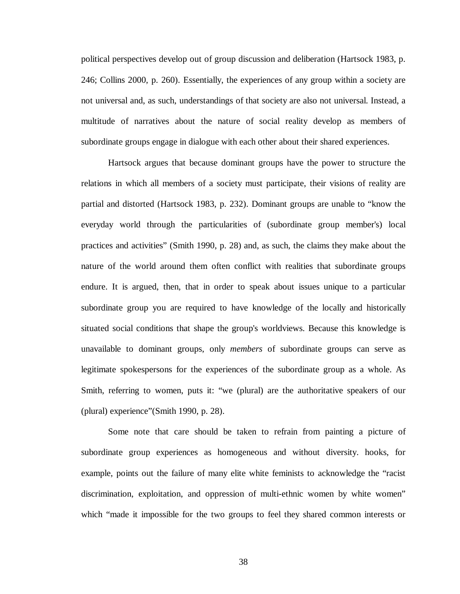political perspectives develop out of group discussion and deliberation (Hartsock 1983, p. 246; Collins 2000, p. 260). Essentially, the experiences of any group within a society are not universal and, as such, understandings of that society are also not universal. Instead, a multitude of narratives about the nature of social reality develop as members of subordinate groups engage in dialogue with each other about their shared experiences.

 Hartsock argues that because dominant groups have the power to structure the relations in which all members of a society must participate, their visions of reality are partial and distorted (Hartsock 1983, p. 232). Dominant groups are unable to "know the everyday world through the particularities of (subordinate group member's) local practices and activities" (Smith 1990, p. 28) and, as such, the claims they make about the nature of the world around them often conflict with realities that subordinate groups endure. It is argued, then, that in order to speak about issues unique to a particular subordinate group you are required to have knowledge of the locally and historically situated social conditions that shape the group's worldviews. Because this knowledge is unavailable to dominant groups, only *members* of subordinate groups can serve as legitimate spokespersons for the experiences of the subordinate group as a whole. As Smith, referring to women, puts it: "we (plural) are the authoritative speakers of our (plural) experience"(Smith 1990, p. 28).

 Some note that care should be taken to refrain from painting a picture of subordinate group experiences as homogeneous and without diversity. hooks, for example, points out the failure of many elite white feminists to acknowledge the "racist discrimination, exploitation, and oppression of multi-ethnic women by white women" which "made it impossible for the two groups to feel they shared common interests or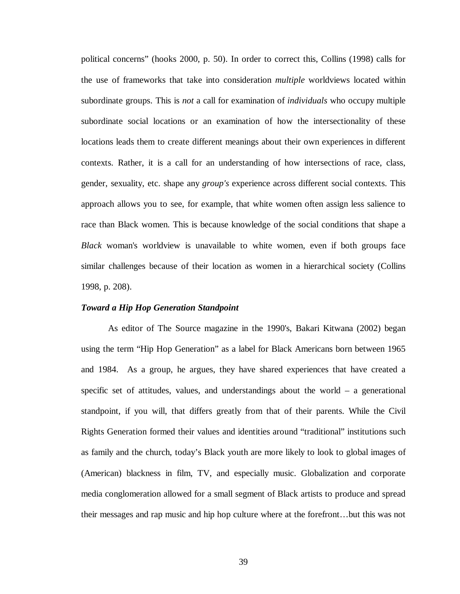political concerns" (hooks 2000, p. 50). In order to correct this, Collins (1998) calls for the use of frameworks that take into consideration *multiple* worldviews located within subordinate groups. This is *not* a call for examination of *individuals* who occupy multiple subordinate social locations or an examination of how the intersectionality of these locations leads them to create different meanings about their own experiences in different contexts. Rather, it is a call for an understanding of how intersections of race, class, gender, sexuality, etc. shape any *group's* experience across different social contexts. This approach allows you to see, for example, that white women often assign less salience to race than Black women. This is because knowledge of the social conditions that shape a *Black* woman's worldview is unavailable to white women, even if both groups face similar challenges because of their location as women in a hierarchical society (Collins 1998, p. 208).

### *Toward a Hip Hop Generation Standpoint*

As editor of The Source magazine in the 1990's, Bakari Kitwana (2002) began using the term "Hip Hop Generation" as a label for Black Americans born between 1965 and 1984. As a group, he argues, they have shared experiences that have created a specific set of attitudes, values, and understandings about the world  $-$  a generational standpoint, if you will, that differs greatly from that of their parents. While the Civil Rights Generation formed their values and identities around "traditional" institutions such as family and the church, today's Black youth are more likely to look to global images of (American) blackness in film, TV, and especially music. Globalization and corporate media conglomeration allowed for a small segment of Black artists to produce and spread their messages and rap music and hip hop culture where at the forefront…but this was not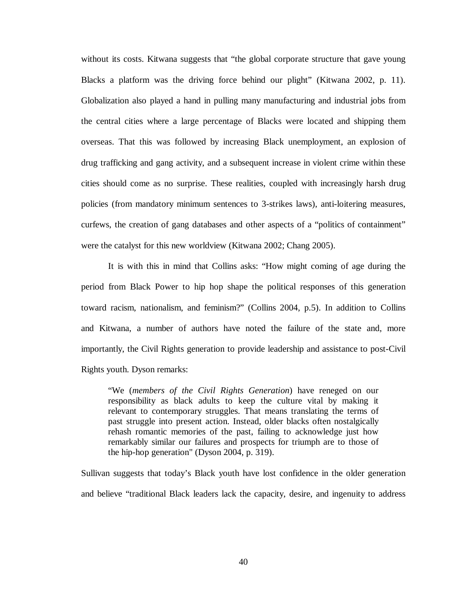without its costs. Kitwana suggests that "the global corporate structure that gave young Blacks a platform was the driving force behind our plight" (Kitwana 2002, p. 11). Globalization also played a hand in pulling many manufacturing and industrial jobs from the central cities where a large percentage of Blacks were located and shipping them overseas. That this was followed by increasing Black unemployment, an explosion of drug trafficking and gang activity, and a subsequent increase in violent crime within these cities should come as no surprise. These realities, coupled with increasingly harsh drug policies (from mandatory minimum sentences to 3-strikes laws), anti-loitering measures, curfews, the creation of gang databases and other aspects of a "politics of containment" were the catalyst for this new worldview (Kitwana 2002; Chang 2005).

 It is with this in mind that Collins asks: "How might coming of age during the period from Black Power to hip hop shape the political responses of this generation toward racism, nationalism, and feminism?" (Collins 2004, p.5). In addition to Collins and Kitwana, a number of authors have noted the failure of the state and, more importantly, the Civil Rights generation to provide leadership and assistance to post-Civil Rights youth. Dyson remarks:

"We (*members of the Civil Rights Generation*) have reneged on our responsibility as black adults to keep the culture vital by making it relevant to contemporary struggles. That means translating the terms of past struggle into present action. Instead, older blacks often nostalgically rehash romantic memories of the past, failing to acknowledge just how remarkably similar our failures and prospects for triumph are to those of the hip-hop generation" (Dyson 2004, p. 319).

Sullivan suggests that today's Black youth have lost confidence in the older generation and believe "traditional Black leaders lack the capacity, desire, and ingenuity to address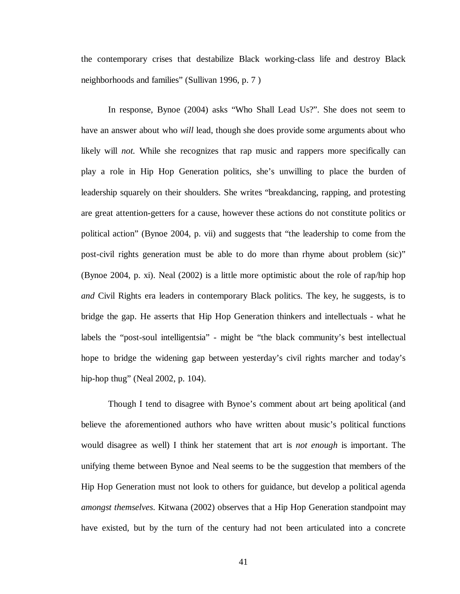the contemporary crises that destabilize Black working-class life and destroy Black neighborhoods and families" (Sullivan 1996, p. 7 )

 In response, Bynoe (2004) asks "Who Shall Lead Us?". She does not seem to have an answer about who *will* lead, though she does provide some arguments about who likely will *not.* While she recognizes that rap music and rappers more specifically can play a role in Hip Hop Generation politics, she's unwilling to place the burden of leadership squarely on their shoulders. She writes "breakdancing, rapping, and protesting are great attention-getters for a cause, however these actions do not constitute politics or political action" (Bynoe 2004, p. vii) and suggests that "the leadership to come from the post-civil rights generation must be able to do more than rhyme about problem (sic)" (Bynoe 2004, p. xi). Neal (2002) is a little more optimistic about the role of rap/hip hop *and* Civil Rights era leaders in contemporary Black politics. The key, he suggests, is to bridge the gap. He asserts that Hip Hop Generation thinkers and intellectuals - what he labels the "post-soul intelligentsia" - might be "the black community's best intellectual hope to bridge the widening gap between yesterday's civil rights marcher and today's hip-hop thug" (Neal 2002, p. 104).

 Though I tend to disagree with Bynoe's comment about art being apolitical (and believe the aforementioned authors who have written about music's political functions would disagree as well) I think her statement that art is *not enough* is important. The unifying theme between Bynoe and Neal seems to be the suggestion that members of the Hip Hop Generation must not look to others for guidance, but develop a political agenda *amongst themselves*. Kitwana (2002) observes that a Hip Hop Generation standpoint may have existed, but by the turn of the century had not been articulated into a concrete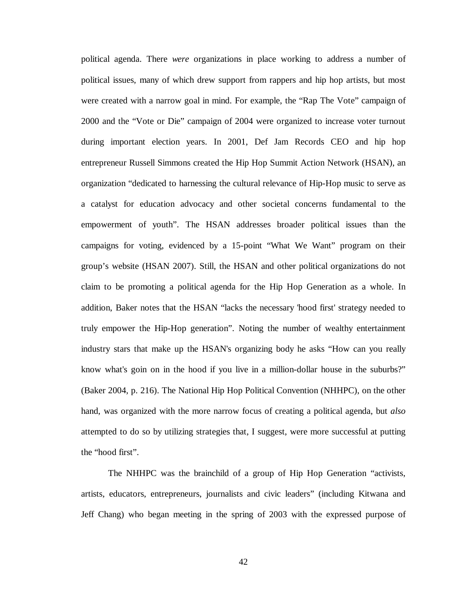political agenda. There *were* organizations in place working to address a number of political issues, many of which drew support from rappers and hip hop artists, but most were created with a narrow goal in mind. For example, the "Rap The Vote" campaign of 2000 and the "Vote or Die" campaign of 2004 were organized to increase voter turnout during important election years. In 2001, Def Jam Records CEO and hip hop entrepreneur Russell Simmons created the Hip Hop Summit Action Network (HSAN), an organization "dedicated to harnessing the cultural relevance of Hip-Hop music to serve as a catalyst for education advocacy and other societal concerns fundamental to the empowerment of youth". The HSAN addresses broader political issues than the campaigns for voting, evidenced by a 15-point "What We Want" program on their group's website (HSAN 2007). Still, the HSAN and other political organizations do not claim to be promoting a political agenda for the Hip Hop Generation as a whole. In addition, Baker notes that the HSAN "lacks the necessary 'hood first' strategy needed to truly empower the Hip-Hop generation". Noting the number of wealthy entertainment industry stars that make up the HSAN's organizing body he asks "How can you really know what's goin on in the hood if you live in a million-dollar house in the suburbs?" (Baker 2004, p. 216). The National Hip Hop Political Convention (NHHPC), on the other hand, was organized with the more narrow focus of creating a political agenda, but *also* attempted to do so by utilizing strategies that, I suggest, were more successful at putting the "hood first".

 The NHHPC was the brainchild of a group of Hip Hop Generation "activists, artists, educators, entrepreneurs, journalists and civic leaders" (including Kitwana and Jeff Chang) who began meeting in the spring of 2003 with the expressed purpose of

42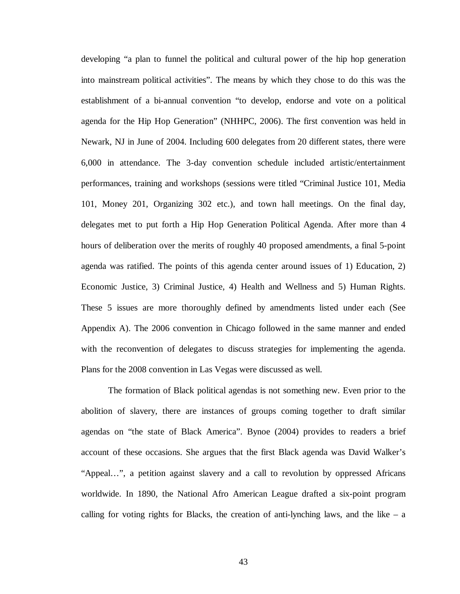developing "a plan to funnel the political and cultural power of the hip hop generation into mainstream political activities". The means by which they chose to do this was the establishment of a bi-annual convention "to develop, endorse and vote on a political agenda for the Hip Hop Generation" (NHHPC, 2006). The first convention was held in Newark, NJ in June of 2004. Including 600 delegates from 20 different states, there were 6,000 in attendance. The 3-day convention schedule included artistic/entertainment performances, training and workshops (sessions were titled "Criminal Justice 101, Media 101, Money 201, Organizing 302 etc.), and town hall meetings. On the final day, delegates met to put forth a Hip Hop Generation Political Agenda. After more than 4 hours of deliberation over the merits of roughly 40 proposed amendments, a final 5-point agenda was ratified. The points of this agenda center around issues of 1) Education, 2) Economic Justice, 3) Criminal Justice, 4) Health and Wellness and 5) Human Rights. These 5 issues are more thoroughly defined by amendments listed under each (See Appendix A). The 2006 convention in Chicago followed in the same manner and ended with the reconvention of delegates to discuss strategies for implementing the agenda. Plans for the 2008 convention in Las Vegas were discussed as well.

 The formation of Black political agendas is not something new. Even prior to the abolition of slavery, there are instances of groups coming together to draft similar agendas on "the state of Black America". Bynoe (2004) provides to readers a brief account of these occasions. She argues that the first Black agenda was David Walker's "Appeal…", a petition against slavery and a call to revolution by oppressed Africans worldwide. In 1890, the National Afro American League drafted a six-point program calling for voting rights for Blacks, the creation of anti-lynching laws, and the like  $-$  a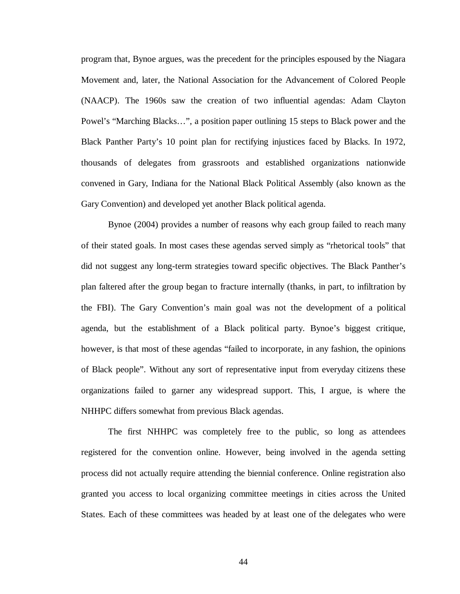program that, Bynoe argues, was the precedent for the principles espoused by the Niagara Movement and, later, the National Association for the Advancement of Colored People (NAACP). The 1960s saw the creation of two influential agendas: Adam Clayton Powel's "Marching Blacks…", a position paper outlining 15 steps to Black power and the Black Panther Party's 10 point plan for rectifying injustices faced by Blacks. In 1972, thousands of delegates from grassroots and established organizations nationwide convened in Gary, Indiana for the National Black Political Assembly (also known as the Gary Convention) and developed yet another Black political agenda.

 Bynoe (2004) provides a number of reasons why each group failed to reach many of their stated goals. In most cases these agendas served simply as "rhetorical tools" that did not suggest any long-term strategies toward specific objectives. The Black Panther's plan faltered after the group began to fracture internally (thanks, in part, to infiltration by the FBI). The Gary Convention's main goal was not the development of a political agenda, but the establishment of a Black political party. Bynoe's biggest critique, however, is that most of these agendas "failed to incorporate, in any fashion, the opinions of Black people". Without any sort of representative input from everyday citizens these organizations failed to garner any widespread support. This, I argue, is where the NHHPC differs somewhat from previous Black agendas.

 The first NHHPC was completely free to the public, so long as attendees registered for the convention online. However, being involved in the agenda setting process did not actually require attending the biennial conference. Online registration also granted you access to local organizing committee meetings in cities across the United States. Each of these committees was headed by at least one of the delegates who were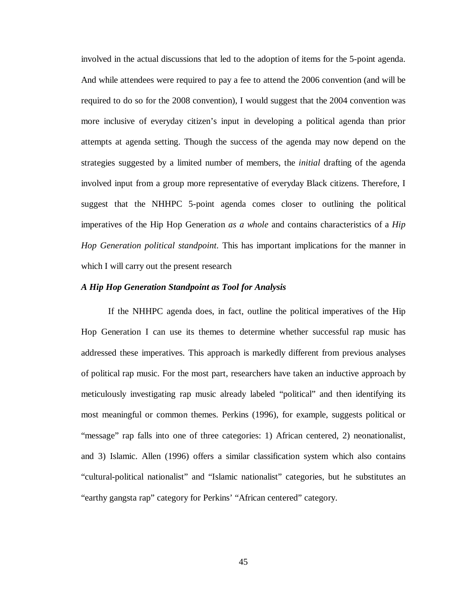involved in the actual discussions that led to the adoption of items for the 5-point agenda. And while attendees were required to pay a fee to attend the 2006 convention (and will be required to do so for the 2008 convention), I would suggest that the 2004 convention was more inclusive of everyday citizen's input in developing a political agenda than prior attempts at agenda setting. Though the success of the agenda may now depend on the strategies suggested by a limited number of members, the *initial* drafting of the agenda involved input from a group more representative of everyday Black citizens. Therefore, I suggest that the NHHPC 5-point agenda comes closer to outlining the political imperatives of the Hip Hop Generation *as a whole* and contains characteristics of a *Hip Hop Generation political standpoint*. This has important implications for the manner in which I will carry out the present research

#### *A Hip Hop Generation Standpoint as Tool for Analysis*

If the NHHPC agenda does, in fact, outline the political imperatives of the Hip Hop Generation I can use its themes to determine whether successful rap music has addressed these imperatives. This approach is markedly different from previous analyses of political rap music. For the most part, researchers have taken an inductive approach by meticulously investigating rap music already labeled "political" and then identifying its most meaningful or common themes. Perkins (1996), for example, suggests political or "message" rap falls into one of three categories: 1) African centered, 2) neonationalist, and 3) Islamic. Allen (1996) offers a similar classification system which also contains "cultural-political nationalist" and "Islamic nationalist" categories, but he substitutes an "earthy gangsta rap" category for Perkins' "African centered" category.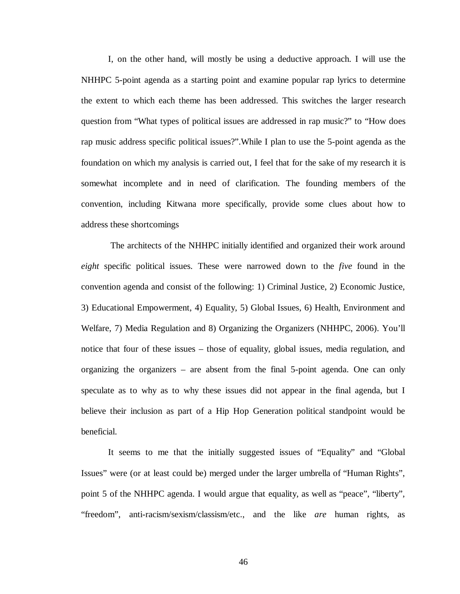I, on the other hand, will mostly be using a deductive approach. I will use the NHHPC 5-point agenda as a starting point and examine popular rap lyrics to determine the extent to which each theme has been addressed. This switches the larger research question from "What types of political issues are addressed in rap music?" to "How does rap music address specific political issues?".While I plan to use the 5-point agenda as the foundation on which my analysis is carried out, I feel that for the sake of my research it is somewhat incomplete and in need of clarification. The founding members of the convention, including Kitwana more specifically, provide some clues about how to address these shortcomings

 The architects of the NHHPC initially identified and organized their work around *eight* specific political issues. These were narrowed down to the *five* found in the convention agenda and consist of the following: 1) Criminal Justice, 2) Economic Justice, 3) Educational Empowerment, 4) Equality, 5) Global Issues, 6) Health, Environment and Welfare, 7) Media Regulation and 8) Organizing the Organizers (NHHPC, 2006). You'll notice that four of these issues – those of equality, global issues, media regulation, and organizing the organizers – are absent from the final 5-point agenda. One can only speculate as to why as to why these issues did not appear in the final agenda, but I believe their inclusion as part of a Hip Hop Generation political standpoint would be beneficial.

It seems to me that the initially suggested issues of "Equality" and "Global Issues" were (or at least could be) merged under the larger umbrella of "Human Rights", point 5 of the NHHPC agenda. I would argue that equality, as well as "peace", "liberty", "freedom", anti-racism/sexism/classism/etc., and the like *are* human rights, as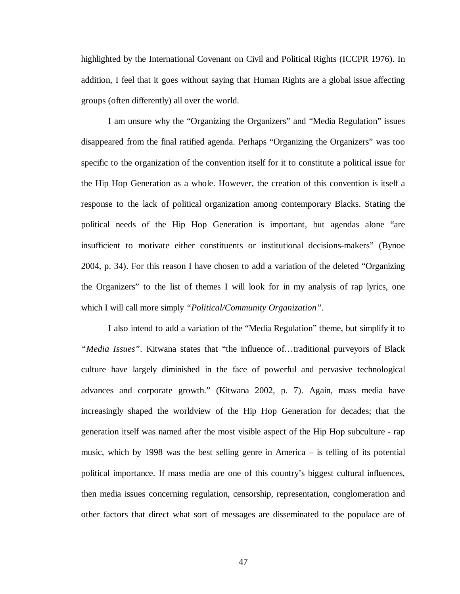highlighted by the International Covenant on Civil and Political Rights (ICCPR 1976). In addition, I feel that it goes without saying that Human Rights are a global issue affecting groups (often differently) all over the world.

I am unsure why the "Organizing the Organizers" and "Media Regulation" issues disappeared from the final ratified agenda. Perhaps "Organizing the Organizers" was too specific to the organization of the convention itself for it to constitute a political issue for the Hip Hop Generation as a whole. However, the creation of this convention is itself a response to the lack of political organization among contemporary Blacks. Stating the political needs of the Hip Hop Generation is important, but agendas alone "are insufficient to motivate either constituents or institutional decisions-makers" (Bynoe 2004, p. 34). For this reason I have chosen to add a variation of the deleted "Organizing the Organizers" to the list of themes I will look for in my analysis of rap lyrics, one which I will call more simply *"Political/Community Organization"*.

I also intend to add a variation of the "Media Regulation" theme, but simplify it to *"Media Issues"*. Kitwana states that "the influence of…traditional purveyors of Black culture have largely diminished in the face of powerful and pervasive technological advances and corporate growth." (Kitwana 2002, p. 7). Again, mass media have increasingly shaped the worldview of the Hip Hop Generation for decades; that the generation itself was named after the most visible aspect of the Hip Hop subculture - rap music, which by 1998 was the best selling genre in America – is telling of its potential political importance. If mass media are one of this country's biggest cultural influences, then media issues concerning regulation, censorship, representation, conglomeration and other factors that direct what sort of messages are disseminated to the populace are of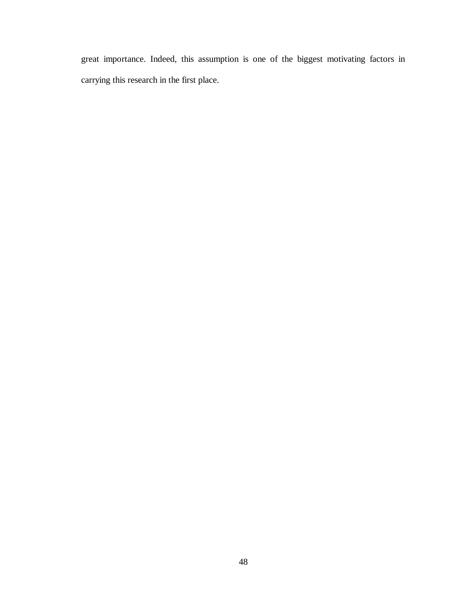great importance. Indeed, this assumption is one of the biggest motivating factors in carrying this research in the first place.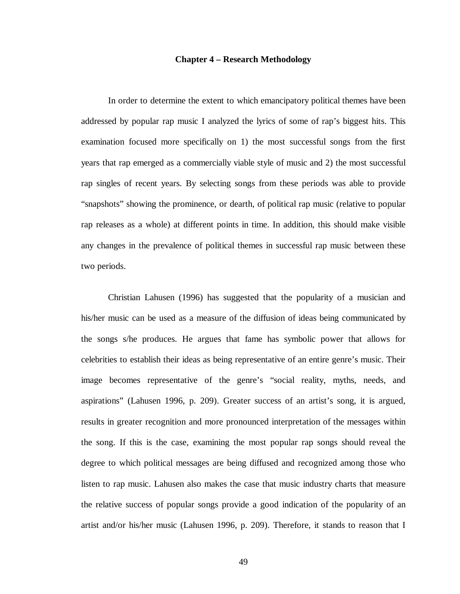## **Chapter 4 – Research Methodology**

 In order to determine the extent to which emancipatory political themes have been addressed by popular rap music I analyzed the lyrics of some of rap's biggest hits. This examination focused more specifically on 1) the most successful songs from the first years that rap emerged as a commercially viable style of music and 2) the most successful rap singles of recent years. By selecting songs from these periods was able to provide "snapshots" showing the prominence, or dearth, of political rap music (relative to popular rap releases as a whole) at different points in time. In addition, this should make visible any changes in the prevalence of political themes in successful rap music between these two periods.

 Christian Lahusen (1996) has suggested that the popularity of a musician and his/her music can be used as a measure of the diffusion of ideas being communicated by the songs s/he produces. He argues that fame has symbolic power that allows for celebrities to establish their ideas as being representative of an entire genre's music. Their image becomes representative of the genre's "social reality, myths, needs, and aspirations" (Lahusen 1996, p. 209). Greater success of an artist's song, it is argued, results in greater recognition and more pronounced interpretation of the messages within the song. If this is the case, examining the most popular rap songs should reveal the degree to which political messages are being diffused and recognized among those who listen to rap music. Lahusen also makes the case that music industry charts that measure the relative success of popular songs provide a good indication of the popularity of an artist and/or his/her music (Lahusen 1996, p. 209). Therefore, it stands to reason that I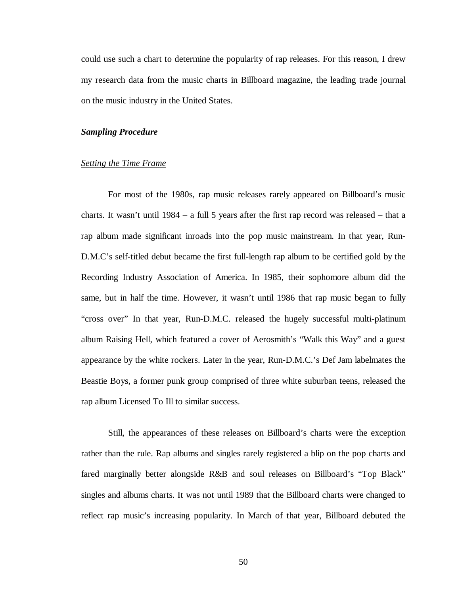could use such a chart to determine the popularity of rap releases. For this reason, I drew my research data from the music charts in Billboard magazine, the leading trade journal on the music industry in the United States.

# *Sampling Procedure*

## *Setting the Time Frame*

For most of the 1980s, rap music releases rarely appeared on Billboard's music charts. It wasn't until  $1984 - a$  full 5 years after the first rap record was released – that a rap album made significant inroads into the pop music mainstream. In that year, Run-D.M.C's self-titled debut became the first full-length rap album to be certified gold by the Recording Industry Association of America. In 1985, their sophomore album did the same, but in half the time. However, it wasn't until 1986 that rap music began to fully "cross over" In that year, Run-D.M.C. released the hugely successful multi-platinum album Raising Hell, which featured a cover of Aerosmith's "Walk this Way" and a guest appearance by the white rockers. Later in the year, Run-D.M.C.'s Def Jam labelmates the Beastie Boys, a former punk group comprised of three white suburban teens, released the rap album Licensed To Ill to similar success.

 Still, the appearances of these releases on Billboard's charts were the exception rather than the rule. Rap albums and singles rarely registered a blip on the pop charts and fared marginally better alongside R&B and soul releases on Billboard's "Top Black" singles and albums charts. It was not until 1989 that the Billboard charts were changed to reflect rap music's increasing popularity. In March of that year, Billboard debuted the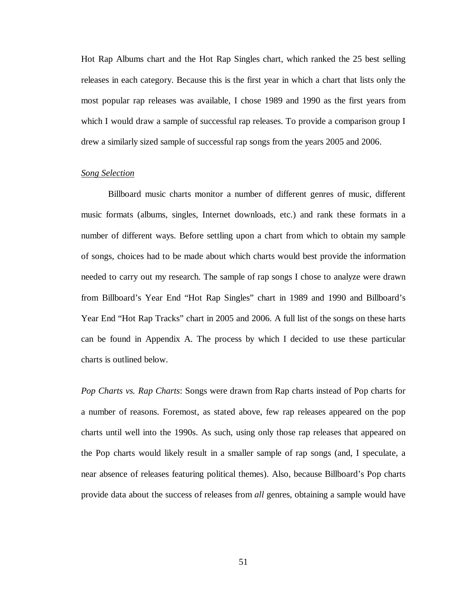Hot Rap Albums chart and the Hot Rap Singles chart, which ranked the 25 best selling releases in each category. Because this is the first year in which a chart that lists only the most popular rap releases was available, I chose 1989 and 1990 as the first years from which I would draw a sample of successful rap releases. To provide a comparison group I drew a similarly sized sample of successful rap songs from the years 2005 and 2006.

# *Song Selection*

 Billboard music charts monitor a number of different genres of music, different music formats (albums, singles, Internet downloads, etc.) and rank these formats in a number of different ways. Before settling upon a chart from which to obtain my sample of songs, choices had to be made about which charts would best provide the information needed to carry out my research. The sample of rap songs I chose to analyze were drawn from Billboard's Year End "Hot Rap Singles" chart in 1989 and 1990 and Billboard's Year End "Hot Rap Tracks" chart in 2005 and 2006. A full list of the songs on these harts can be found in Appendix A. The process by which I decided to use these particular charts is outlined below.

*Pop Charts vs. Rap Charts*: Songs were drawn from Rap charts instead of Pop charts for a number of reasons. Foremost, as stated above, few rap releases appeared on the pop charts until well into the 1990s. As such, using only those rap releases that appeared on the Pop charts would likely result in a smaller sample of rap songs (and, I speculate, a near absence of releases featuring political themes). Also, because Billboard's Pop charts provide data about the success of releases from *all* genres, obtaining a sample would have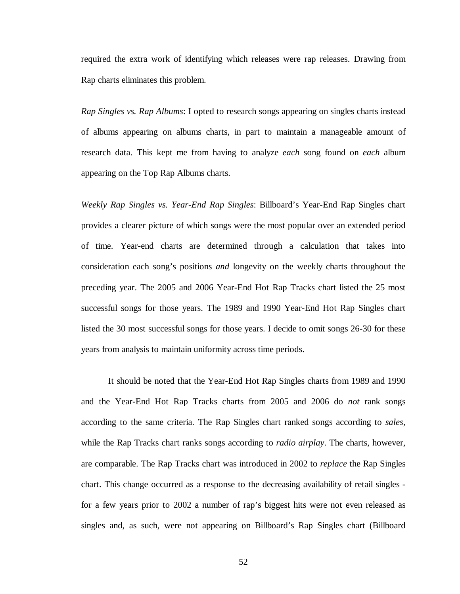required the extra work of identifying which releases were rap releases. Drawing from Rap charts eliminates this problem.

*Rap Singles vs. Rap Albums*: I opted to research songs appearing on singles charts instead of albums appearing on albums charts, in part to maintain a manageable amount of research data. This kept me from having to analyze *each* song found on *each* album appearing on the Top Rap Albums charts.

*Weekly Rap Singles vs. Year-End Rap Singles*: Billboard's Year-End Rap Singles chart provides a clearer picture of which songs were the most popular over an extended period of time. Year-end charts are determined through a calculation that takes into consideration each song's positions *and* longevity on the weekly charts throughout the preceding year. The 2005 and 2006 Year-End Hot Rap Tracks chart listed the 25 most successful songs for those years. The 1989 and 1990 Year-End Hot Rap Singles chart listed the 30 most successful songs for those years. I decide to omit songs 26-30 for these years from analysis to maintain uniformity across time periods.

 It should be noted that the Year-End Hot Rap Singles charts from 1989 and 1990 and the Year-End Hot Rap Tracks charts from 2005 and 2006 do *not* rank songs according to the same criteria. The Rap Singles chart ranked songs according to *sales*, while the Rap Tracks chart ranks songs according to *radio airplay*. The charts, however, are comparable. The Rap Tracks chart was introduced in 2002 to *replace* the Rap Singles chart. This change occurred as a response to the decreasing availability of retail singles for a few years prior to 2002 a number of rap's biggest hits were not even released as singles and, as such, were not appearing on Billboard's Rap Singles chart (Billboard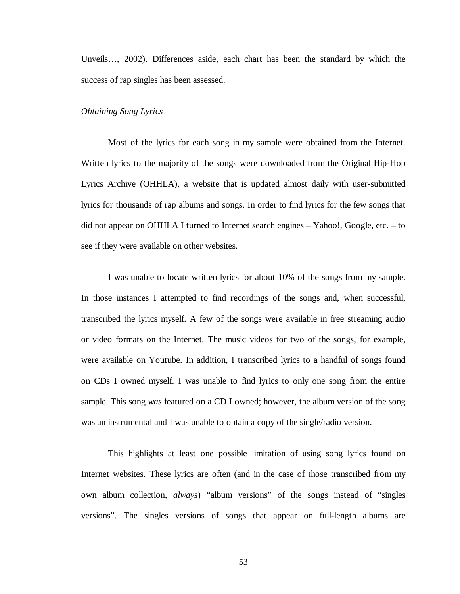Unveils…, 2002). Differences aside, each chart has been the standard by which the success of rap singles has been assessed.

### *Obtaining Song Lyrics*

 Most of the lyrics for each song in my sample were obtained from the Internet. Written lyrics to the majority of the songs were downloaded from the Original Hip-Hop Lyrics Archive (OHHLA), a website that is updated almost daily with user-submitted lyrics for thousands of rap albums and songs. In order to find lyrics for the few songs that did not appear on OHHLA I turned to Internet search engines – Yahoo!, Google, etc. – to see if they were available on other websites.

 I was unable to locate written lyrics for about 10% of the songs from my sample. In those instances I attempted to find recordings of the songs and, when successful, transcribed the lyrics myself. A few of the songs were available in free streaming audio or video formats on the Internet. The music videos for two of the songs, for example, were available on Youtube. In addition, I transcribed lyrics to a handful of songs found on CDs I owned myself. I was unable to find lyrics to only one song from the entire sample. This song *was* featured on a CD I owned; however, the album version of the song was an instrumental and I was unable to obtain a copy of the single/radio version.

 This highlights at least one possible limitation of using song lyrics found on Internet websites. These lyrics are often (and in the case of those transcribed from my own album collection, *always*) "album versions" of the songs instead of "singles versions". The singles versions of songs that appear on full-length albums are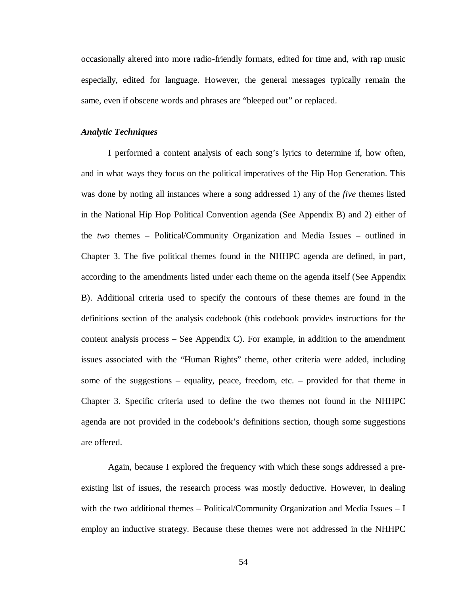occasionally altered into more radio-friendly formats, edited for time and, with rap music especially, edited for language. However, the general messages typically remain the same, even if obscene words and phrases are "bleeped out" or replaced.

# *Analytic Techniques*

 I performed a content analysis of each song's lyrics to determine if, how often, and in what ways they focus on the political imperatives of the Hip Hop Generation. This was done by noting all instances where a song addressed 1) any of the *five* themes listed in the National Hip Hop Political Convention agenda (See Appendix B) and 2) either of the *two* themes – Political/Community Organization and Media Issues – outlined in Chapter 3. The five political themes found in the NHHPC agenda are defined, in part, according to the amendments listed under each theme on the agenda itself (See Appendix B). Additional criteria used to specify the contours of these themes are found in the definitions section of the analysis codebook (this codebook provides instructions for the content analysis process – See Appendix C). For example, in addition to the amendment issues associated with the "Human Rights" theme, other criteria were added, including some of the suggestions – equality, peace, freedom, etc. – provided for that theme in Chapter 3. Specific criteria used to define the two themes not found in the NHHPC agenda are not provided in the codebook's definitions section, though some suggestions are offered.

Again, because I explored the frequency with which these songs addressed a preexisting list of issues, the research process was mostly deductive. However, in dealing with the two additional themes – Political/Community Organization and Media Issues – I employ an inductive strategy. Because these themes were not addressed in the NHHPC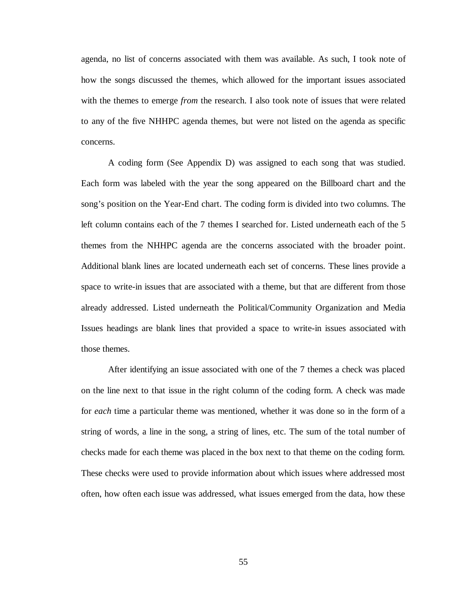agenda, no list of concerns associated with them was available. As such, I took note of how the songs discussed the themes, which allowed for the important issues associated with the themes to emerge *from* the research. I also took note of issues that were related to any of the five NHHPC agenda themes, but were not listed on the agenda as specific concerns.

A coding form (See Appendix D) was assigned to each song that was studied. Each form was labeled with the year the song appeared on the Billboard chart and the song's position on the Year-End chart. The coding form is divided into two columns. The left column contains each of the 7 themes I searched for. Listed underneath each of the 5 themes from the NHHPC agenda are the concerns associated with the broader point. Additional blank lines are located underneath each set of concerns. These lines provide a space to write-in issues that are associated with a theme, but that are different from those already addressed. Listed underneath the Political/Community Organization and Media Issues headings are blank lines that provided a space to write-in issues associated with those themes.

After identifying an issue associated with one of the 7 themes a check was placed on the line next to that issue in the right column of the coding form. A check was made for *each* time a particular theme was mentioned, whether it was done so in the form of a string of words, a line in the song, a string of lines, etc. The sum of the total number of checks made for each theme was placed in the box next to that theme on the coding form. These checks were used to provide information about which issues where addressed most often, how often each issue was addressed, what issues emerged from the data, how these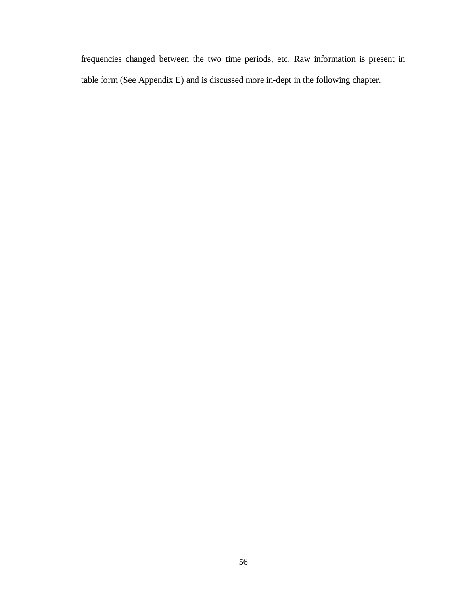frequencies changed between the two time periods, etc. Raw information is present in table form (See Appendix E) and is discussed more in-dept in the following chapter.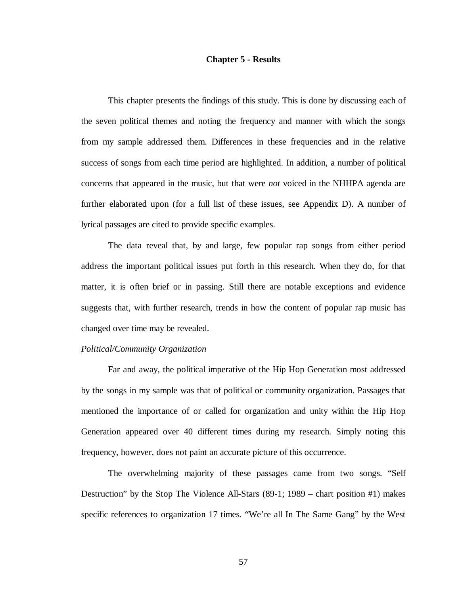## **Chapter 5 - Results**

 This chapter presents the findings of this study. This is done by discussing each of the seven political themes and noting the frequency and manner with which the songs from my sample addressed them. Differences in these frequencies and in the relative success of songs from each time period are highlighted. In addition, a number of political concerns that appeared in the music, but that were *not* voiced in the NHHPA agenda are further elaborated upon (for a full list of these issues, see Appendix D). A number of lyrical passages are cited to provide specific examples.

 The data reveal that, by and large, few popular rap songs from either period address the important political issues put forth in this research. When they do, for that matter, it is often brief or in passing. Still there are notable exceptions and evidence suggests that, with further research, trends in how the content of popular rap music has changed over time may be revealed.

# *Political/Community Organization*

 Far and away, the political imperative of the Hip Hop Generation most addressed by the songs in my sample was that of political or community organization. Passages that mentioned the importance of or called for organization and unity within the Hip Hop Generation appeared over 40 different times during my research. Simply noting this frequency, however, does not paint an accurate picture of this occurrence.

 The overwhelming majority of these passages came from two songs. "Self Destruction" by the Stop The Violence All-Stars (89-1; 1989 – chart position #1) makes specific references to organization 17 times. "We're all In The Same Gang" by the West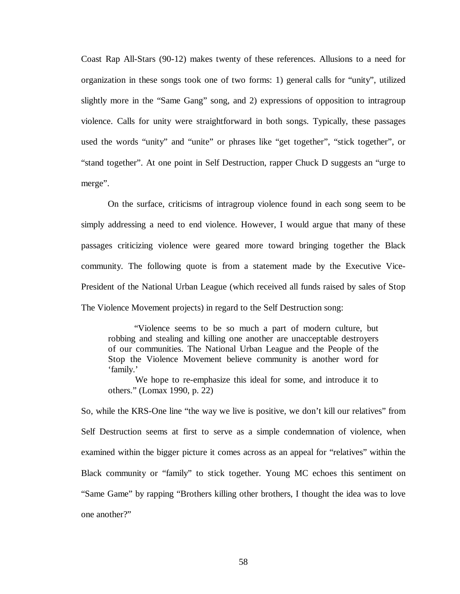Coast Rap All-Stars (90-12) makes twenty of these references. Allusions to a need for organization in these songs took one of two forms: 1) general calls for "unity", utilized slightly more in the "Same Gang" song, and 2) expressions of opposition to intragroup violence. Calls for unity were straightforward in both songs. Typically, these passages used the words "unity" and "unite" or phrases like "get together", "stick together", or "stand together". At one point in Self Destruction, rapper Chuck D suggests an "urge to merge".

On the surface, criticisms of intragroup violence found in each song seem to be simply addressing a need to end violence. However, I would argue that many of these passages criticizing violence were geared more toward bringing together the Black community. The following quote is from a statement made by the Executive Vice-President of the National Urban League (which received all funds raised by sales of Stop The Violence Movement projects) in regard to the Self Destruction song:

"Violence seems to be so much a part of modern culture, but robbing and stealing and killing one another are unacceptable destroyers of our communities. The National Urban League and the People of the Stop the Violence Movement believe community is another word for 'family.'

 We hope to re-emphasize this ideal for some, and introduce it to others." (Lomax 1990, p. 22)

So, while the KRS-One line "the way we live is positive, we don't kill our relatives" from Self Destruction seems at first to serve as a simple condemnation of violence, when examined within the bigger picture it comes across as an appeal for "relatives" within the Black community or "family" to stick together. Young MC echoes this sentiment on "Same Game" by rapping "Brothers killing other brothers, I thought the idea was to love one another?"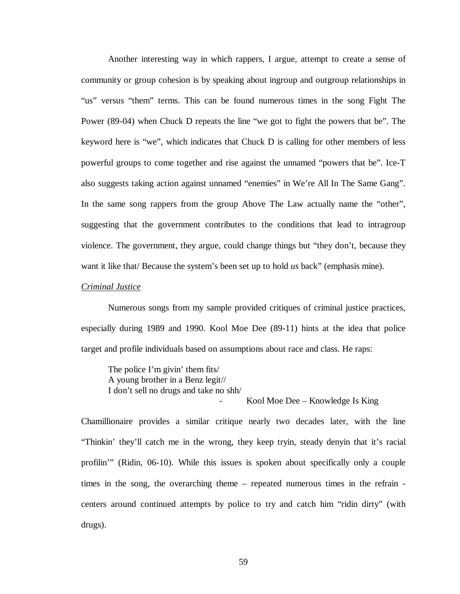Another interesting way in which rappers, I argue, attempt to create a sense of community or group cohesion is by speaking about ingroup and outgroup relationships in "us" versus "them" terms. This can be found numerous times in the song Fight The Power (89-04) when Chuck D repeats the line "we got to fight the powers that be". The keyword here is "we", which indicates that Chuck D is calling for other members of less powerful groups to come together and rise against the unnamed "powers that be". Ice-T also suggests taking action against unnamed "enemies" in We're All In The Same Gang". In the same song rappers from the group Above The Law actually name the "other", suggesting that the government contributes to the conditions that lead to intragroup violence. The government, they argue, could change things but "they don't, because they want it like that/ Because the system's been set up to hold *us* back" (emphasis mine).

### *Criminal Justice*

 Numerous songs from my sample provided critiques of criminal justice practices, especially during 1989 and 1990. Kool Moe Dee (89-11) hints at the idea that police target and profile individuals based on assumptions about race and class. He raps:

The police I'm givin' them fits/ A young brother in a Benz legit// I don't sell no drugs and take no shh/

Kool Moe Dee – Knowledge Is King

Chamillionaire provides a similar critique nearly two decades later, with the line "Thinkin' they'll catch me in the wrong, they keep tryin, steady denyin that it's racial profilin'" (Ridin, 06-10). While this issues is spoken about specifically only a couple times in the song, the overarching theme – repeated numerous times in the refrain centers around continued attempts by police to try and catch him "ridin dirty" (with drugs).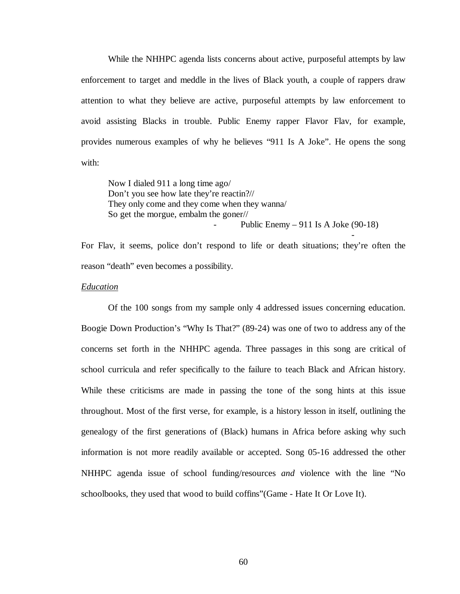While the NHHPC agenda lists concerns about active, purposeful attempts by law enforcement to target and meddle in the lives of Black youth, a couple of rappers draw attention to what they believe are active, purposeful attempts by law enforcement to avoid assisting Blacks in trouble. Public Enemy rapper Flavor Flav, for example, provides numerous examples of why he believes "911 Is A Joke". He opens the song with:

Now I dialed 911 a long time ago/ Don't you see how late they're reactin?// They only come and they come when they wanna/ So get the morgue, embalm the goner// Public Enemy – 911 Is A Joke (90-18)

For Flav, it seems, police don't respond to life or death situations; they're often the reason "death" even becomes a possibility.

-

### *Education*

Of the 100 songs from my sample only 4 addressed issues concerning education. Boogie Down Production's "Why Is That?" (89-24) was one of two to address any of the concerns set forth in the NHHPC agenda. Three passages in this song are critical of school curricula and refer specifically to the failure to teach Black and African history. While these criticisms are made in passing the tone of the song hints at this issue throughout. Most of the first verse, for example, is a history lesson in itself, outlining the genealogy of the first generations of (Black) humans in Africa before asking why such information is not more readily available or accepted. Song 05-16 addressed the other NHHPC agenda issue of school funding/resources *and* violence with the line "No schoolbooks, they used that wood to build coffins"(Game - Hate It Or Love It).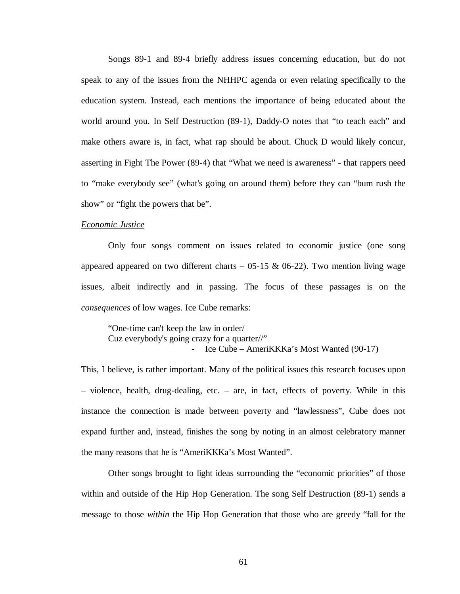Songs 89-1 and 89-4 briefly address issues concerning education, but do not speak to any of the issues from the NHHPC agenda or even relating specifically to the education system. Instead, each mentions the importance of being educated about the world around you. In Self Destruction (89-1), Daddy-O notes that "to teach each" and make others aware is, in fact, what rap should be about. Chuck D would likely concur, asserting in Fight The Power (89-4) that "What we need is awareness" - that rappers need to "make everybody see" (what's going on around them) before they can "bum rush the show" or "fight the powers that be".

## *Economic Justice*

 Only four songs comment on issues related to economic justice (one song appeared appeared on two different charts – 05-15  $\&$  06-22). Two mention living wage issues, albeit indirectly and in passing. The focus of these passages is on the *consequences* of low wages. Ice Cube remarks:

"One-time can't keep the law in order/ Cuz everybody's going crazy for a quarter//" Ice Cube – AmeriKKKa's Most Wanted (90-17)

This, I believe, is rather important. Many of the political issues this research focuses upon – violence, health, drug-dealing, etc. – are, in fact, effects of poverty. While in this instance the connection is made between poverty and "lawlessness", Cube does not expand further and, instead, finishes the song by noting in an almost celebratory manner the many reasons that he is "AmeriKKKa's Most Wanted".

 Other songs brought to light ideas surrounding the "economic priorities" of those within and outside of the Hip Hop Generation. The song Self Destruction (89-1) sends a message to those *within* the Hip Hop Generation that those who are greedy "fall for the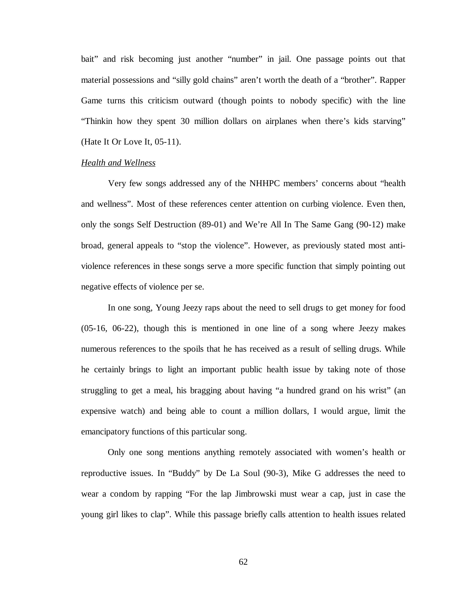bait" and risk becoming just another "number" in jail. One passage points out that material possessions and "silly gold chains" aren't worth the death of a "brother". Rapper Game turns this criticism outward (though points to nobody specific) with the line "Thinkin how they spent 30 million dollars on airplanes when there's kids starving" (Hate It Or Love It, 05-11).

#### *Health and Wellness*

 Very few songs addressed any of the NHHPC members' concerns about "health and wellness". Most of these references center attention on curbing violence. Even then, only the songs Self Destruction (89-01) and We're All In The Same Gang (90-12) make broad, general appeals to "stop the violence". However, as previously stated most antiviolence references in these songs serve a more specific function that simply pointing out negative effects of violence per se.

In one song, Young Jeezy raps about the need to sell drugs to get money for food (05-16, 06-22), though this is mentioned in one line of a song where Jeezy makes numerous references to the spoils that he has received as a result of selling drugs. While he certainly brings to light an important public health issue by taking note of those struggling to get a meal, his bragging about having "a hundred grand on his wrist" (an expensive watch) and being able to count a million dollars, I would argue, limit the emancipatory functions of this particular song.

Only one song mentions anything remotely associated with women's health or reproductive issues. In "Buddy" by De La Soul (90-3), Mike G addresses the need to wear a condom by rapping "For the lap Jimbrowski must wear a cap, just in case the young girl likes to clap". While this passage briefly calls attention to health issues related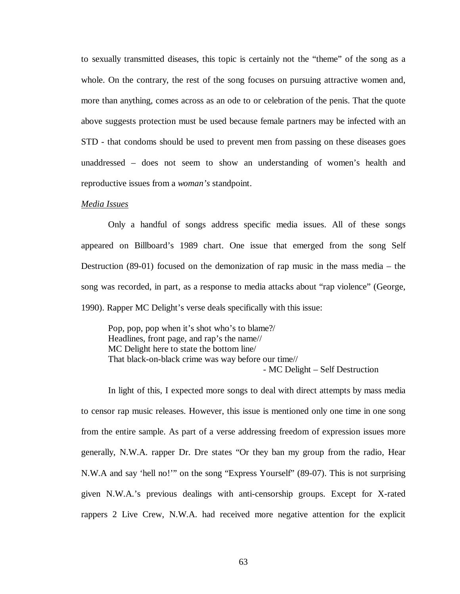to sexually transmitted diseases, this topic is certainly not the "theme" of the song as a whole. On the contrary, the rest of the song focuses on pursuing attractive women and, more than anything, comes across as an ode to or celebration of the penis. That the quote above suggests protection must be used because female partners may be infected with an STD - that condoms should be used to prevent men from passing on these diseases goes unaddressed – does not seem to show an understanding of women's health and reproductive issues from a *woman's* standpoint.

#### *Media Issues*

 Only a handful of songs address specific media issues. All of these songs appeared on Billboard's 1989 chart. One issue that emerged from the song Self Destruction (89-01) focused on the demonization of rap music in the mass media – the song was recorded, in part, as a response to media attacks about "rap violence" (George, 1990). Rapper MC Delight's verse deals specifically with this issue:

Pop, pop, pop when it's shot who's to blame?/ Headlines, front page, and rap's the name// MC Delight here to state the bottom line/ That black-on-black crime was way before our time// - MC Delight – Self Destruction

 In light of this, I expected more songs to deal with direct attempts by mass media to censor rap music releases. However, this issue is mentioned only one time in one song from the entire sample. As part of a verse addressing freedom of expression issues more generally, N.W.A. rapper Dr. Dre states "Or they ban my group from the radio, Hear N.W.A and say 'hell no!'" on the song "Express Yourself" (89-07). This is not surprising given N.W.A.'s previous dealings with anti-censorship groups. Except for X-rated rappers 2 Live Crew, N.W.A. had received more negative attention for the explicit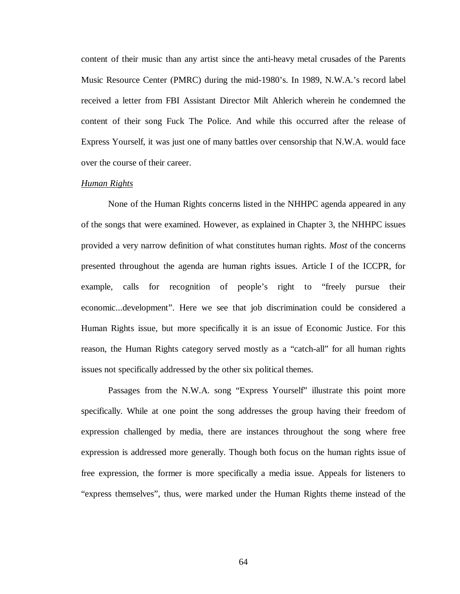content of their music than any artist since the anti-heavy metal crusades of the Parents Music Resource Center (PMRC) during the mid-1980's. In 1989, N.W.A.'s record label received a letter from FBI Assistant Director Milt Ahlerich wherein he condemned the content of their song Fuck The Police. And while this occurred after the release of Express Yourself, it was just one of many battles over censorship that N.W.A. would face over the course of their career.

### *Human Rights*

 None of the Human Rights concerns listed in the NHHPC agenda appeared in any of the songs that were examined. However, as explained in Chapter 3, the NHHPC issues provided a very narrow definition of what constitutes human rights. *Most* of the concerns presented throughout the agenda are human rights issues. Article I of the ICCPR, for example, calls for recognition of people's right to "freely pursue their economic...development". Here we see that job discrimination could be considered a Human Rights issue, but more specifically it is an issue of Economic Justice. For this reason, the Human Rights category served mostly as a "catch-all" for all human rights issues not specifically addressed by the other six political themes.

 Passages from the N.W.A. song "Express Yourself" illustrate this point more specifically. While at one point the song addresses the group having their freedom of expression challenged by media, there are instances throughout the song where free expression is addressed more generally. Though both focus on the human rights issue of free expression, the former is more specifically a media issue. Appeals for listeners to "express themselves", thus, were marked under the Human Rights theme instead of the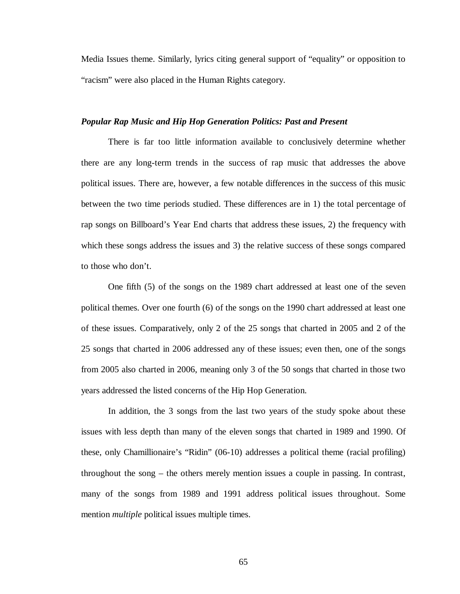Media Issues theme. Similarly, lyrics citing general support of "equality" or opposition to "racism" were also placed in the Human Rights category.

## *Popular Rap Music and Hip Hop Generation Politics: Past and Present*

There is far too little information available to conclusively determine whether there are any long-term trends in the success of rap music that addresses the above political issues. There are, however, a few notable differences in the success of this music between the two time periods studied. These differences are in 1) the total percentage of rap songs on Billboard's Year End charts that address these issues, 2) the frequency with which these songs address the issues and 3) the relative success of these songs compared to those who don't.

 One fifth (5) of the songs on the 1989 chart addressed at least one of the seven political themes. Over one fourth (6) of the songs on the 1990 chart addressed at least one of these issues. Comparatively, only 2 of the 25 songs that charted in 2005 and 2 of the 25 songs that charted in 2006 addressed any of these issues; even then, one of the songs from 2005 also charted in 2006, meaning only 3 of the 50 songs that charted in those two years addressed the listed concerns of the Hip Hop Generation.

 In addition, the 3 songs from the last two years of the study spoke about these issues with less depth than many of the eleven songs that charted in 1989 and 1990. Of these, only Chamillionaire's "Ridin" (06-10) addresses a political theme (racial profiling) throughout the song – the others merely mention issues a couple in passing. In contrast, many of the songs from 1989 and 1991 address political issues throughout. Some mention *multiple* political issues multiple times.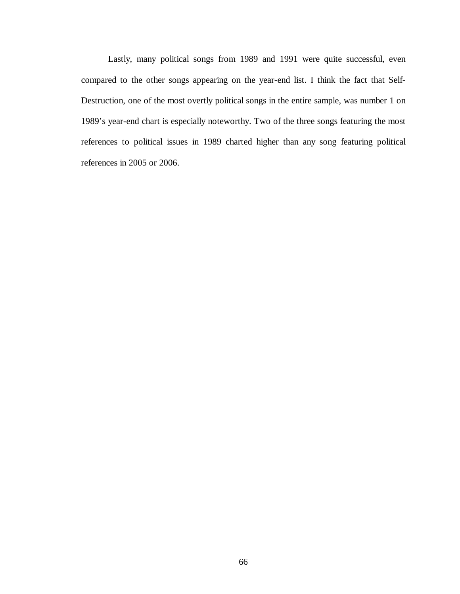Lastly, many political songs from 1989 and 1991 were quite successful, even compared to the other songs appearing on the year-end list. I think the fact that Self-Destruction, one of the most overtly political songs in the entire sample, was number 1 on 1989's year-end chart is especially noteworthy. Two of the three songs featuring the most references to political issues in 1989 charted higher than any song featuring political references in 2005 or 2006.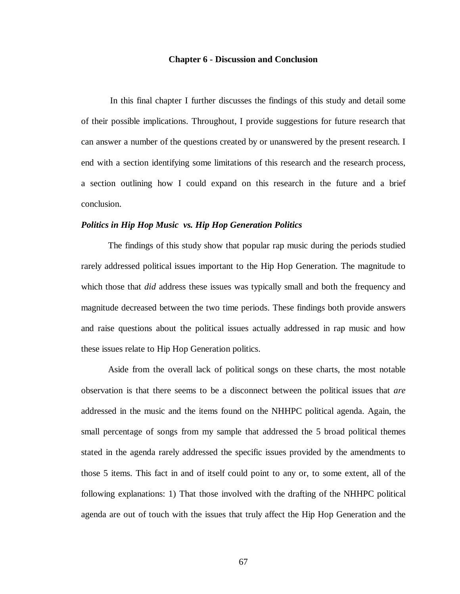#### **Chapter 6 - Discussion and Conclusion**

 In this final chapter I further discusses the findings of this study and detail some of their possible implications. Throughout, I provide suggestions for future research that can answer a number of the questions created by or unanswered by the present research. I end with a section identifying some limitations of this research and the research process, a section outlining how I could expand on this research in the future and a brief conclusion.

#### *Politics in Hip Hop Music vs. Hip Hop Generation Politics*

The findings of this study show that popular rap music during the periods studied rarely addressed political issues important to the Hip Hop Generation. The magnitude to which those that *did* address these issues was typically small and both the frequency and magnitude decreased between the two time periods. These findings both provide answers and raise questions about the political issues actually addressed in rap music and how these issues relate to Hip Hop Generation politics.

Aside from the overall lack of political songs on these charts, the most notable observation is that there seems to be a disconnect between the political issues that *are* addressed in the music and the items found on the NHHPC political agenda. Again, the small percentage of songs from my sample that addressed the 5 broad political themes stated in the agenda rarely addressed the specific issues provided by the amendments to those 5 items. This fact in and of itself could point to any or, to some extent, all of the following explanations: 1) That those involved with the drafting of the NHHPC political agenda are out of touch with the issues that truly affect the Hip Hop Generation and the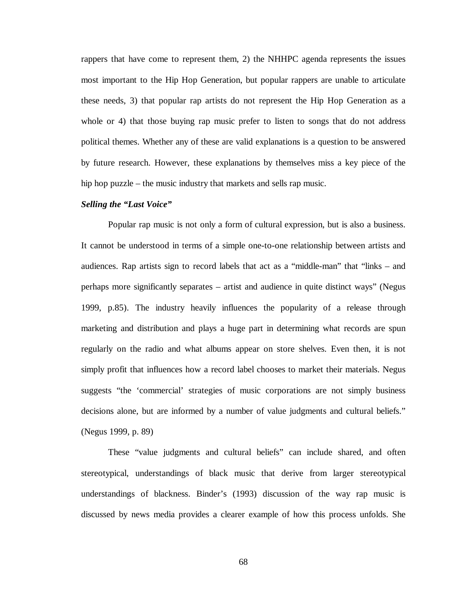rappers that have come to represent them, 2) the NHHPC agenda represents the issues most important to the Hip Hop Generation, but popular rappers are unable to articulate these needs, 3) that popular rap artists do not represent the Hip Hop Generation as a whole or 4) that those buying rap music prefer to listen to songs that do not address political themes. Whether any of these are valid explanations is a question to be answered by future research. However, these explanations by themselves miss a key piece of the hip hop puzzle – the music industry that markets and sells rap music.

#### *Selling the "Last Voice"*

Popular rap music is not only a form of cultural expression, but is also a business. It cannot be understood in terms of a simple one-to-one relationship between artists and audiences. Rap artists sign to record labels that act as a "middle-man" that "links – and perhaps more significantly separates – artist and audience in quite distinct ways" (Negus 1999, p.85). The industry heavily influences the popularity of a release through marketing and distribution and plays a huge part in determining what records are spun regularly on the radio and what albums appear on store shelves. Even then, it is not simply profit that influences how a record label chooses to market their materials. Negus suggests "the 'commercial' strategies of music corporations are not simply business decisions alone, but are informed by a number of value judgments and cultural beliefs." (Negus 1999, p. 89)

These "value judgments and cultural beliefs" can include shared, and often stereotypical, understandings of black music that derive from larger stereotypical understandings of blackness. Binder's (1993) discussion of the way rap music is discussed by news media provides a clearer example of how this process unfolds. She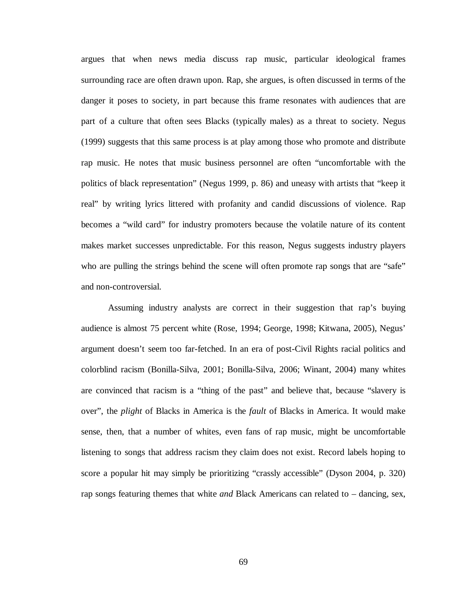argues that when news media discuss rap music, particular ideological frames surrounding race are often drawn upon. Rap, she argues, is often discussed in terms of the danger it poses to society, in part because this frame resonates with audiences that are part of a culture that often sees Blacks (typically males) as a threat to society. Negus (1999) suggests that this same process is at play among those who promote and distribute rap music. He notes that music business personnel are often "uncomfortable with the politics of black representation" (Negus 1999, p. 86) and uneasy with artists that "keep it real" by writing lyrics littered with profanity and candid discussions of violence. Rap becomes a "wild card" for industry promoters because the volatile nature of its content makes market successes unpredictable. For this reason, Negus suggests industry players who are pulling the strings behind the scene will often promote rap songs that are "safe" and non-controversial.

Assuming industry analysts are correct in their suggestion that rap's buying audience is almost 75 percent white (Rose, 1994; George, 1998; Kitwana, 2005), Negus' argument doesn't seem too far-fetched. In an era of post-Civil Rights racial politics and colorblind racism (Bonilla-Silva, 2001; Bonilla-Silva, 2006; Winant, 2004) many whites are convinced that racism is a "thing of the past" and believe that, because "slavery is over", the *plight* of Blacks in America is the *fault* of Blacks in America. It would make sense, then, that a number of whites, even fans of rap music, might be uncomfortable listening to songs that address racism they claim does not exist. Record labels hoping to score a popular hit may simply be prioritizing "crassly accessible" (Dyson 2004, p. 320) rap songs featuring themes that white *and* Black Americans can related to – dancing, sex,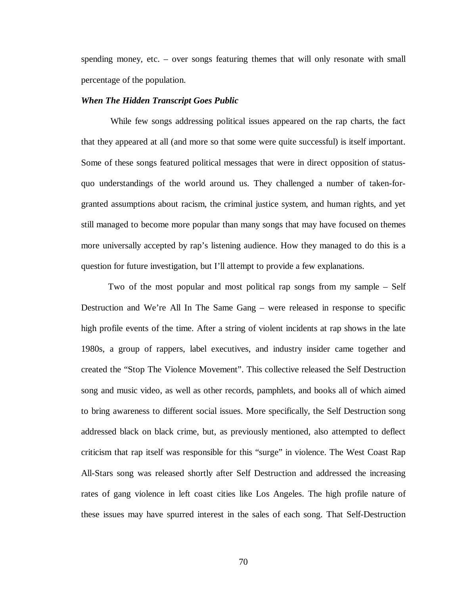spending money, etc. – over songs featuring themes that will only resonate with small percentage of the population.

#### *When The Hidden Transcript Goes Public*

 While few songs addressing political issues appeared on the rap charts, the fact that they appeared at all (and more so that some were quite successful) is itself important. Some of these songs featured political messages that were in direct opposition of statusquo understandings of the world around us. They challenged a number of taken-forgranted assumptions about racism, the criminal justice system, and human rights, and yet still managed to become more popular than many songs that may have focused on themes more universally accepted by rap's listening audience. How they managed to do this is a question for future investigation, but I'll attempt to provide a few explanations.

Two of the most popular and most political rap songs from my sample – Self Destruction and We're All In The Same Gang – were released in response to specific high profile events of the time. After a string of violent incidents at rap shows in the late 1980s, a group of rappers, label executives, and industry insider came together and created the "Stop The Violence Movement". This collective released the Self Destruction song and music video, as well as other records, pamphlets, and books all of which aimed to bring awareness to different social issues. More specifically, the Self Destruction song addressed black on black crime, but, as previously mentioned, also attempted to deflect criticism that rap itself was responsible for this "surge" in violence. The West Coast Rap All-Stars song was released shortly after Self Destruction and addressed the increasing rates of gang violence in left coast cities like Los Angeles. The high profile nature of these issues may have spurred interest in the sales of each song. That Self-Destruction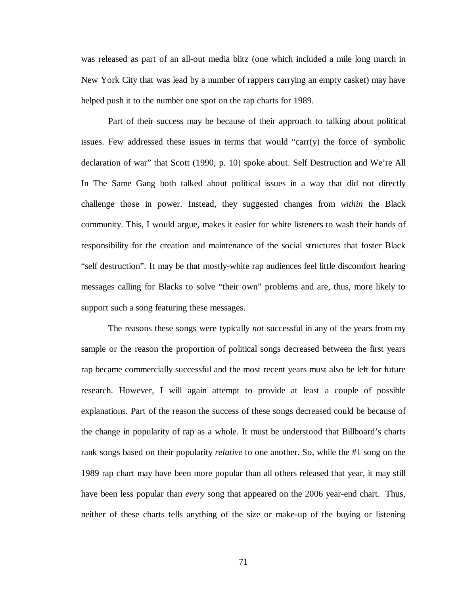was released as part of an all-out media blitz (one which included a mile long march in New York City that was lead by a number of rappers carrying an empty casket) may have helped push it to the number one spot on the rap charts for 1989.

Part of their success may be because of their approach to talking about political issues. Few addressed these issues in terms that would "carr(y) the force of symbolic declaration of war" that Scott (1990, p. 10) spoke about. Self Destruction and We're All In The Same Gang both talked about political issues in a way that did not directly challenge those in power. Instead, they suggested changes from *within* the Black community. This, I would argue, makes it easier for white listeners to wash their hands of responsibility for the creation and maintenance of the social structures that foster Black "self destruction". It may be that mostly-white rap audiences feel little discomfort hearing messages calling for Blacks to solve "their own" problems and are, thus, more likely to support such a song featuring these messages.

The reasons these songs were typically *not* successful in any of the years from my sample or the reason the proportion of political songs decreased between the first years rap became commercially successful and the most recent years must also be left for future research. However, I will again attempt to provide at least a couple of possible explanations. Part of the reason the success of these songs decreased could be because of the change in popularity of rap as a whole. It must be understood that Billboard's charts rank songs based on their popularity *relative* to one another. So, while the #1 song on the 1989 rap chart may have been more popular than all others released that year, it may still have been less popular than *every* song that appeared on the 2006 year-end chart. Thus, neither of these charts tells anything of the size or make-up of the buying or listening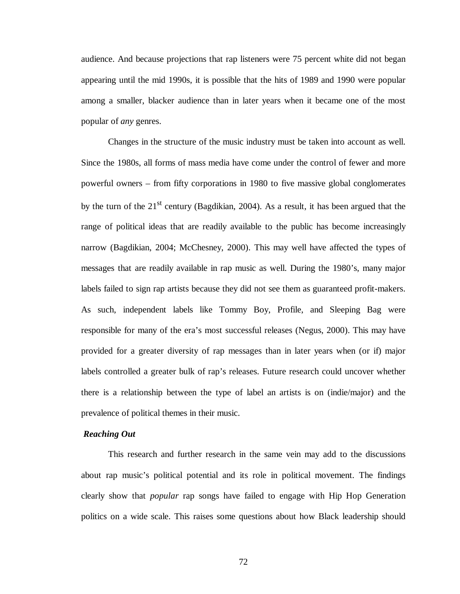audience. And because projections that rap listeners were 75 percent white did not began appearing until the mid 1990s, it is possible that the hits of 1989 and 1990 were popular among a smaller, blacker audience than in later years when it became one of the most popular of *any* genres.

Changes in the structure of the music industry must be taken into account as well. Since the 1980s, all forms of mass media have come under the control of fewer and more powerful owners – from fifty corporations in 1980 to five massive global conglomerates by the turn of the  $21<sup>st</sup>$  century (Bagdikian, 2004). As a result, it has been argued that the range of political ideas that are readily available to the public has become increasingly narrow (Bagdikian, 2004; McChesney, 2000). This may well have affected the types of messages that are readily available in rap music as well. During the 1980's, many major labels failed to sign rap artists because they did not see them as guaranteed profit-makers. As such, independent labels like Tommy Boy, Profile, and Sleeping Bag were responsible for many of the era's most successful releases (Negus, 2000). This may have provided for a greater diversity of rap messages than in later years when (or if) major labels controlled a greater bulk of rap's releases. Future research could uncover whether there is a relationship between the type of label an artists is on (indie/major) and the prevalence of political themes in their music.

#### *Reaching Out*

 This research and further research in the same vein may add to the discussions about rap music's political potential and its role in political movement. The findings clearly show that *popular* rap songs have failed to engage with Hip Hop Generation politics on a wide scale. This raises some questions about how Black leadership should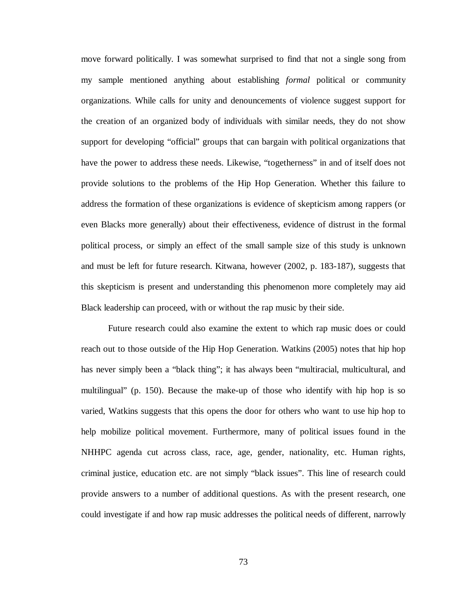move forward politically. I was somewhat surprised to find that not a single song from my sample mentioned anything about establishing *formal* political or community organizations. While calls for unity and denouncements of violence suggest support for the creation of an organized body of individuals with similar needs, they do not show support for developing "official" groups that can bargain with political organizations that have the power to address these needs. Likewise, "togetherness" in and of itself does not provide solutions to the problems of the Hip Hop Generation. Whether this failure to address the formation of these organizations is evidence of skepticism among rappers (or even Blacks more generally) about their effectiveness, evidence of distrust in the formal political process, or simply an effect of the small sample size of this study is unknown and must be left for future research. Kitwana, however (2002, p. 183-187), suggests that this skepticism is present and understanding this phenomenon more completely may aid Black leadership can proceed, with or without the rap music by their side.

 Future research could also examine the extent to which rap music does or could reach out to those outside of the Hip Hop Generation. Watkins (2005) notes that hip hop has never simply been a "black thing"; it has always been "multiracial, multicultural, and multilingual" (p. 150). Because the make-up of those who identify with hip hop is so varied, Watkins suggests that this opens the door for others who want to use hip hop to help mobilize political movement. Furthermore, many of political issues found in the NHHPC agenda cut across class, race, age, gender, nationality, etc. Human rights, criminal justice, education etc. are not simply "black issues". This line of research could provide answers to a number of additional questions. As with the present research, one could investigate if and how rap music addresses the political needs of different, narrowly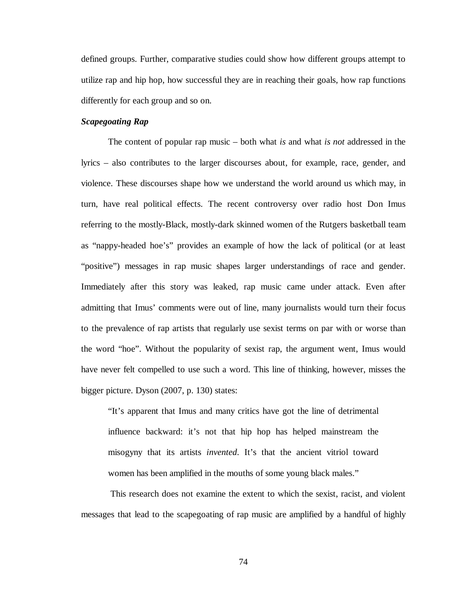defined groups. Further, comparative studies could show how different groups attempt to utilize rap and hip hop, how successful they are in reaching their goals, how rap functions differently for each group and so on.

#### *Scapegoating Rap*

 The content of popular rap music – both what *is* and what *is not* addressed in the lyrics – also contributes to the larger discourses about, for example, race, gender, and violence. These discourses shape how we understand the world around us which may, in turn, have real political effects. The recent controversy over radio host Don Imus referring to the mostly-Black, mostly-dark skinned women of the Rutgers basketball team as "nappy-headed hoe's" provides an example of how the lack of political (or at least "positive") messages in rap music shapes larger understandings of race and gender. Immediately after this story was leaked, rap music came under attack. Even after admitting that Imus' comments were out of line, many journalists would turn their focus to the prevalence of rap artists that regularly use sexist terms on par with or worse than the word "hoe". Without the popularity of sexist rap, the argument went, Imus would have never felt compelled to use such a word. This line of thinking, however, misses the bigger picture. Dyson (2007, p. 130) states:

"It's apparent that Imus and many critics have got the line of detrimental influence backward: it's not that hip hop has helped mainstream the misogyny that its artists *invented*. It's that the ancient vitriol toward women has been amplified in the mouths of some young black males."

 This research does not examine the extent to which the sexist, racist, and violent messages that lead to the scapegoating of rap music are amplified by a handful of highly

74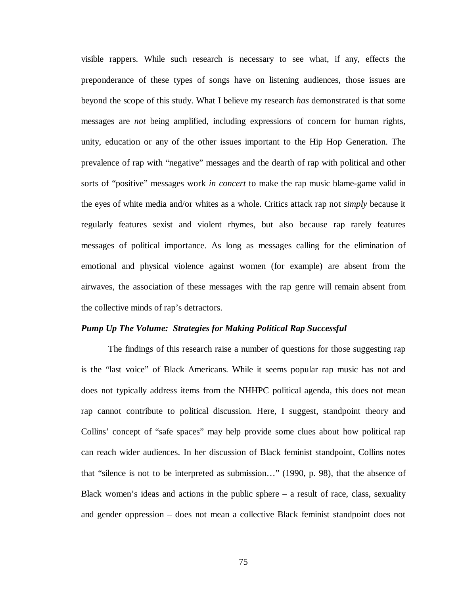visible rappers. While such research is necessary to see what, if any, effects the preponderance of these types of songs have on listening audiences, those issues are beyond the scope of this study. What I believe my research *has* demonstrated is that some messages are *not* being amplified, including expressions of concern for human rights, unity, education or any of the other issues important to the Hip Hop Generation. The prevalence of rap with "negative" messages and the dearth of rap with political and other sorts of "positive" messages work *in concert* to make the rap music blame-game valid in the eyes of white media and/or whites as a whole. Critics attack rap not *simply* because it regularly features sexist and violent rhymes, but also because rap rarely features messages of political importance. As long as messages calling for the elimination of emotional and physical violence against women (for example) are absent from the airwaves, the association of these messages with the rap genre will remain absent from the collective minds of rap's detractors.

#### *Pump Up The Volume: Strategies for Making Political Rap Successful*

The findings of this research raise a number of questions for those suggesting rap is the "last voice" of Black Americans. While it seems popular rap music has not and does not typically address items from the NHHPC political agenda, this does not mean rap cannot contribute to political discussion. Here, I suggest, standpoint theory and Collins' concept of "safe spaces" may help provide some clues about how political rap can reach wider audiences. In her discussion of Black feminist standpoint, Collins notes that "silence is not to be interpreted as submission…" (1990, p. 98), that the absence of Black women's ideas and actions in the public sphere  $-$  a result of race, class, sexuality and gender oppression – does not mean a collective Black feminist standpoint does not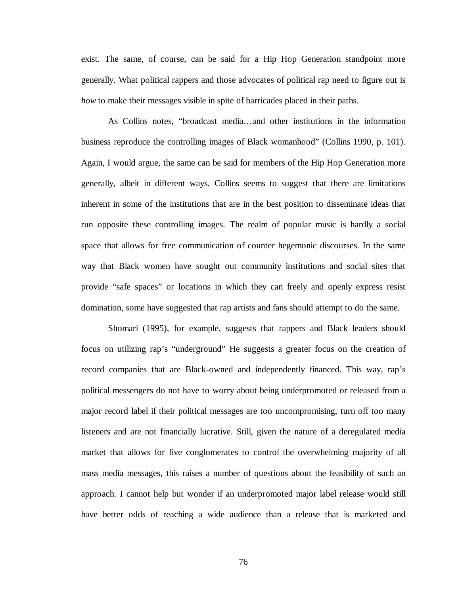exist. The same, of course, can be said for a Hip Hop Generation standpoint more generally. What political rappers and those advocates of political rap need to figure out is *how* to make their messages visible in spite of barricades placed in their paths.

As Collins notes, "broadcast media…and other institutions in the information business reproduce the controlling images of Black womanhood" (Collins 1990, p. 101). Again, I would argue, the same can be said for members of the Hip Hop Generation more generally, albeit in different ways. Collins seems to suggest that there are limitations inherent in some of the institutions that are in the best position to disseminate ideas that run opposite these controlling images. The realm of popular music is hardly a social space that allows for free communication of counter hegemonic discourses. In the same way that Black women have sought out community institutions and social sites that provide "safe spaces" or locations in which they can freely and openly express resist domination, some have suggested that rap artists and fans should attempt to do the same.

Shomari (1995), for example, suggests that rappers and Black leaders should focus on utilizing rap's "underground" He suggests a greater focus on the creation of record companies that are Black-owned and independently financed. This way, rap's political messengers do not have to worry about being underpromoted or released from a major record label if their political messages are too uncompromising, turn off too many listeners and are not financially lucrative. Still, given the nature of a deregulated media market that allows for five conglomerates to control the overwhelming majority of all mass media messages, this raises a number of questions about the feasibility of such an approach. I cannot help but wonder if an underpromoted major label release would still have better odds of reaching a wide audience than a release that is marketed and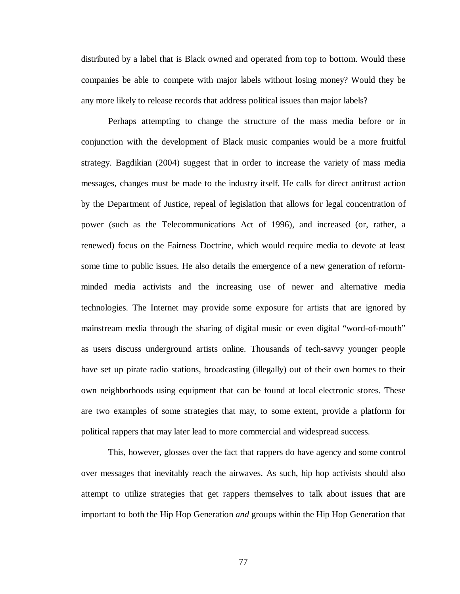distributed by a label that is Black owned and operated from top to bottom. Would these companies be able to compete with major labels without losing money? Would they be any more likely to release records that address political issues than major labels?

Perhaps attempting to change the structure of the mass media before or in conjunction with the development of Black music companies would be a more fruitful strategy. Bagdikian (2004) suggest that in order to increase the variety of mass media messages, changes must be made to the industry itself. He calls for direct antitrust action by the Department of Justice, repeal of legislation that allows for legal concentration of power (such as the Telecommunications Act of 1996), and increased (or, rather, a renewed) focus on the Fairness Doctrine, which would require media to devote at least some time to public issues. He also details the emergence of a new generation of reformminded media activists and the increasing use of newer and alternative media technologies. The Internet may provide some exposure for artists that are ignored by mainstream media through the sharing of digital music or even digital "word-of-mouth" as users discuss underground artists online. Thousands of tech-savvy younger people have set up pirate radio stations, broadcasting (illegally) out of their own homes to their own neighborhoods using equipment that can be found at local electronic stores. These are two examples of some strategies that may, to some extent, provide a platform for political rappers that may later lead to more commercial and widespread success.

 This, however, glosses over the fact that rappers do have agency and some control over messages that inevitably reach the airwaves. As such, hip hop activists should also attempt to utilize strategies that get rappers themselves to talk about issues that are important to both the Hip Hop Generation *and* groups within the Hip Hop Generation that

77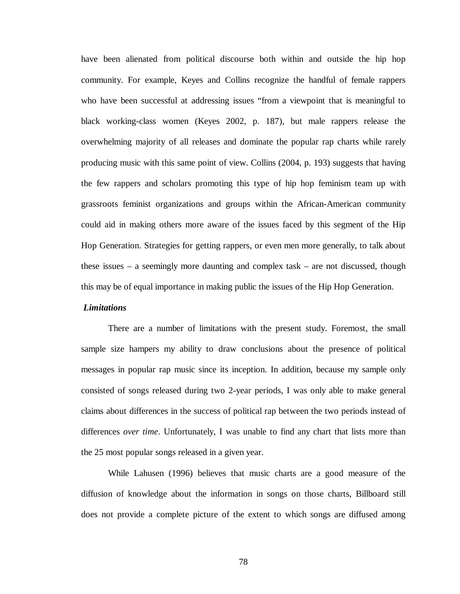have been alienated from political discourse both within and outside the hip hop community. For example, Keyes and Collins recognize the handful of female rappers who have been successful at addressing issues "from a viewpoint that is meaningful to black working-class women (Keyes 2002, p. 187), but male rappers release the overwhelming majority of all releases and dominate the popular rap charts while rarely producing music with this same point of view. Collins (2004, p. 193) suggests that having the few rappers and scholars promoting this type of hip hop feminism team up with grassroots feminist organizations and groups within the African-American community could aid in making others more aware of the issues faced by this segment of the Hip Hop Generation. Strategies for getting rappers, or even men more generally, to talk about these issues – a seemingly more daunting and complex task – are not discussed, though this may be of equal importance in making public the issues of the Hip Hop Generation.

#### *Limitations*

 There are a number of limitations with the present study. Foremost, the small sample size hampers my ability to draw conclusions about the presence of political messages in popular rap music since its inception. In addition, because my sample only consisted of songs released during two 2-year periods, I was only able to make general claims about differences in the success of political rap between the two periods instead of differences *over time*. Unfortunately, I was unable to find any chart that lists more than the 25 most popular songs released in a given year.

While Lahusen (1996) believes that music charts are a good measure of the diffusion of knowledge about the information in songs on those charts, Billboard still does not provide a complete picture of the extent to which songs are diffused among

78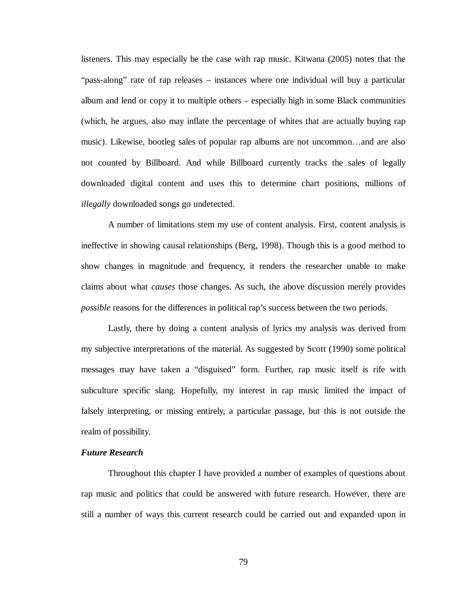listeners. This may especially be the case with rap music. Kitwana (2005) notes that the "pass-along" rate of rap releases – instances where one individual will buy a particular album and lend or copy it to multiple others – especially high in some Black communities (which, he argues, also may inflate the percentage of whites that are actually buying rap music). Likewise, bootleg sales of popular rap albums are not uncommon…and are also not counted by Billboard. And while Billboard currently tracks the sales of legally downloaded digital content and uses this to determine chart positions, millions of *illegally* downloaded songs go undetected.

 A number of limitations stem my use of content analysis. First, content analysis is ineffective in showing causal relationships (Berg, 1998). Though this is a good method to show changes in magnitude and frequency, it renders the researcher unable to make claims about what *causes* those changes. As such, the above discussion merely provides *possible* reasons for the differences in political rap's success between the two periods.

 Lastly, there by doing a content analysis of lyrics my analysis was derived from my subjective interpretations of the material. As suggested by Scott (1990) some political messages may have taken a "disguised" form. Further, rap music itself is rife with subculture specific slang. Hopefully, my interest in rap music limited the impact of falsely interpreting, or missing entirely, a particular passage, but this is not outside the realm of possibility.

#### *Future Research*

 Throughout this chapter I have provided a number of examples of questions about rap music and politics that could be answered with future research. However, there are still a number of ways this current research could be carried out and expanded upon in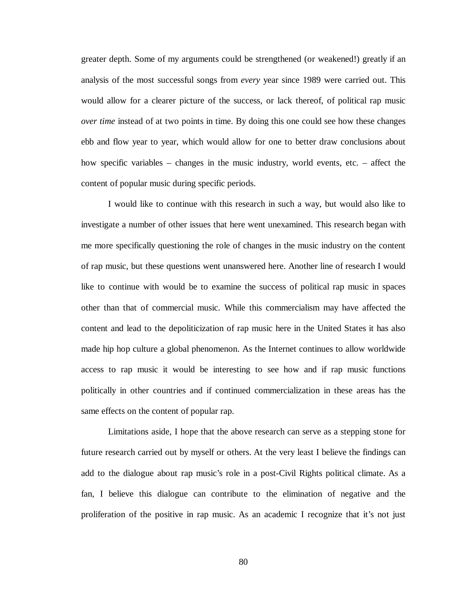greater depth. Some of my arguments could be strengthened (or weakened!) greatly if an analysis of the most successful songs from *every* year since 1989 were carried out. This would allow for a clearer picture of the success, or lack thereof, of political rap music *over time* instead of at two points in time. By doing this one could see how these changes ebb and flow year to year, which would allow for one to better draw conclusions about how specific variables – changes in the music industry, world events, etc. – affect the content of popular music during specific periods.

 I would like to continue with this research in such a way, but would also like to investigate a number of other issues that here went unexamined. This research began with me more specifically questioning the role of changes in the music industry on the content of rap music, but these questions went unanswered here. Another line of research I would like to continue with would be to examine the success of political rap music in spaces other than that of commercial music. While this commercialism may have affected the content and lead to the depoliticization of rap music here in the United States it has also made hip hop culture a global phenomenon. As the Internet continues to allow worldwide access to rap music it would be interesting to see how and if rap music functions politically in other countries and if continued commercialization in these areas has the same effects on the content of popular rap.

 Limitations aside, I hope that the above research can serve as a stepping stone for future research carried out by myself or others. At the very least I believe the findings can add to the dialogue about rap music's role in a post-Civil Rights political climate. As a fan, I believe this dialogue can contribute to the elimination of negative and the proliferation of the positive in rap music. As an academic I recognize that it's not just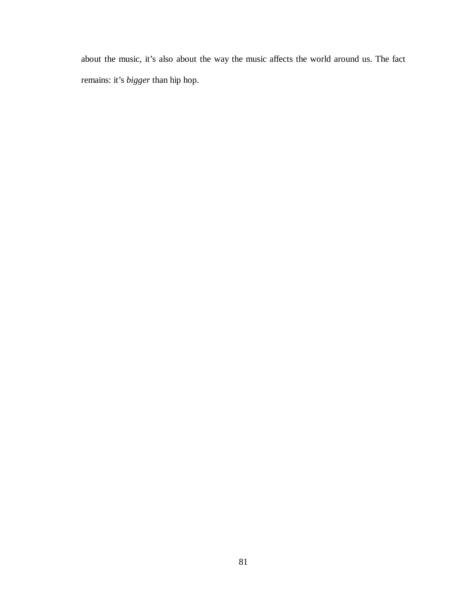about the music, it's also about the way the music affects the world around us. The fact remains: it's *bigger* than hip hop.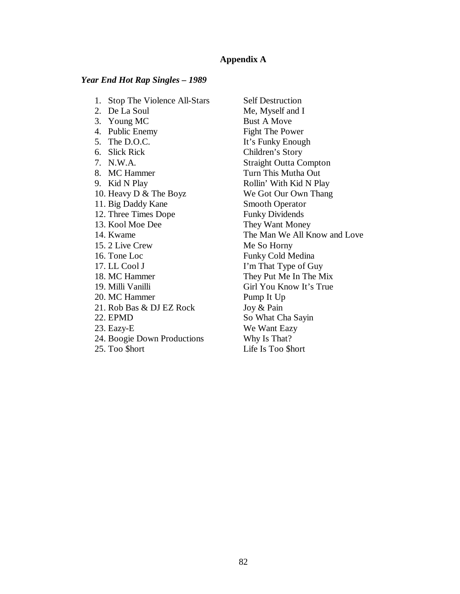## **Appendix A**

#### *Year End Hot Rap Singles – 1989*

- 1. Stop The Violence All-Stars Self Destruction
- 
- 
- 
- 
- 
- 
- 
- 
- 
- 11. Big Daddy Kane Smooth Operator
- 12. Three Times Dope Funky Dividends
- 
- 
- 15. 2 Live Crew Me So Horny
- 
- 
- 
- 
- 20. MC Hammer Pump It Up
- 21. Rob Bas & DJ EZ Rock Joy & Pain
- 
- 
- 24. Boogie Down Productions Why Is That?
- 

2. De La Soul Me, Myself and I 3. Young MC Bust A Move 4. Public Enemy Fight The Power 5. The D.O.C. It's Funky Enough 6. Slick Rick Children's Story 7. N.W.A. Straight Outta Compton 8. MC Hammer Turn This Mutha Out 9. Kid N Play Rollin' With Kid N Play 10. Heavy D & The Boyz We Got Our Own Thang 13. Kool Moe Dee They Want Money 14. Kwame The Man We All Know and Love 16. Tone Loc Funky Cold Medina 17. LL Cool J I'm That Type of Guy 18. MC Hammer They Put Me In The Mix 19. Milli Vanilli Girl You Know It's True 22. EPMD So What Cha Sayin 23. Eazy-E We Want Eazy 25. Too \$hort Life Is Too \$hort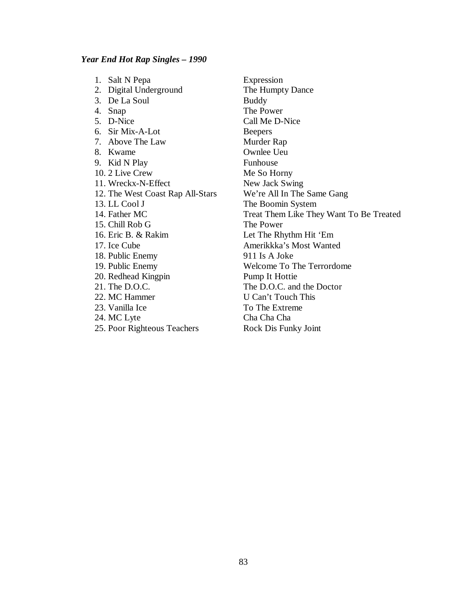1. Salt N Pepa Expression 2. Digital Underground The Humpty Dance 3. De La Soul Buddy 4. Snap The Power 5. D-Nice Call Me D-Nice 6. Sir Mix-A-Lot Beepers 7. Above The Law Murder Rap 8. Kwame Ownlee Ueu 9. Kid N Play Funhouse 10. 2 Live Crew Me So Horny 11. Wreckx-N-Effect New Jack Swing 12. The West Coast Rap All-Stars We're All In The Same Gang 13. LL Cool J The Boomin System 15. Chill Rob G The Power 16. Eric B. & Rakim Let The Rhythm Hit 'Em 17. Ice Cube **Amerikkka**'s Most Wanted 18. Public Enemy 911 Is A Joke 19. Public Enemy Welcome To The Terrordome 20. Redhead Kingpin Pump It Hottie 21. The D.O.C. The D.O.C. and the Doctor 22. MC Hammer U Can't Touch This 23. Vanilla Ice To The Extreme 24. MC Lyte Cha Cha Cha 25. Poor Righteous Teachers Rock Dis Funky Joint

14. Father MC Treat Them Like They Want To Be Treated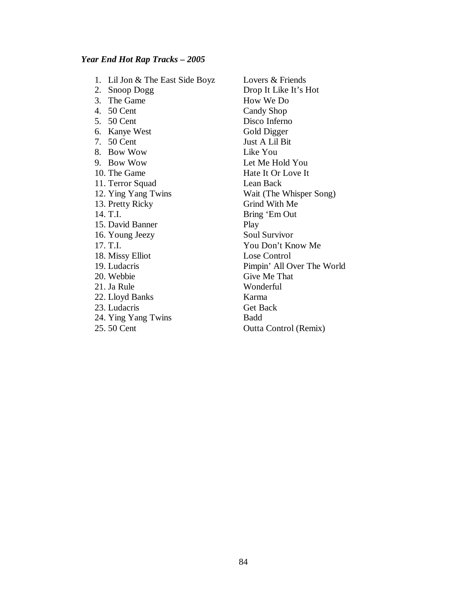1. Lil Jon & The East Side Boyz Lovers & Friends 2. Snoop Dogg Drop It Like It's Hot 3. The Game How We Do 4. 50 Cent Candy Shop 5. 50 Cent Disco Inferno 6. Kanye West Gold Digger 7. 50 Cent Just A Lil Bit 8. Bow Wow Like You<br>
9 Bow Wow Let Me H 10. The Game Hate It Or Love It 11. Terror Squad Lean Back 12. Ying Yang Twins Wait (The Whisper Song) 13. Pretty Ricky Grind With Me 14. T.I. Bring 'Em Out 15. David Banner Play 16. Young Jeezy Soul Survivor 17. T.I. You Don't Know Me 18. Missy Elliot Lose Control 19. Ludacris Pimpin' All Over The World 20. Webbie Give Me That 21. Ja Rule Wonderful 22. Lloyd Banks Karma 23. Ludacris Get Back 24. Ying Yang Twins Badd 25. 50 Cent Outta Control (Remix)

Let Me Hold You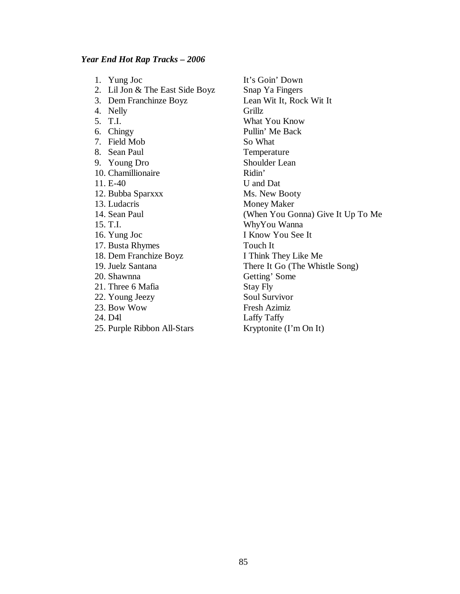1. Yung Joc It's Goin' Down 2. Lil Jon & The East Side Boyz Snap Ya Fingers 3. Dem Franchinze Boyz Lean Wit It, Rock Wit It 4. Nelly Grillz 5. T.I. What You Know 6. Chingy Pullin' Me Back 7. Field Mob So What 8. Sean Paul Temperature 9. Young Dro Shoulder Lean 10. Chamillionaire Ridin' 11. E-40 U and Dat 12. Bubba Sparxxx Ms. New Booty 13. Ludacris Money Maker 15. T.I. WhyYou Wanna 16. Yung Joc I Know You See It 17. Busta Rhymes Touch It 18. Dem Franchize Boyz I Think They Like Me 19. Juelz Santana There It Go (The Whistle Song) 20. Shawnna Getting' Some<br>
21. Three 6 Mafia Stay Fly  $21.$  Three 6 Mafia 22. Young Jeezy Soul Survivor 23. Bow Wow Fresh Azimiz 24. D4l Laffy Taffy 25. Purple Ribbon All-Stars Kryptonite (I'm On It)

14. Sean Paul (When You Gonna) Give It Up To Me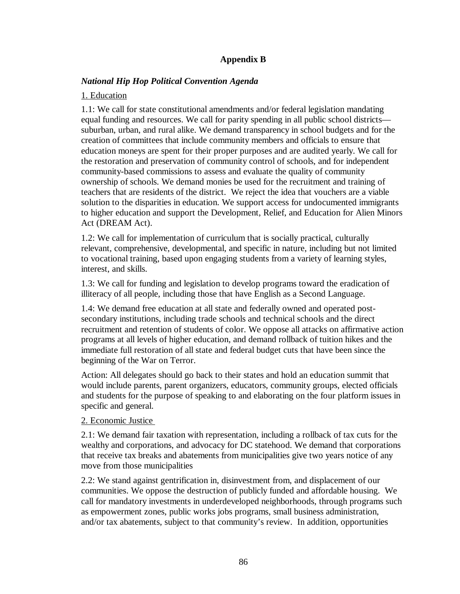# **Appendix B**

## *National Hip Hop Political Convention Agenda*

## 1. Education

1.1: We call for state constitutional amendments and/or federal legislation mandating equal funding and resources. We call for parity spending in all public school districts suburban, urban, and rural alike. We demand transparency in school budgets and for the creation of committees that include community members and officials to ensure that education moneys are spent for their proper purposes and are audited yearly. We call for the restoration and preservation of community control of schools, and for independent community-based commissions to assess and evaluate the quality of community ownership of schools. We demand monies be used for the recruitment and training of teachers that are residents of the district. We reject the idea that vouchers are a viable solution to the disparities in education. We support access for undocumented immigrants to higher education and support the Development, Relief, and Education for Alien Minors Act (DREAM Act).

1.2: We call for implementation of curriculum that is socially practical, culturally relevant, comprehensive, developmental, and specific in nature, including but not limited to vocational training, based upon engaging students from a variety of learning styles, interest, and skills.

1.3: We call for funding and legislation to develop programs toward the eradication of illiteracy of all people, including those that have English as a Second Language.

1.4: We demand free education at all state and federally owned and operated postsecondary institutions, including trade schools and technical schools and the direct recruitment and retention of students of color. We oppose all attacks on affirmative action programs at all levels of higher education, and demand rollback of tuition hikes and the immediate full restoration of all state and federal budget cuts that have been since the beginning of the War on Terror.

Action: All delegates should go back to their states and hold an education summit that would include parents, parent organizers, educators, community groups, elected officials and students for the purpose of speaking to and elaborating on the four platform issues in specific and general.

## 2. Economic Justice

2.1: We demand fair taxation with representation, including a rollback of tax cuts for the wealthy and corporations, and advocacy for DC statehood. We demand that corporations that receive tax breaks and abatements from municipalities give two years notice of any move from those municipalities

2.2: We stand against gentrification in, disinvestment from, and displacement of our communities. We oppose the destruction of publicly funded and affordable housing. We call for mandatory investments in underdeveloped neighborhoods, through programs such as empowerment zones, public works jobs programs, small business administration, and/or tax abatements, subject to that community's review. In addition, opportunities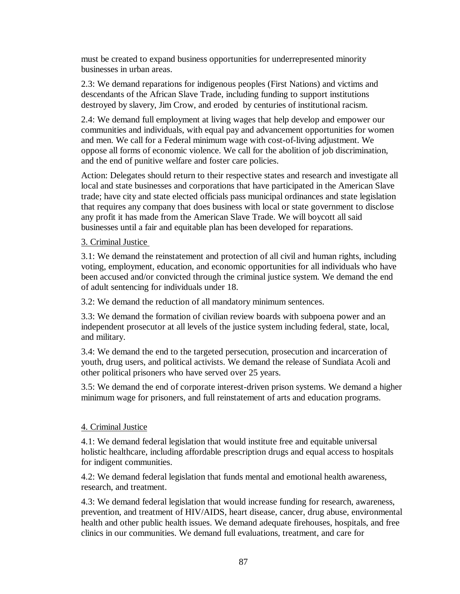must be created to expand business opportunities for underrepresented minority businesses in urban areas.

2.3: We demand reparations for indigenous peoples (First Nations) and victims and descendants of the African Slave Trade, including funding to support institutions destroyed by slavery, Jim Crow, and eroded by centuries of institutional racism.

2.4: We demand full employment at living wages that help develop and empower our communities and individuals, with equal pay and advancement opportunities for women and men. We call for a Federal minimum wage with cost-of-living adjustment. We oppose all forms of economic violence. We call for the abolition of job discrimination, and the end of punitive welfare and foster care policies.

Action: Delegates should return to their respective states and research and investigate all local and state businesses and corporations that have participated in the American Slave trade; have city and state elected officials pass municipal ordinances and state legislation that requires any company that does business with local or state government to disclose any profit it has made from the American Slave Trade. We will boycott all said businesses until a fair and equitable plan has been developed for reparations.

## 3. Criminal Justice

3.1: We demand the reinstatement and protection of all civil and human rights, including voting, employment, education, and economic opportunities for all individuals who have been accused and/or convicted through the criminal justice system. We demand the end of adult sentencing for individuals under 18.

3.2: We demand the reduction of all mandatory minimum sentences.

3.3: We demand the formation of civilian review boards with subpoena power and an independent prosecutor at all levels of the justice system including federal, state, local, and military.

3.4: We demand the end to the targeted persecution, prosecution and incarceration of youth, drug users, and political activists. We demand the release of Sundiata Acoli and other political prisoners who have served over 25 years.

3.5: We demand the end of corporate interest-driven prison systems. We demand a higher minimum wage for prisoners, and full reinstatement of arts and education programs.

## 4. Criminal Justice

4.1: We demand federal legislation that would institute free and equitable universal holistic healthcare, including affordable prescription drugs and equal access to hospitals for indigent communities.

4.2: We demand federal legislation that funds mental and emotional health awareness, research, and treatment.

4.3: We demand federal legislation that would increase funding for research, awareness, prevention, and treatment of HIV/AIDS, heart disease, cancer, drug abuse, environmental health and other public health issues. We demand adequate firehouses, hospitals, and free clinics in our communities. We demand full evaluations, treatment, and care for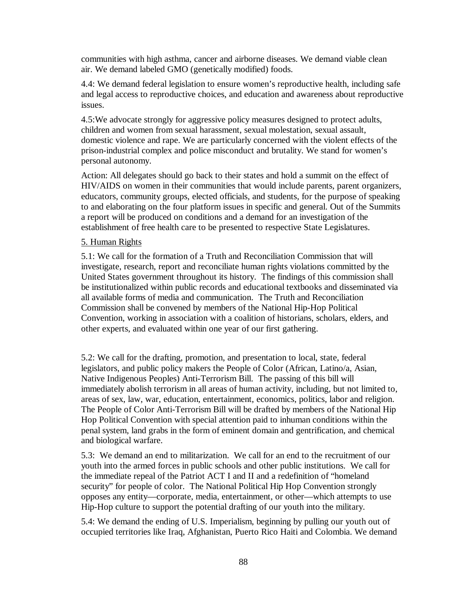communities with high asthma, cancer and airborne diseases. We demand viable clean air. We demand labeled GMO (genetically modified) foods.

4.4: We demand federal legislation to ensure women's reproductive health, including safe and legal access to reproductive choices, and education and awareness about reproductive issues.

4.5:We advocate strongly for aggressive policy measures designed to protect adults, children and women from sexual harassment, sexual molestation, sexual assault, domestic violence and rape. We are particularly concerned with the violent effects of the prison-industrial complex and police misconduct and brutality. We stand for women's personal autonomy.

Action: All delegates should go back to their states and hold a summit on the effect of HIV/AIDS on women in their communities that would include parents, parent organizers, educators, community groups, elected officials, and students, for the purpose of speaking to and elaborating on the four platform issues in specific and general. Out of the Summits a report will be produced on conditions and a demand for an investigation of the establishment of free health care to be presented to respective State Legislatures.

## 5. Human Rights

5.1: We call for the formation of a Truth and Reconciliation Commission that will investigate, research, report and reconciliate human rights violations committed by the United States government throughout its history. The findings of this commission shall be institutionalized within public records and educational textbooks and disseminated via all available forms of media and communication. The Truth and Reconciliation Commission shall be convened by members of the National Hip-Hop Political Convention, working in association with a coalition of historians, scholars, elders, and other experts, and evaluated within one year of our first gathering.

5.2: We call for the drafting, promotion, and presentation to local, state, federal legislators, and public policy makers the People of Color (African, Latino/a, Asian, Native Indigenous Peoples) Anti-Terrorism Bill. The passing of this bill will immediately abolish terrorism in all areas of human activity, including, but not limited to, areas of sex, law, war, education, entertainment, economics, politics, labor and religion. The People of Color Anti-Terrorism Bill will be drafted by members of the National Hip Hop Political Convention with special attention paid to inhuman conditions within the penal system, land grabs in the form of eminent domain and gentrification, and chemical and biological warfare.

5.3: We demand an end to militarization. We call for an end to the recruitment of our youth into the armed forces in public schools and other public institutions. We call for the immediate repeal of the Patriot ACT I and II and a redefinition of "homeland security" for people of color. The National Political Hip Hop Convention strongly opposes any entity—corporate, media, entertainment, or other—which attempts to use Hip-Hop culture to support the potential drafting of our youth into the military.

5.4: We demand the ending of U.S. Imperialism, beginning by pulling our youth out of occupied territories like Iraq, Afghanistan, Puerto Rico Haiti and Colombia. We demand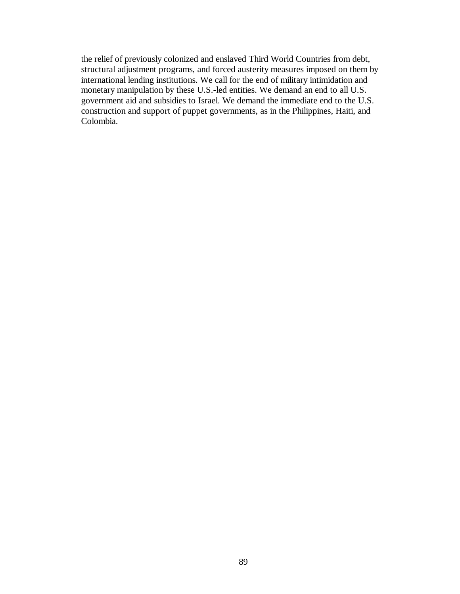the relief of previously colonized and enslaved Third World Countries from debt, structural adjustment programs, and forced austerity measures imposed on them by international lending institutions. We call for the end of military intimidation and monetary manipulation by these U.S.-led entities. We demand an end to all U.S. government aid and subsidies to Israel. We demand the immediate end to the U.S. construction and support of puppet governments, as in the Philippines, Haiti, and Colombia.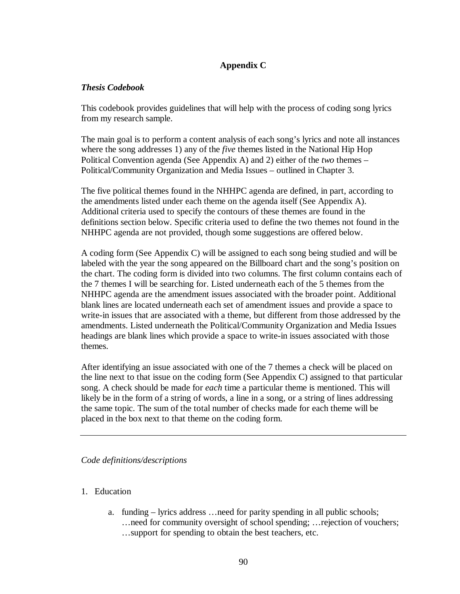## **Appendix C**

## *Thesis Codebook*

This codebook provides guidelines that will help with the process of coding song lyrics from my research sample.

The main goal is to perform a content analysis of each song's lyrics and note all instances where the song addresses 1) any of the *five* themes listed in the National Hip Hop Political Convention agenda (See Appendix A) and 2) either of the *two* themes – Political/Community Organization and Media Issues – outlined in Chapter 3.

The five political themes found in the NHHPC agenda are defined, in part, according to the amendments listed under each theme on the agenda itself (See Appendix A). Additional criteria used to specify the contours of these themes are found in the definitions section below. Specific criteria used to define the two themes not found in the NHHPC agenda are not provided, though some suggestions are offered below.

A coding form (See Appendix C) will be assigned to each song being studied and will be labeled with the year the song appeared on the Billboard chart and the song's position on the chart. The coding form is divided into two columns. The first column contains each of the 7 themes I will be searching for. Listed underneath each of the 5 themes from the NHHPC agenda are the amendment issues associated with the broader point. Additional blank lines are located underneath each set of amendment issues and provide a space to write-in issues that are associated with a theme, but different from those addressed by the amendments. Listed underneath the Political/Community Organization and Media Issues headings are blank lines which provide a space to write-in issues associated with those themes.

After identifying an issue associated with one of the 7 themes a check will be placed on the line next to that issue on the coding form (See Appendix C) assigned to that particular song. A check should be made for *each* time a particular theme is mentioned. This will likely be in the form of a string of words, a line in a song, or a string of lines addressing the same topic. The sum of the total number of checks made for each theme will be placed in the box next to that theme on the coding form.

## *Code definitions/descriptions*

- 1. Education
	- a. funding lyrics address …need for parity spending in all public schools; …need for community oversight of school spending; …rejection of vouchers; …support for spending to obtain the best teachers, etc.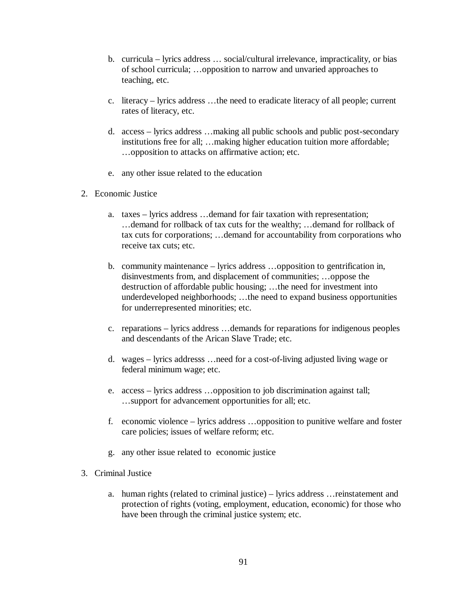- b. curricula lyrics address … social/cultural irrelevance, impracticality, or bias of school curricula; …opposition to narrow and unvaried approaches to teaching, etc.
- c. literacy lyrics address …the need to eradicate literacy of all people; current rates of literacy, etc.
- d. access lyrics address …making all public schools and public post-secondary institutions free for all; …making higher education tuition more affordable; …opposition to attacks on affirmative action; etc.
- e. any other issue related to the education
- 2. Economic Justice
	- a. taxes lyrics address …demand for fair taxation with representation; …demand for rollback of tax cuts for the wealthy; …demand for rollback of tax cuts for corporations; …demand for accountability from corporations who receive tax cuts; etc.
	- b. community maintenance lyrics address …opposition to gentrification in, disinvestments from, and displacement of communities; …oppose the destruction of affordable public housing; …the need for investment into underdeveloped neighborhoods; …the need to expand business opportunities for underrepresented minorities; etc.
	- c. reparations lyrics address …demands for reparations for indigenous peoples and descendants of the Arican Slave Trade; etc.
	- d. wages lyrics addresss …need for a cost-of-living adjusted living wage or federal minimum wage; etc.
	- e. access lyrics address …opposition to job discrimination against tall; …support for advancement opportunities for all; etc.
	- f. economic violence lyrics address …opposition to punitive welfare and foster care policies; issues of welfare reform; etc.
	- g. any other issue related to economic justice
- 3. Criminal Justice
	- a. human rights (related to criminal justice) lyrics address …reinstatement and protection of rights (voting, employment, education, economic) for those who have been through the criminal justice system; etc.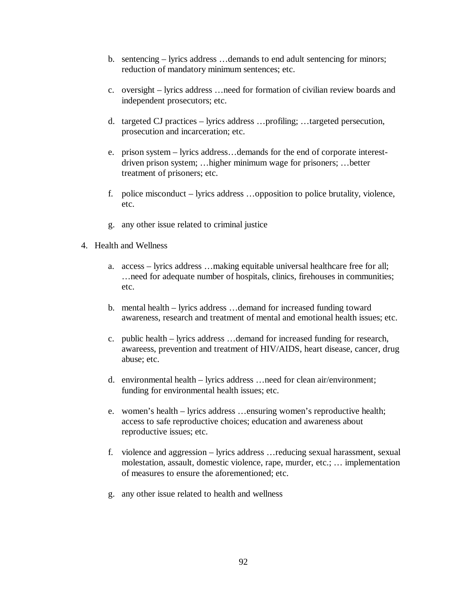- b. sentencing lyrics address …demands to end adult sentencing for minors; reduction of mandatory minimum sentences; etc.
- c. oversight lyrics address …need for formation of civilian review boards and independent prosecutors; etc.
- d. targeted CJ practices lyrics address …profiling; …targeted persecution, prosecution and incarceration; etc.
- e. prison system lyrics address…demands for the end of corporate interestdriven prison system; …higher minimum wage for prisoners; …better treatment of prisoners; etc.
- f. police misconduct lyrics address …opposition to police brutality, violence, etc.
- g. any other issue related to criminal justice
- 4. Health and Wellness
	- a. access lyrics address …making equitable universal healthcare free for all; …need for adequate number of hospitals, clinics, firehouses in communities; etc.
	- b. mental health lyrics address …demand for increased funding toward awareness, research and treatment of mental and emotional health issues; etc.
	- c. public health lyrics address …demand for increased funding for research, awareess, prevention and treatment of HIV/AIDS, heart disease, cancer, drug abuse; etc.
	- d. environmental health lyrics address …need for clean air/environment; funding for environmental health issues; etc.
	- e. women's health lyrics address …ensuring women's reproductive health; access to safe reproductive choices; education and awareness about reproductive issues; etc.
	- f. violence and aggression lyrics address …reducing sexual harassment, sexual molestation, assault, domestic violence, rape, murder, etc.; … implementation of measures to ensure the aforementioned; etc.
	- g. any other issue related to health and wellness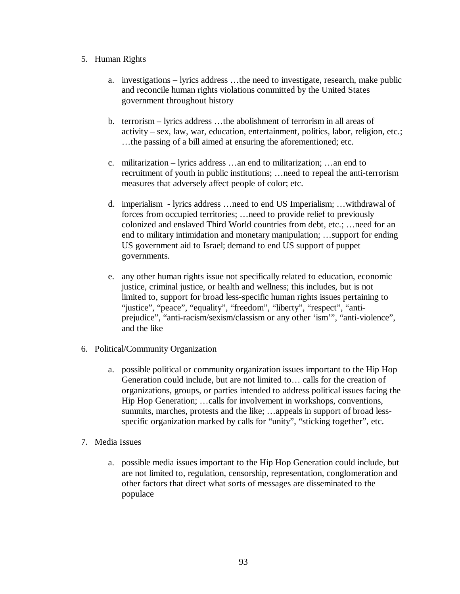## 5. Human Rights

- a. investigations lyrics address …the need to investigate, research, make public and reconcile human rights violations committed by the United States government throughout history
- b. terrorism lyrics address …the abolishment of terrorism in all areas of activity – sex, law, war, education, entertainment, politics, labor, religion, etc.; …the passing of a bill aimed at ensuring the aforementioned; etc.
- c. militarization lyrics address …an end to militarization; …an end to recruitment of youth in public institutions; …need to repeal the anti-terrorism measures that adversely affect people of color; etc.
- d. imperialism lyrics address …need to end US Imperialism; …withdrawal of forces from occupied territories; …need to provide relief to previously colonized and enslaved Third World countries from debt, etc.; …need for an end to military intimidation and monetary manipulation; …support for ending US government aid to Israel; demand to end US support of puppet governments.
- e. any other human rights issue not specifically related to education, economic justice, criminal justice, or health and wellness; this includes, but is not limited to, support for broad less-specific human rights issues pertaining to "justice", "peace", "equality", "freedom", "liberty", "respect", "antiprejudice", "anti-racism/sexism/classism or any other 'ism'", "anti-violence", and the like
- 6. Political/Community Organization
	- a. possible political or community organization issues important to the Hip Hop Generation could include, but are not limited to… calls for the creation of organizations, groups, or parties intended to address political issues facing the Hip Hop Generation; …calls for involvement in workshops, conventions, summits, marches, protests and the like; …appeals in support of broad lessspecific organization marked by calls for "unity", "sticking together", etc.
- 7. Media Issues
	- a. possible media issues important to the Hip Hop Generation could include, but are not limited to, regulation, censorship, representation, conglomeration and other factors that direct what sorts of messages are disseminated to the populace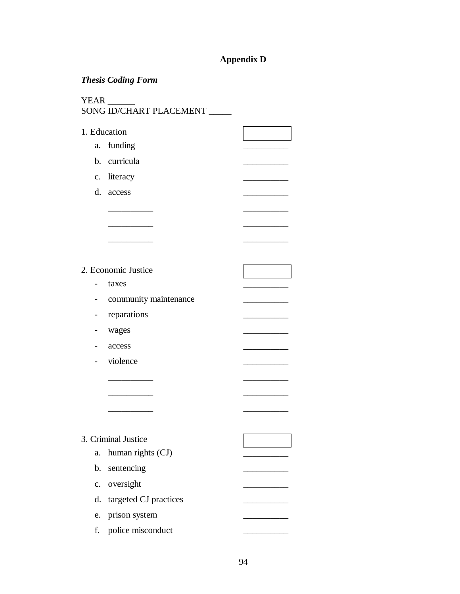# **Appendix D**

*Thesis Coding Form* 

| <b>YEAR</b>  | SONG ID/CHART PLACEMENT  |  |
|--------------|--------------------------|--|
| 1. Education |                          |  |
| a.           | funding                  |  |
|              | b. curricula             |  |
|              | c. literacy              |  |
|              | d. access                |  |
|              |                          |  |
|              |                          |  |
|              |                          |  |
|              |                          |  |
|              | 2. Economic Justice      |  |
|              | taxes                    |  |
|              | community maintenance    |  |
|              | reparations              |  |
|              | wages                    |  |
|              | access                   |  |
|              | violence                 |  |
|              |                          |  |
|              |                          |  |
|              |                          |  |
|              |                          |  |
|              | 3. Criminal Justice      |  |
| a.           | human rights (CJ)        |  |
| b.           | sentencing               |  |
|              | c. oversight             |  |
|              | d. targeted CJ practices |  |
| e.           | prison system            |  |
| f.           | police misconduct        |  |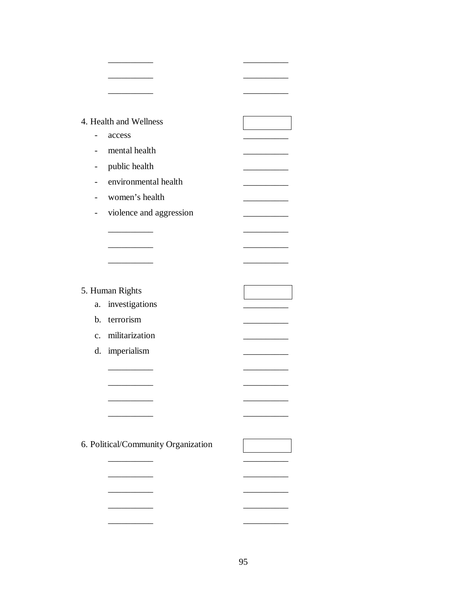|                   | 4. Health and Wellness              |  |
|-------------------|-------------------------------------|--|
|                   | access                              |  |
|                   | mental health                       |  |
| $\qquad \qquad -$ | public health                       |  |
|                   | environmental health                |  |
|                   | women's health                      |  |
|                   | violence and aggression             |  |
|                   |                                     |  |
|                   | _______                             |  |
|                   |                                     |  |
|                   |                                     |  |
|                   | 5. Human Rights                     |  |
| a.                | investigations                      |  |
|                   | b. terrorism                        |  |
|                   | c. militarization                   |  |
|                   | d. imperialism                      |  |
|                   |                                     |  |
|                   |                                     |  |
|                   |                                     |  |
|                   |                                     |  |
|                   |                                     |  |
|                   |                                     |  |
|                   | 6. Political/Community Organization |  |
|                   |                                     |  |
|                   |                                     |  |
|                   |                                     |  |
|                   |                                     |  |
|                   |                                     |  |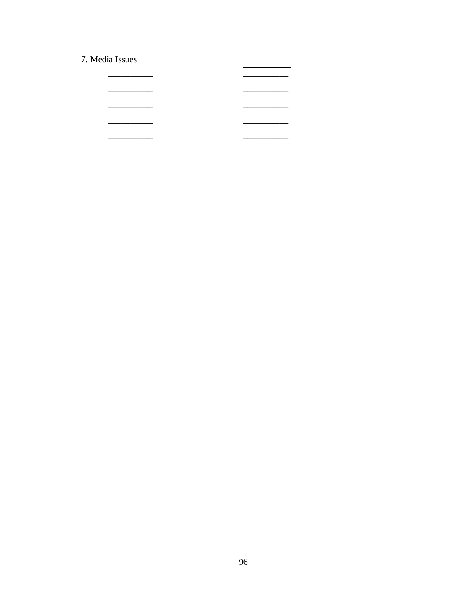| 7. Media Issues |  |
|-----------------|--|
|                 |  |
|                 |  |
|                 |  |
|                 |  |
|                 |  |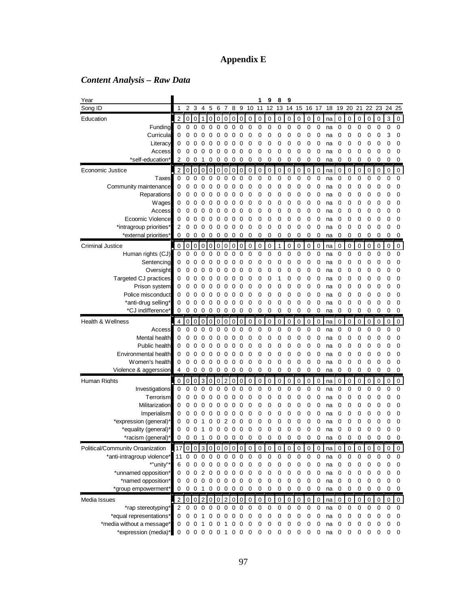# **Appendix E**

# *Content Analysis – Raw Data*

| Year                                              |                |             |                |                |                  |                |                |                   |                |             | 1           | 9                      | 8                        | 9           |             |                |                          |                     |                |                |             |             |             |                |             |
|---------------------------------------------------|----------------|-------------|----------------|----------------|------------------|----------------|----------------|-------------------|----------------|-------------|-------------|------------------------|--------------------------|-------------|-------------|----------------|--------------------------|---------------------|----------------|----------------|-------------|-------------|-------------|----------------|-------------|
| Song ID                                           | 1              | 2           | 3              | 4              | 5                | 6              | 7              | 8                 | 9              | 10          | 11          | 12                     | 13                       | 14          | 15          | 16             | 17                       | 18                  | 19             | 20             | 21          | 22          | 23          | 24             | 25          |
| Education                                         | $\overline{2}$ | 0           | 0              | 1              | 0                | 0              | 0              | 0                 | 0              | $\mathbf 0$ | 0           | 0                      | $\pmb{0}$                | 0           | 0           | 0              | 0                        | na                  | 0              | 0              | 0           | 0           | 0           | 3              | 0           |
| Funding                                           | $\mathbf 0$    | 0           | 0              | 0              | 0                | 0              | 0              | 0                 | 0              | $\mathbf 0$ | 0           | 0                      | 0                        | 0           | 0           | 0              | 0                        | na                  | 0              | 0              | 0           | 0           | $\mathbf 0$ | 0              | 0           |
| Curricula                                         | 0              | 0           | 0              | 0              | 0                | 0              | 0              | 0                 | 0              | 0           | 0           | 0                      | 0                        | 0           | 0           | 0              | 0                        | na                  | 0              | 0              | 0           | 0           | 0           | 3              | 0           |
| Literacy                                          | 0              | 0           | 0              | 0              | 0                | 0              | 0              | 0                 | 0              | 0           | 0           | 0                      | 0                        | 0           | 0           | 0              | 0                        | na                  | 0              | 0              | 0           | 0           | 0           | 0              | 0           |
| Access                                            | 0              | 0           | 0              | 0              | 0                | 0              | 0              | 0                 | 0              | 0           | 0           | 0                      | 0                        | 0           | 0           | 0              | 0                        | na                  | 0              | 0              | 0           | 0           | 0           | 0              | 0           |
| *self-education*                                  | 2              | 0           | 0              | 1              | 0                | 0              | 0              | 0                 | 0              | 0           | 0           | 0                      | 0                        | 0           | 0           | 0              | 0                        | na                  | 0              | 0              | 0           | 0           | 0           | 0              | 0           |
| <b>Economic Justice</b>                           | $\sqrt{2}$     | 0           | 0              | 0              | 0                | 0              | 0              | 0                 | 0              | 0           | 0           | 0                      | 0                        | 0           | $\pmb{0}$   | 0              | 0                        | na                  | 0              | 0              | 0           | $\pmb{0}$   | 0           | 0              | 0           |
| Taxes                                             | 0              | 0           | 0              | 0              | 0                | 0              | 0              | 0                 | 0              | 0           | 0           | 0                      | 0                        | 0           | 0           | 0              | 0                        | na                  | 0              | 0              | 0           | 0           | 0           | 0              | 0           |
| Community maintenance                             | 0              | 0           | 0              | 0              | 0                | 0              | 0              | 0                 | 0              | 0           | 0           | 0                      | 0                        | 0           | 0           | 0              | 0                        | na                  | 0              | 0              | 0           | 0           | 0           | 0              | 0           |
| Reparations                                       | 0              | 0           | 0              | 0              | 0                | 0              | 0              | 0                 | 0              | 0           | 0           | 0                      | 0                        | 0           | 0           | 0              | 0                        | na                  | 0              | 0              | 0           | 0           | 0           | 0              | 0           |
| Wages                                             | 0              | 0           | 0              | 0              | 0                | 0              | 0              | 0                 | 0              | 0           | 0           | 0                      | 0                        | 0           | 0           | 0              | 0                        | na                  | 0              | 0              | 0           | 0           | 0           | 0              | 0           |
| Access                                            | 0              | 0           | 0              | 0              | 0                | 0              | 0              | 0                 | 0              | 0           | 0           | 0                      | 0                        | 0           | 0           | 0              | 0                        | na                  | 0              | 0              | 0           | 0           | 0           | 0              | 0           |
| <b>Ecoomic Violence</b>                           | 0              | 0           | 0              | 0              | 0                | 0              | 0              | 0                 | 0              | 0           | 0           | 0                      | 0                        | 0           | 0           | 0              | 0                        | na                  | 0              | 0              | 0           | 0           | 0           | 0              | 0           |
| *intragroup priorities                            | 2              | 0           | 0              | 0              | 0                | 0              | 0              | 0                 | 0              | 0           | 0           | 0                      | 0                        | 0           | 0           | 0              | 0                        | na                  | 0              | 0              | 0           | 0           | 0           | 0              | 0           |
| *external priorities*                             | 0              | 0           | 0              | 0              | 0                | 0              | 0              | 0                 | 0              | 0           | 0           | 0                      | 0                        | 0           | 0           | 0              | 0                        | na                  | 0              | 0              | 0           | 0           | 0           | 0              | 0           |
|                                                   |                |             |                |                |                  |                |                |                   |                |             |             |                        |                          |             |             |                |                          |                     |                |                |             |             |             |                |             |
| <b>Criminal Justice</b>                           | 0              | 0           | 0              | 0              | 0                | 0              | 0              | 0                 | 0              | $\mathbf 0$ | 0           | 0                      | 1                        | 0           | 0           | 0              | 0                        | na                  | 0              | 0              | 0           | 0           | 0           | 0              | 0           |
| Human rights (CJ)                                 | $\mathbf 0$    | 0<br>0      | 0              | 0              | 0                | 0              | 0              | 0                 | 0              | 0           | 0           | 0                      | 0                        | 0           | 0           | 0              | 0                        | na                  | 0              | 0              | 0           | 0           | 0           | 0              | 0           |
| Sentencing                                        | 0<br>0         | 0           | 0<br>0         | 0              | 0                | 0              | 0              | 0                 | 0              | 0<br>0      | 0<br>0      | 0                      | 0<br>0                   | 0<br>0      | 0<br>0      | 0<br>0         | 0<br>0                   | na                  | 0<br>0         | 0<br>0         | 0           | 0<br>0      | 0           | 0<br>0         | 0<br>0      |
| Oversight                                         |                |             |                | 0              | 0                | 0              | 0              | 0                 | 0              |             |             | 0                      |                          |             |             |                |                          | na                  |                |                | 0           |             | 0           |                |             |
| Targeted CJ practices                             | 0              | 0           | 0              | 0              | 0                | 0              | 0              | 0                 | 0              | 0           | 0           | 0                      | 1                        | 0           | 0           | 0              | 0                        | na                  | 0              | 0              | 0           | 0           | 0           | 0              | 0           |
| Prison system<br>Police misconduct                | 0<br>0         | 0<br>0      | 0              | 0              | 0                | 0              | 0              | 0<br>0            | 0              | 0           | 0<br>0      | 0                      | 0<br>0                   | 0<br>0      | 0           | 0              | 0<br>0                   | na                  | 0              | 0<br>0         | 0           | 0<br>0      | 0           | 0<br>0         | 0<br>0      |
| *anti-drug selling*                               | 0              | 0           | 0<br>0         | 0<br>0         | 0                | 0<br>0         | 0              |                   | 0              | 0<br>0      | 0           | 0<br>0                 | 0                        | 0           | 0<br>0      | 0<br>0         | 0                        | na                  | 0<br>0         | 0              | 0<br>0      | 0           | 0<br>0      | 0              | 0           |
| *CJ indifference*                                 | 0              | 0           | 0              | 0              | 0<br>0           | 0              | 0<br>0         | 0<br>0            | 0<br>0         | 0           | 0           | 0                      | 0                        | 0           | 0           | 0              | 0                        | na<br>na            | 0              | 0              | 0           | 0           | 0           | 0              | 0           |
|                                                   |                |             |                |                |                  |                |                |                   |                |             |             |                        |                          |             |             |                |                          |                     |                |                |             |             |             |                |             |
| Health & Wellness                                 | $\overline{4}$ | 0           | 0              | $\mathbf 0$    | 0                | 0              | 0              | 0                 | $\mathbf 0$    | $\mathbf 0$ | 0           | 0                      | 0                        | 0           | 0           | 0              | 0                        | na                  | 0              | 0              | 0           | 0           | 0           | 0              | 0           |
| Access                                            | 0              | 0           | 0              | 0              | 0                | 0<br>0         | 0              | 0<br>0            | 0              | 0<br>0      | 0           | 0                      | 0                        | 0           | 0           | 0              | 0                        | na                  | 0              | 0              | 0           | 0           | 0           | 0              | 0<br>0      |
|                                                   |                |             |                |                |                  |                | 0              |                   | 0              |             | 0           | 0                      | 0                        | 0           | 0           | 0              | 0                        | na                  |                |                |             |             |             |                |             |
| Mental health                                     | 0              | 0           | 0              | 0              | 0                |                |                |                   |                |             |             |                        |                          |             |             |                |                          |                     | 0              | 0              | 0           | 0           | 0           | 0              |             |
| Public health                                     | 0              | 0           | 0              | 0              | 0                | 0              | 0              | 0                 | 0              | 0           | 0           | 0                      | 0                        | 0           | 0           | 0              | 0                        | na                  | 0              | 0              | 0           | 0           | 0           | 0              | 0           |
| Environmental health                              | 0              | 0           | 0              | 0              | 0                | 0              | 0              | 0                 | 0              | 0           | 0           | 0                      | 0                        | 0           | 0           | 0              | 0                        | na                  | 0              | 0              | 0           | 0           | 0           | 0              | 0           |
| Women's health                                    | 0              | 0           | 0              | 0              | 0                | 0              | 0              | 0                 | 0              | 0           | 0           | 0                      | 0                        | 0           | 0           | 0              | 0                        | na                  | 0              | 0              | 0           | 0           | 0           | 0              | 0           |
| Violence & aggerssion                             | 4              | 0           | 0              | 0              | 0                | 0              | 0              | 0                 | 0              | 0           | 0           | 0                      | 0                        | 0           | 0           | 0              | 0                        | na                  | 0              | 0              | 0           | 0           | 0           | 0              | 0           |
| Human Rights                                      | 0              | 0           | 0              | 3              | 0                | 0              | $\overline{2}$ | $\mathbf 0$       | $\mathbf 0$    | $\mathbf 0$ | 0           | 0                      | 0                        | 0           | 0           | 0              | 0                        | na                  | 0              | 0              | 0           | 0           | 0           | 0              | 0           |
| Investigations                                    | $\mathbf 0$    | 0           | 0              | 0              | 0                | 0              | 0              | 0                 | 0              | 0           | 0           | 0                      | 0                        | 0           | 0           | 0              | 0                        | na                  | 0              | 0              | 0           | 0           | 0           | 0              | 0           |
| Terrorism                                         | 0              | 0           | 0              | 0              | 0                | 0              | 0              | 0                 | 0              | 0           | 0           | 0                      | 0                        | 0           | 0           | 0              | 0                        | na                  | 0              | 0              | 0           | 0           | 0           | 0              | 0           |
| Militarization                                    | 0              | 0           | 0              | 0              | 0                | 0              | 0              | 0                 | 0              | 0           | 0           | 0                      | 0                        | 0           | 0           | 0              | 0                        | na                  | 0              | 0              | 0           | 0           | 0           | 0              | 0           |
| Imperialism                                       | 0              | 0           | 0              | 0              | 0                | 0              | 0              | 0                 | 0              | 0           | 0           | 0                      | 0                        | 0           | 0           | 0              | 0                        | na                  | 0              | 0              | 0           | 0           | 0           | 0              | 0           |
| *expression (general)*                            | 0              | 0           | 0              | 1              | 0                | 0              | 2              | 0                 | 0              | 0           | 0           | 0                      | 0                        | 0           | 0           | 0              | 0                        | na                  | 0              | 0              | 0           | 0           | 0           | 0              | 0           |
| *equality (general)*                              | 0              | 0           | 0              | 1              | 0                | $\mathbf 0$    | 0              | 0                 | 0              | 0           | 0           | 0                      | 0                        | 0           | 0           | 0              | 0                        | na                  | 0              | 0              | 0           | 0           | 0           | 0              | 0           |
| *racism (general)* 0                              |                |             | 0 <sub>0</sub> |                |                  |                |                | 100000            |                | 0           | 0           | 0                      | 0                        | 0           | 0           | 0              | 0                        | na                  | 0              | 0              | 0           | 0           | 0           | 0              | 0           |
| Political/Community Organization                  | 17             |             | 0 <sub>0</sub> | 3              | $\mathbf 0$      |                |                | 0000              |                | $\mathbf 0$ | $\pmb{0}$   | $\pmb{0}$              | $\pmb{0}$                | $\pmb{0}$   | $\pmb{0}$   | $\overline{0}$ | $\mathsf 0$              | na                  | $\mathbf 0$    | $\pmb{0}$      | $\pmb{0}$   | $\pmb{0}$   | 0           | 0              | 0           |
| *anti-intragroup violence*                        | 11             | $\mathsf 0$ | 0              | 0              | $\mathbf 0$      | 0              | 0              | $\mathbf 0$       | $\mathbf 0$    | $\mathbf 0$ | 0           | $\pmb{0}$              | 0                        | 0           | 0           | $\pmb{0}$      | $\mathbf 0$              | na                  | $\mathbf 0$    | 0              | 0           | 0           | 0           | 0              | 0           |
| *"unitv"*                                         | 6              | 0           | 0              | $\mathbf 0$    | $\mathbf 0$      | $\pmb{0}$      | 0              | 0                 | $\mathbf 0$    | 0           | 0           | $\pmb{0}$              | 0                        | 0           | 0           | $\pmb{0}$      | $\pmb{0}$                | na                  | $\mathbf 0$    | 0              | 0           | 0           | 0           | 0              | 0           |
| *unnamed opposition*                              | 0              | $\mathbf 0$ | $\mathbf 0$    | $\overline{2}$ | $\overline{0}$   | $\mathbf 0$    | $\mathbf 0$    | 0                 | $\mathbf 0$    | $\mathbf 0$ | $\mathbf 0$ | 0                      | $\mathbf 0$              | 0           | 0           | 0              | $\mathbf 0$              | na                  | $\pmb{0}$      | 0              | 0           | 0           | 0           | 0              | 0           |
| *named opposition*                                | 0              | $\mathbf 0$ |                | 0 0 0 0 0      |                  |                |                | $\pmb{0}$         | $\overline{0}$ | $\mathbf 0$ | $\mathbf 0$ | $\mathbf 0$            | $\mathbf 0$              | $\mathbf 0$ | 0           | 0              | $\mathbf 0$              | na                  | $\pmb{0}$      | 0              | 0           | 0           | 0           | 0              | 0           |
| *group empowerment*                               | 0              |             |                |                |                  |                |                | 0 0 1 0 0 0 0 0 0 |                |             | $\mathbf 0$ | $\mathbf 0$            | $\mathbf 0$              | $\mathbf 0$ | $\mathbf 0$ | $\pmb{0}$      | $\pmb{0}$                | $na \quad 0$        |                | $\mathbf 0$    | $\mathbf 0$ | $\mathbf 0$ | 0           | $\pmb{0}$      | 0           |
| Media Issues                                      | $\overline{2}$ | $\mathbf 0$ | $\mathbf 0$    | $\overline{2}$ | $\boldsymbol{0}$ | $\mathbf 0$    | $\overline{2}$ | 0                 | $\mathsf 0$    | $\mathbf 0$ | $\mathbf 0$ | $\mathbf 0$            | $\mathbf 0$              | $\pmb{0}$   | $\pmb{0}$   | $\mathbf 0$    | $\mathbf 0$              | na                  | 0              | $\mathsf 0$    | $\pmb{0}$   | $\pmb{0}$   | $\mathbf 0$ | $\pmb{0}$      | $\mathbf 0$ |
| *rap stereotyping*                                | $\overline{2}$ |             | $0\quad 0$     | $0\quad 0$     |                  | 0              | 0              | 0                 | $\mathbf 0$    | $\mathbf 0$ | $\mathbf 0$ | $\pmb{0}$              | $\mathbf 0$              | 0           | $\mathbf 0$ | $\pmb{0}$      | $\pmb{0}$                | na                  | $\mathbf 0$    | 0              | 0           | 0           | 0           | 0              | 0           |
| *equal representations*                           | 0              | 0           | $\overline{0}$ | $\mathbf{1}$   | $\mathbf 0$      | $\overline{0}$ | 0              | 0                 | 0              | 0           | 0           | 0                      | 0                        | 0           | 0           | $\pmb{0}$      | $\mathbf 0$              | na                  | $\overline{0}$ | 0              | 0           | 0           | 0           | 0              | 0           |
| *media without a message*<br>*expression (media)* | 0              | 0           | 0              | 1<br>0 0 0 0 0 | 0                | $\mathbf 0$    | 1              | 0                 | 0              | 0           | 0           | $\pmb{0}$<br>$\pmb{0}$ | $\mathbf 0$<br>$\pmb{0}$ | 0           | 0           | 0<br>$\pmb{0}$ | $\mathbf 0$<br>$\pmb{0}$ | na<br>$na \space 0$ | $\mathbf 0$    | 0<br>$\pmb{0}$ | 0           | 0           | 0           | 0<br>$\pmb{0}$ | 0           |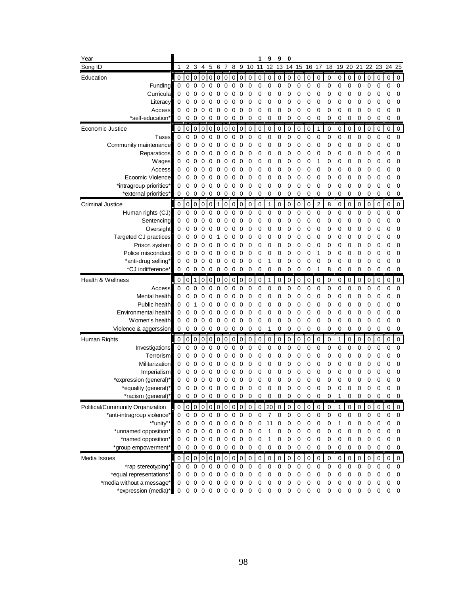| Year                                              |                |                |                |                  |                |                         |             |                  |                |                  | 1           | 9                    | 9                | 0                |                        |                |                |           |                |             |           |           |                  |        |                |
|---------------------------------------------------|----------------|----------------|----------------|------------------|----------------|-------------------------|-------------|------------------|----------------|------------------|-------------|----------------------|------------------|------------------|------------------------|----------------|----------------|-----------|----------------|-------------|-----------|-----------|------------------|--------|----------------|
| Song ID                                           | 1              | 2              | 3              | 4                | 5              | 6                       | 7           | 8                | 9              | 10               | 11          | 12                   | 13               | 14               | 15                     | 16             | 17             | 18        | 19             | 20          | 21        | 22        | 23               | 24     | 25             |
| Education                                         | $\mathbf 0$    | 0              | 0              | 0                | 0              | 0                       | 0           | 0                | 0              | 0                | 0           | 0                    | 0                | $\boldsymbol{0}$ | 0                      | 0              | $\mathbf 0$    | 0         | 0              | $\mathbf 0$ | 0         | $\pmb{0}$ | 0                | 0      | 0              |
| Funding                                           | $\mathbf 0$    | 0              | 0              | 0                | 0              | 0                       | 0           | 0                | 0              | 0                | 0           | 0                    | 0                | 0                | 0                      | 0              | 0              | 0         | 0              | 0           | 0         | 0         | 0                | 0      | 0              |
| Curricula                                         | 0              | 0              | 0              | 0                | 0              | 0                       | 0           | 0                | 0              | 0                | 0           | 0                    | 0                | 0                | 0                      | 0              | 0              | 0         | 0              | 0           | 0         | 0         | 0                | 0      | 0              |
| Literacy                                          | 0              | 0              | 0              | 0                | 0              | 0                       | 0           | 0                | 0              | 0                | 0           | 0                    | 0                | 0                | 0                      | 0              | 0              | 0         | 0              | 0           | 0         | 0         | 0                | 0      | 0              |
| Access                                            | 0              | 0              | 0              | 0                | 0              | 0                       | 0           | 0                | 0              | 0                | 0           | 0                    | 0                | 0                | 0                      | 0              | 0              | 0         | 0              | 0           | 0         | 0         | 0                | 0      | 0              |
| *self-education*                                  | 0              | 0              | 0              | 0                | 0              | 0                       | 0           | 0                | 0              | 0                | 0           | 0                    | 0                | 0                | 0                      | 0              | 0              | 0         | 0              | 0           | 0         | 0         | 0                | 0      | 0              |
| Economic Justice                                  | $\mathbf 0$    | 0              | 0              | 0                | 0              | 0                       | 0           | 0                | 0              | 0                | 0           | 0                    | 0                | 0                | 0                      | 0              | 1              | 0         | 0              | 0           | 0         | 0         | 0                | 0      | 0              |
| Taxes                                             | $\mathbf 0$    | 0              | 0              | 0                | 0              | 0                       | 0           | 0                | 0              | 0                | 0           | 0                    | 0                | 0                | 0                      | 0              | 0              | 0         | 0              | 0           | 0         | 0         | 0                | 0      | 0              |
| Community maintenance                             | 0              | 0              | 0              | 0                | 0              | 0                       | 0           | 0                | 0              | 0                | 0           | 0                    | 0                | 0                | 0                      | 0              | 0              | 0         | 0              | 0           | 0         | 0         | 0                | 0      | 0              |
| Reparations                                       | 0              | 0              | 0              | 0                | 0              | 0                       | 0           | 0                | 0              | 0                | 0           | 0                    | 0                | 0                | 0                      | 0              | 0              | 0         | 0              | 0           | 0         | 0         | 0                | 0      | 0              |
| Wages                                             | 0              | 0              | 0              | 0                | 0              | 0                       | 0           | 0                | 0              | 0                | 0           | 0                    | 0                | 0                | 0                      | 0              | 1              | 0         | 0              | 0           | 0         | 0         | 0                | 0      | 0              |
| Access<br>Ecoomic Violence                        | 0<br>0         | 0<br>0         | 0<br>0         | 0<br>0           | 0<br>0         | 0<br>0                  | 0<br>0      | 0<br>0           | 0<br>0         | 0<br>0           | 0<br>0      | 0<br>0               | 0<br>0           | 0<br>0           | 0<br>0                 | 0<br>0         | 0<br>0         | 0<br>0    | 0<br>0         | 0<br>0      | 0<br>0    | 0<br>0    | 0<br>0           | 0<br>0 | 0<br>0         |
| *intragroup priorities                            | 0              | 0              | 0              | 0                | 0              | 0                       | 0           | 0                | 0              | 0                | 0           | 0                    | 0                | 0                | 0                      | 0              | 0              | 0         | 0              | 0           | 0         | 0         | 0                | 0      | 0              |
| *external priorities*                             | 0              | 0              | 0              | 0                | 0              | 0                       | 0           | 0                | 0              | 0                | 0           | 0                    | 0                | 0                | 0                      | 0              | 0              | 0         | 0              | 0           | 0         | 0         | 0                | 0      | 0              |
|                                                   | $\mathbf 0$    |                |                | 0                |                | 1                       |             | 0                | 0              | $\mathbf 0$      |             | 1                    |                  |                  |                        | 0              | $\overline{2}$ | 8         |                | $\mathbf 0$ |           |           |                  |        | $\pmb{0}$      |
| <b>Criminal Justice</b><br>Human rights (CJ)      | 0              | 0<br>0         | 0<br>0         | 0                | 0<br>0         | 0                       | 0<br>0      | 0                | 0              | 0                | 0<br>0      | 0                    | 0<br>0           | 0<br>0           | 0<br>0                 | 0              | 0              | 0         | 0<br>0         | 0           | 0<br>0    | 0<br>0    | 0<br>0           | 0<br>0 | 0              |
| Sentencing                                        | 0              | 0              | 0              | 0                | 0              | 0                       | 0           | 0                | 0              | 0                | 0           | 0                    | 0                | 0                | 0                      | 0              | 0              | 0         | 0              | 0           | 0         | 0         | 0                | 0      | 0              |
| Oversight                                         | 0              | 0              | 0              | 0                | 0              | 0                       | 0           | 0                | 0              | 0                | 0           | 0                    | 0                | 0                | 0                      | 0              | 0              | 0         | 0              | 0           | 0         | 0         | 0                | 0      | 0              |
| <b>Targeted CJ practices</b>                      | 0              | 0              | 0              | 0                | 0              | 1                       | 0           | 0                | 0              | 0                | 0           | 0                    | 0                | 0                | 0                      | 0              | 0              | 0         | 0              | 0           | 0         | 0         | 0                | 0      | 0              |
| Prison system                                     | 0              | 0              | 0              | 0                | 0              | 0                       | 0           | 0                | 0              | 0                | 0           | 0                    | 0                | 0                | 0                      | 0              | 0              | 0         | 0              | 0           | 0         | 0         | 0                | 0      | 0              |
| Police misconduct                                 | 0              | 0              | 0              | 0                | 0              | 0                       | 0           | 0                | 0              | 0                | 0           | 0                    | 0                | 0                | 0                      | 0              | 1              | 0         | 0              | 0           | 0         | 0         | 0                | 0      | 0              |
| *anti-drug selling*                               | 0              | 0              | 0              | 0                | 0              | 0                       | 0           | 0                | 0              | 0                | 0           | 1                    | 0                | 0                | 0                      | 0              | 0              | 0         | 0              | 0           | 0         | 0         | 0                | 0      | 0              |
| *CJ indifference*                                 | 0              | 0              | 0              | 0                | 0              | 0                       | 0           | 0                | 0              | 0                | 0           | 0                    | 0                | 0                | 0                      | 0              | 1              | 8         | 0              | 0           | 0         | 0         | 0                | 0      | 0              |
| Health & Wellness                                 | $\mathbf 0$    | 0              | 1              | 0                | 0              | 0                       | 0           | 0                | 0              | $\mathbf 0$      | 0           | 1                    | 0                | 0                | 0                      | 0              | 0              | 0         | 0              | 0           | 0         | 0         | 0                | 0      | 0              |
| Access                                            | 0              | 0              | 0              | 0                | 0              | 0                       | 0           | 0                | 0              | 0                | 0           | 0                    | 0                | 0                | 0                      | 0              | 0              | 0         | 0              | 0           | 0         | 0         | 0                | 0      | 0              |
| Mental health                                     | 0              | 0              | 0              | 0                | 0              | 0                       | 0           | 0                | 0              | 0                | 0           | 0                    | 0                | 0                | 0                      | 0              | 0              | 0         | 0              | 0           | 0         | 0         | 0                | 0      | 0              |
|                                                   |                |                |                |                  | 0              | 0                       | 0           |                  | 0              | 0                | 0           | 0                    | 0                | 0                | 0                      | 0              | 0              | 0         | 0              |             |           |           | 0                | 0      | 0              |
| Public health                                     | 0              | 0              | 1              | 0                |                |                         |             | 0                |                |                  |             |                      |                  |                  |                        |                |                |           |                | 0           | 0         | 0         |                  |        |                |
| Environmental health                              | 0              | 0              | 0              | 0                | O              | 0                       | 0           | 0                | 0              | 0                | 0           | 0                    | 0                | 0                | 0                      | 0              | 0              | 0         | 0              | 0           | 0         | 0         | 0                | 0      | 0              |
| Women's health                                    | 0              | 0              | 0              | 0                | 0              | 0                       | 0           | 0                | 0              | 0                | 0           | 0                    | 0                | 0                | 0                      | 0              | 0              | 0         | 0              | 0           | 0         | 0         | 0                | 0      | 0              |
| Violence & aggerssion                             | 0              | 0              | 0              | 0                | 0              | 0                       | 0           | 0                | 0              | 0                | 0           | 1                    | 0                | 0                | 0                      | 0              | 0              | 0         | 0              | 0           | 0         | 0         | 0                | 0      | 0              |
| Human Rights                                      | $\mathbf 0$    | 0              | 0              | 0                | $\mathbf 0$    | 0                       | 0           | 0                | 0              | $\mathbf 0$      | 0           | 0                    | 0                | 0                | 0                      | 0              | 0              | 0         | 1              | $\mathbf 0$ | 0         | 0         | 0                | 0      | $\mathbf 0$    |
| Investigations                                    | $\mathbf 0$    | 0              | 0              | 0                | 0              | 0                       | 0           | 0                | 0              | 0                | 0           | 0                    | 0                | 0                | 0                      | 0              | 0              | 0         | 0              | 0           | 0         | 0         | 0                | 0      | 0              |
| Terrorism                                         | 0              | 0              | 0              | 0                | 0              | 0                       | 0           | 0                | 0              | 0                | 0           | 0                    | 0                | 0                | 0                      | 0              | 0              | 0         | 0              | 0           | 0         | 0         | 0                | 0      | 0              |
| Militarization                                    | 0              | 0              | 0              | 0                | 0<br>0         | 0                       | 0<br>0      | 0                | 0              | 0                | 0           | 0                    | 0                | 0                | 0                      | 0              | 0              | 0         | 0              | 0           | 0         | 0         | 0                | 0      | 0              |
| Imperialism                                       | 0<br>0         | 0<br>0         | 0<br>0         | 0<br>0           | 0              | 0<br>0                  | 0           | 0<br>0           | 0<br>0         | 0<br>0           | 0<br>0      | 0<br>0               | 0<br>0           | 0<br>0           | 0<br>0                 | 0<br>0         | 0<br>0         | 0<br>0    | 0<br>0         | 0<br>0      | 0<br>0    | 0<br>0    | 0<br>0           | 0<br>0 | 0<br>0         |
| *expression (general)*                            | $\Omega$       |                | 0 <sub>0</sub> |                  |                | $0\,0\,0\,0$            |             |                  | 0 <sub>0</sub> | 0                | 0           | 0                    | $\Omega$         | 0                | $\Omega$               | 0              | $\Omega$       | 0         | 0              | 0           | 0         | 0         | 0                | 0      | $\Omega$       |
| *equality (general)*<br>*racism (general)*        | 0              | 0              | 0              |                  |                |                         |             | 000000           |                | 0                | 0           | 0                    | 0                | 0                | 0                      | 0              | 0              | 0         | 1              | 0           | 0         | 0         | 0                | 0      | 0              |
| Political/Community Organization                  | $\mathbf 0$    | $\overline{0}$ | 0              | $\mathbf 0$      | 0              | 0                       | $\mathbf 0$ | $\mathbf 0$      | $\mathbf 0$    | $\mathbf 0$      | $\pmb{0}$   |                      | $\pmb{0}$        | $\pmb{0}$        |                        | 0              | $\pmb{0}$      | $\pmb{0}$ | 1              | $\pmb{0}$   | $\pmb{0}$ | $\pmb{0}$ | 0                | 0      | 0              |
| *anti-intragroup violence*                        | $\mathbf 0$    |                | $0\quad 0$     | $0\quad 0$       |                | $\pmb{0}$               | $\mathbf 0$ | $\mathbf 0$      | $\mathbf 0$    | 0                | $\mathsf 0$ | 20<br>$\overline{7}$ | 0                | 0                | $\pmb{0}$<br>$\pmb{0}$ | $\pmb{0}$      | 0              | 0         | 0              | $\pmb{0}$   | $\pmb{0}$ | $\pmb{0}$ | $\boldsymbol{0}$ | 0      | 0              |
| *"unity"*                                         | 0              | 0              | 0              | $\pmb{0}$        | 0 <sub>0</sub> |                         | 0           | 0                | 0              | 0                | 0           | 11                   | 0                | 0                | 0                      | 0              | 0              | 0         | 1              | 0           | 0         | 0         | 0                | 0      | 0              |
| *unnamed opposition*                              | $\mathbf 0$    | 0              | 0              | 0                | 0              | 0                       | 0           | 0                | 0              | 0                | 0           | 1                    | 0                | 0                | 0                      | 0              | 0              | 0         | 0              | 0           | 0         | 0         | 0                | 0      | 0              |
| *named opposition*                                | 0              | $\pmb{0}$      | $\mathbf 0$    | 0                | 0              | $\overline{\mathbf{0}}$ | $\mathbf 0$ | 0                | 0              | 0                | 0           | 1                    | 0                | 0                | $\mathbf 0$            | 0              | $\mathbf 0$    | 0         | 0              | 0           | 0         | 0         | $\pmb{0}$        | 0      | 0              |
| *group empowerment*                               | 0              | $\pmb{0}$      | $\mathbf 0$    | $\mathbf 0$      | 0              | $\mathbf 0$             | 0           | $\mathbf 0$      | 0              | 0                | 0           | 0                    | 0                | 0                | $\mathbf 0$            | 0              | 0              | 0         | 0              | 0           | 0         | 0         | 0                | 0      | 0              |
| Media Issues                                      | $\overline{0}$ | 0              | 0              | 0                | 0              | 0                       | 0           | 0                | 0              | 0                | $\pmb{0}$   | 0                    | $\pmb{0}$        | $\pmb{0}$        | $\pmb{0}$              | $\pmb{0}$      | $\mathbf 0$    | 0         | 0              | $\pmb{0}$   | $\pmb{0}$ | $\pmb{0}$ | 0                | 0      | 0              |
| *rap stereotyping*                                | $\mathbf 0$    |                |                | 0000             |                | 0                       | 0           | $\mathbf 0$      | 0              | 0                | $\mathbf 0$ | $\pmb{0}$            | $\pmb{0}$        | 0                | 0                      | $\pmb{0}$      | $\mathbf 0$    | 0         | $\pmb{0}$      | $\pmb{0}$   | 0         | $\pmb{0}$ | $\mathbf 0$      | 0      | $\pmb{0}$      |
| *equal representations*                           | 0              | 0              | $\mathbf 0$    | $\pmb{0}$        | 0              | $\overline{\mathbf{0}}$ | $\mathbf 0$ | $\boldsymbol{0}$ | 0              | 0                | 0           | $\pmb{0}$            | $\mathbf 0$      | 0                | 0                      | $\pmb{0}$      | 0              | 0         | 0              | 0           | 0         | 0         | 0                | 0      | 0              |
| *media without a message*<br>*expression (media)* | 0<br>0         | 0              | 0              | 0<br>0 0 0 0 0 0 | 0              | $\pmb{0}$               | 0           | $\pmb{0}$<br>0   | 0<br>0         | $\mathbf 0$<br>0 | 0<br>0      | $\pmb{0}$<br>0       | $\mathbf 0$<br>0 | $\pmb{0}$<br>0   | $\mathbf 0$<br>0       | $\pmb{0}$<br>0 | 0<br>0         | 0<br>0    | $\pmb{0}$<br>0 | 0<br>0      | 0<br>0    | 0<br>0    | 0<br>0           | 0<br>0 | $\pmb{0}$<br>0 |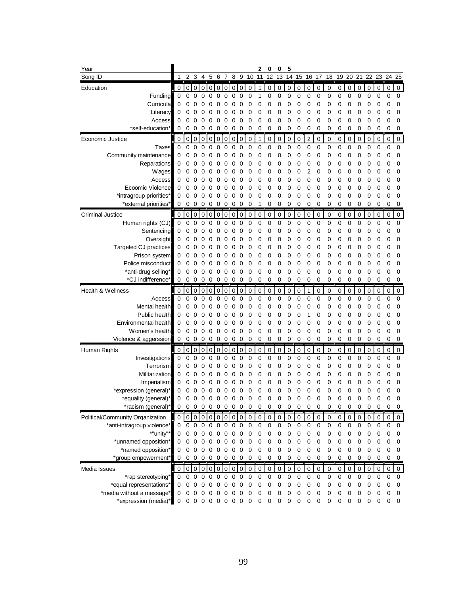| Year                                              |                |             |                                  |                |                   |                |                     |                     |                         |             | 2           | 0              | 0              | 5           |                          |             |             |                  |                        |                |                |                        |                   |             |                  |
|---------------------------------------------------|----------------|-------------|----------------------------------|----------------|-------------------|----------------|---------------------|---------------------|-------------------------|-------------|-------------|----------------|----------------|-------------|--------------------------|-------------|-------------|------------------|------------------------|----------------|----------------|------------------------|-------------------|-------------|------------------|
| Song ID                                           | 1              | 2           | 3                                | 4              | 5                 | 6              | 7                   | 8                   | - 9                     | 10 11       |             | 12             | 13             |             | 14 15 16                 |             | -17         | 18               |                        |                |                |                        | 19 20 21 22 23 24 |             | 25               |
| Education                                         | $\mathbf 0$    | 0           | 0                                | $\mathbf 0$    | 0                 | 0              | 0                   | 0                   | $\mathbf 0$             | $\mathbf 0$ | 1           | 0              | $\mathbf 0$    | 0           | 0                        | 0           | 0           | 0                | 0                      | 0              | 0              | 0                      | 0                 | 0           | 0                |
| Funding                                           | 0              | 0           | 0                                | 0              | 0                 | 0              | 0                   | 0                   | 0                       | 0           | 1           | 0              | 0              | 0           | 0                        | 0           | 0           | 0                | 0                      | 0              | 0              | 0                      | 0                 | 0           | 0                |
| Curricula                                         | 0              | 0           | 0                                | 0              | 0                 | 0              | 0                   | 0                   | 0                       | 0           | 0           | 0              | 0              | 0           | 0                        | 0           | 0           | 0                | 0                      | 0              | 0              | 0                      | 0                 | 0           | 0                |
| Literacy                                          | 0              | 0           | 0                                | 0              | 0                 | 0              | 0                   | 0                   | 0                       | 0           | 0           | 0              | 0              | 0           | 0                        | 0           | 0           | 0                | 0                      | 0              | 0              | 0                      | 0                 | 0           | 0                |
| Access                                            | 0              | 0           | 0                                | 0              | 0                 | 0              | 0                   | 0                   | 0                       | 0           | 0           | 0              | 0              | 0           | 0                        | 0           | 0           | 0                | 0                      | 0              | 0              | 0                      | 0                 | 0           | 0                |
| *self-education*                                  | 0              | 0           | 0                                | 0              | 0                 | 0              | 0                   | 0                   | 0                       | 0           | 0           | 0              | 0              | 0           | 0                        | 0           | 0           | 0                | 0                      | 0              | 0              | 0                      | 0                 | 0           | 0                |
| Economic Justice                                  | 0              | 0           | 0                                | 0              | 0                 | 0              | 0                   | 0                   | 0                       | 0           | 1           | 0              | 0              | 0           | 0                        | 2           | 0           | 0                | 0                      | $\pmb{0}$      | 0              | $\mathbf 0$            | 0                 | 0           | 0                |
| Taxes                                             | 0              | 0           | 0                                | 0              | 0                 | 0              | 0                   | 0                   | 0                       | 0           | 0           | 0              | 0              | $\mathbf 0$ | 0                        | 0           | 0           | 0                | 0                      | 0              | 0              | 0                      | 0                 | 0           | 0                |
| Community maintenance                             | 0              | 0           | 0                                | 0              | 0                 | 0              | 0                   | 0                   | 0                       | 0           | 0           | 0              | 0              | 0           | 0                        | 0           | 0           | 0                | 0                      | 0              | 0              | 0                      | 0                 | 0           | 0                |
| Reparations                                       | 0              | 0           | 0                                | 0              | 0                 | 0              | 0                   | 0                   | 0                       | 0           | 0           | 0              | 0              | 0           | 0                        | 0           | 0           | 0                | 0                      | 0              | 0              | 0                      | 0                 | 0           | 0                |
| Wages<br>Access                                   | 0<br>0         | 0<br>0      | 0<br>0                           | 0<br>0         | 0<br>0            | 0<br>0         | 0<br>0              | 0<br>0              | U<br>0                  | 0<br>0      | 0<br>0      | 0<br>0         | 0<br>0         | 0<br>0      | 0<br>0                   | 2<br>0      | 0<br>0      | 0<br>0           | 0<br>0                 | 0<br>0         | 0<br>0         | 0<br>0                 | 0<br>0            | 0<br>0      | 0<br>0           |
| Ecoomic Violence                                  | 0              | 0           | 0                                | 0              | 0                 | 0              | 0                   | 0                   | 0                       | 0           | 0           | 0              | 0              | 0           | 0                        | 0           | 0           | 0                | 0                      | 0              | 0              | 0                      | 0                 | 0           | 0                |
| *intragroup priorities*                           | 0              | 0           | 0                                | 0              | 0                 | 0              | 0                   | 0                   | 0                       | 0           | 0           | 0              | 0              | 0           | 0                        | 0           | 0           | 0                | 0                      | 0              | 0              | 0                      | 0                 | 0           | 0                |
| *external priorities*                             | 0              | 0           | 0                                | 0              | 0                 | 0              | 0                   | 0                   | 0                       | 0           | 1           | 0              | 0              | 0           | 0                        | 0           | 0           | 0                | 0                      | 0              | 0              | 0                      | 0                 | 0           | 0                |
| <b>Criminal Justice</b>                           | $\mathbf 0$    | 0           | 0                                | $\mathbf 0$    | 0                 | 0              | 0                   | 0                   | 0                       | 0           | 0           | 0              | 0              | 0           | 0                        | 0           | 0           | 0                | 0                      | 0              | $\pmb{0}$      | 0                      | 0                 | 0           | 0                |
| Human rights (CJ)                                 | $\mathbf 0$    | 0           | $\mathbf 0$                      | 0              | 0                 | 0              | 0                   | 0                   | 0                       | 0           | 0           | 0              | 0              | 0           | 0                        | 0           | 0           | 0                | 0                      | 0              | 0              | 0                      | 0                 | 0           | 0                |
| Sentencing                                        | 0              | 0           | 0                                | 0              | 0                 | 0              | 0                   | 0                   | 0                       | 0           | 0           | 0              | 0              | 0           | 0                        | 0           | 0           | 0                | 0                      | 0              | 0              | 0                      | 0                 | 0           | 0                |
| Oversight                                         | 0              | 0           | 0                                | 0              | O                 | 0              | 0                   | 0                   | 0                       | 0           | 0           | 0              | 0              | 0           | 0                        | 0           | 0           | 0                | 0                      | 0              | 0              | 0                      | 0                 | 0           | 0                |
| <b>Targeted CJ practices</b>                      | 0              | 0           | 0                                | 0              | 0                 | 0              | 0                   | 0                   | 0                       | 0           | 0           | 0              | 0              | 0           | 0                        | 0           | 0           | 0                | 0                      | 0              | 0              | 0                      | 0                 | 0           | 0                |
| Prison system                                     | 0              | 0           | 0                                | 0              | 0                 | 0              | 0                   | 0                   | 0                       | 0           | 0           | 0              | 0              | 0           | 0                        | 0           | 0           | 0                | 0                      | 0              | 0              | 0                      | 0                 | 0           | 0                |
| Police misconduct                                 | 0              | 0           | 0                                | 0              | 0                 | 0              | 0                   | 0                   | 0                       | 0           | 0           | 0              | 0              | 0           | 0                        | 0           | 0           | 0                | 0                      | 0              | 0              | 0                      | 0                 | 0           | 0                |
| *anti-drug selling*                               | 0              | 0           | 0                                | 0              | 0                 | 0              | 0                   | 0                   | 0                       | 0           | 0           | 0              | 0              | 0           | 0                        | 0           | 0           | 0                | 0                      | 0              | 0              | 0                      | 0                 | 0           | 0                |
| *CJ indifference*                                 | 0              | 0           | 0                                | 0              | 0                 | 0              | 0                   | 0                   | 0                       | 0           | 0           | 0              | 0              | 0           | 0                        | 0           | 0           | 0                | 0                      | 0              | 0              | 0                      | 0                 | 0           | 0                |
|                                                   |                |             |                                  |                |                   |                |                     |                     |                         |             |             |                |                |             |                          |             |             |                  |                        |                |                |                        |                   |             |                  |
| Health & Wellness                                 | 0              | 0           | 0                                | 0              | 0                 | 0              | 0                   | 0                   | 0                       | 0           | 0           | 0              | 0              | 0           | 0                        | 1           | 0           | 0                | 0                      | 0              | 0              | 0                      | 0                 | 0           | $\pmb{0}$        |
| Access                                            | 0              | 0           | 0                                | 0              | $\mathbf 0$       | $\mathbf 0$    | 0                   | 0                   | 0                       | 0           | 0           | 0              | 0              | $\mathbf 0$ | $\mathbf 0$              | 0           | 0           | 0                | 0                      | 0              | 0              | $\mathbf 0$            | 0                 | 0           | 0                |
| Mental health                                     | 0              | 0           | 0                                | 0              | 0                 | 0              | 0                   | 0                   | 0                       | 0           | 0           | 0              | 0              | 0           | 0                        | 0           | 0           | 0                | 0                      | 0              | 0              | 0                      | 0                 | 0           | 0                |
| Public health                                     | 0              | 0           | 0                                | 0              | 0                 | 0              | 0                   | 0                   | 0                       | 0           | 0           | 0              | 0              | 0           | 0                        | 1           | 0           | 0                | 0                      | 0              | 0              | 0                      | 0                 | 0           | 0                |
| Environmental health                              | 0              | 0           | 0                                | 0              | 0                 | 0              | 0                   | 0                   | 0                       | 0           | 0           | 0              | 0              | 0           | 0                        | 0           | 0           | 0                | 0                      | 0              | 0              | 0                      | 0                 | 0           | 0                |
| Women's health                                    | 0              | 0           | 0                                | 0              | 0                 | 0              | 0                   | 0                   | U                       | 0           | 0           | 0              | 0              | 0           | 0                        | 0           | 0           | 0                | 0                      | 0              | 0              | 0                      | 0                 | 0           | 0                |
| Violence & aggerssion                             | 0              | 0           | 0                                | 0              | 0                 | 0              | 0                   | 0                   | 0                       | 0           | 0           | 0              | 0              | 0           | 0                        | 0           | 0           | 0                | 0                      | 0              | 0              | 0                      | 0                 | 0           | 0                |
| Human Rights                                      | $\overline{0}$ | 0           | 0                                | 0              | 0                 | 0              | 0                   | 0                   | 0                       | 0           | 0           | 0              | 0              | 0           | 0                        | 0           | 0           | 0                | 0                      | 0              | 0              | 0                      | 0                 | 0           | 0                |
| Investigations                                    | 0              | 0           | 0                                | 0              | 0                 | 0              | 0                   | 0                   | 0                       | 0           | 0           | 0              | 0              | 0           | 0                        | 0           | 0           | 0                | 0                      | 0              | 0              | 0                      | 0                 | 0           | 0                |
| Terrorism                                         | 0              | 0           | 0                                | 0              | 0                 | 0              | 0                   | 0                   | 0                       | 0           | 0           | 0              | 0              | 0           | 0                        | 0           | 0           | 0                | 0                      | 0              | 0              | 0                      | 0                 | 0           | 0                |
| Militarization                                    | 0<br>0         | 0<br>0      | 0<br>0                           | 0<br>0         | O<br>0            | 0<br>0         | O<br>0              | 0                   | U<br>0                  | 0<br>0      | 0<br>0      | 0<br>0         | 0<br>0         | 0<br>0      | 0<br>0                   | 0<br>0      | 0<br>0      | 0<br>0           | 0<br>0                 | 0<br>0         | 0<br>0         | 0<br>0                 | 0<br>0            | 0<br>0      | 0<br>0           |
| Imperialism<br>*expression (general)*             | 0              | 0           | 0                                | 0              | 0                 | 0              | 0                   | 0                   | 0                       | 0           | 0           | 0              | 0              | 0           | 0                        | 0           | 0           | 0                | 0                      | 0              | 0              | 0                      | 0                 | 0           | 0                |
|                                                   | 0              | $\pmb{0}$   | $\Omega$                         |                | $0\quad 0\quad 0$ |                | $\Omega$            | $\Omega$            | ∩                       | ∩           | 0           | U              | $\Omega$       | ∩           | $\Omega$                 | U           | 0           | 0                | U                      | $\Omega$       | U              | 0                      | U                 | U           |                  |
| *equality (general)*<br>*racism (general)*        | 0              |             | 000000000                        |                |                   |                |                     |                     |                         | $\mathbf 0$ | 0           | 0              | 0              | 0           | $\pmb{0}$                | 0           | 0           | 0                | 0                      | 0              | 0              | $\pmb{0}$              | 0                 | 0           | 0                |
| Political/Community Organization                  | $\overline{0}$ |             |                                  |                | $\mathbf 0$       | $\mathbf 0$    |                     |                     |                         | $\pmb{0}$   | $\mathbf 0$ | $\pmb{0}$      |                | $\pmb{0}$   |                          |             | $\pmb{0}$   | $\boldsymbol{0}$ |                        |                |                |                        | 0                 | $\mathbf 0$ | 0                |
| *anti-intragroup violence*                        | 0              |             | 0 <sub>0</sub><br>0 <sub>0</sub> | $\mathbf 0$    | $0\quad 0$        | 0              | $\overline{0}$<br>0 | 0 <sub>0</sub><br>0 | $\mathbf 0$             | $\mathbf 0$ | $\mathbf 0$ | 0              | $\pmb{0}$<br>0 | 0           | $\pmb{0}$<br>$\mathbf 0$ | 0<br>0      | 0           | 0                | $\pmb{0}$<br>$\pmb{0}$ | $\pmb{0}$<br>0 | $\pmb{0}$<br>0 | $\pmb{0}$<br>$\pmb{0}$ | 0                 | 0           | 0                |
| *"unity"*                                         | 0              | 0           | $\pmb{0}$                        |                | $0\quad 0\quad 0$ |                | $\overline{0}$      | $\mathbf 0$         | $\overline{\mathbf{0}}$ | 0           | 0           | 0              | $\pmb{0}$      | 0           | 0                        | 0           | 0           | 0                | 0                      | 0              | 0              | $\mathbf 0$            | $\pmb{0}$         | 0           | 0                |
| *unnamed opposition*                              | 0              | 0           | 0                                | 0              | $0\quad 0$        |                | $\overline{0}$      | 0                   | 0                       | 0           | 0           | 0              | 0              | 0           | 0                        | 0           | 0           | 0                | 0                      | 0              | 0              | 0                      | 0                 | 0           | 0                |
| *named opposition*                                | 0              | $\mathbf 0$ | $\mathbf 0$                      | $\pmb{0}$      | $\mathbf 0$       | $\mathbf 0$    | $\mathbf 0$         | $\mathbf 0$         | 0                       | $\mathbf 0$ | 0           | 0              | $\mathbf 0$    | 0           | 0                        | 0           | 0           | 0                | 0                      | 0              | 0              | 0                      | $\mathbf 0$       | 0           | 0                |
| *group empowerment*                               | 0              |             | 0 0 0 0 0 0                      |                |                   |                |                     | 0 <sub>0</sub>      |                         | 0           | 0           | 0              | 0              | 0           | 0                        | 0           | 0           | 0                | 0                      | 0              | 0              | 0                      | 0                 | 0           | 0                |
| Media Issues                                      | $\mathbf 0$    |             | 0 <sub>0</sub>                   | 0 <sub>0</sub> |                   | $\overline{0}$ |                     | 0 0 0               |                         | $\pmb{0}$   | $\pmb{0}$   | $\pmb{0}$      | $\pmb{0}$      | $\mathbf 0$ | $\pmb{0}$                | $\mathsf 0$ | $\mathbf 0$ | 0                | $\pmb{0}$              | $\pmb{0}$      | $\mathbf 0$    | $\pmb{0}$              | $\pmb{0}$         | $\pmb{0}$   | $\mathbf 0$      |
| *rap stereotyping*                                | $\overline{0}$ | 0           | $\mathbf 0$                      | $0\quad 0$     |                   | 0              | 0                   | 0                   | $\mathbf 0$             | $\mathbf 0$ | 0           | 0              | 0              | 0           | 0                        | 0           | 0           | 0                | $\pmb{0}$              | 0              | 0              | 0                      | 0                 | 0           | 0                |
| *equal representations*                           | 0              | 0           | 0                                |                | $0\quad 0$        | $\overline{0}$ | $\mathbf 0$         | 0                   | $\overline{\mathbf{0}}$ | 0           | 0           | $\pmb{0}$      | $\pmb{0}$      | 0           | 0                        | 0           | 0           | 0                | 0                      | 0              | 0              | $\mathbf 0$            | $\pmb{0}$         | 0           | 0                |
| *media without a message*<br>*expression (media)* | 0<br>0         | 0           | $\pmb{0}$<br>0 0 0 0 0 0         | $\pmb{0}$      | $\overline{0}$    | $\overline{0}$ | 0                   | 0<br>$\mathbf 0$    | 0<br>0                  | 0<br>0      | 0<br>0      | $\pmb{0}$<br>0 | 0<br>$\pmb{0}$ | 0<br>0      | 0<br>0                   | 0<br>0      | 0<br>0      | 0<br>0           | 0<br>0                 | 0<br>0         | 0<br>$\pmb{0}$ | $\mathbf 0$<br>0       | 0<br>0            | 0<br>0      | 0<br>$\mathbf 0$ |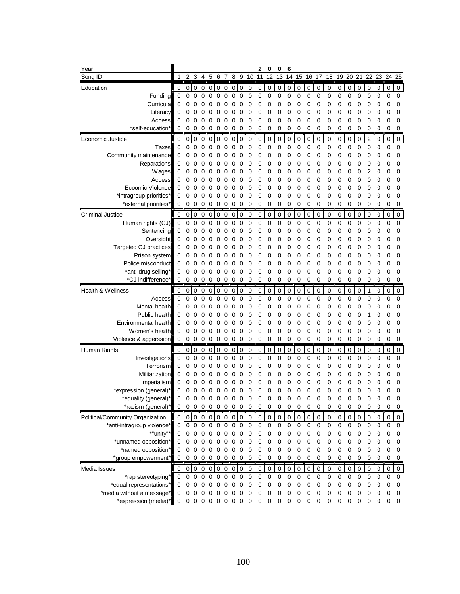| Year                                              |                          |             |                |                            |                   |                  |                |                     |                         |             | 2           | 0              | 0              | 6                |                  |             |             |                  |           |                  |                |                  |                   |                |                  |
|---------------------------------------------------|--------------------------|-------------|----------------|----------------------------|-------------------|------------------|----------------|---------------------|-------------------------|-------------|-------------|----------------|----------------|------------------|------------------|-------------|-------------|------------------|-----------|------------------|----------------|------------------|-------------------|----------------|------------------|
| Song ID                                           | 1                        | 2           | 3              | 4                          | 5                 | 6                | 7              | 8                   | - 9                     | 10          | 11          | 12             | 13             |                  | 14 15 16         |             | -17         | 18               |           |                  |                |                  | 19 20 21 22 23 24 |                | 25               |
| Education                                         | $\mathbf 0$              | 0           | 0              | $\mathbf 0$                | 0                 | 0                | 0              | 0                   | $\mathbf 0$             | $\mathbf 0$ | 0           | 0              | $\mathbf 0$    | 0                | 0                | 0           | 0           | 0                | 0         | 0                | 0              | 0                | 0                 | 0              | 0                |
| Funding                                           | 0                        | 0           | 0              | 0                          | 0                 | 0                | 0              | 0                   | 0                       | 0           | 0           | 0              | 0              | 0                | 0                | 0           | 0           | 0                | 0         | 0                | 0              | 0                | 0                 | 0              | 0                |
| Curricula                                         | 0                        | 0           | 0              | 0                          | 0                 | 0                | 0              | 0                   | 0                       | 0           | 0           | 0              | 0              | 0                | 0                | 0           | 0           | 0                | 0         | 0                | 0              | 0                | 0                 | 0              | 0                |
| Literacy                                          | 0                        | 0           | 0              | 0                          | 0                 | 0                | 0              | 0                   | 0                       | 0           | 0           | 0              | 0              | 0                | 0                | 0           | 0           | 0                | 0         | 0                | 0              | 0                | 0                 | 0              | 0                |
| Access                                            | 0                        | 0           | 0              | 0                          | 0                 | 0                | 0              | 0                   | 0                       | 0           | 0           | 0              | 0              | 0                | 0                | 0           | 0           | 0                | 0         | 0                | 0              | 0                | 0                 | 0              | 0                |
| *self-education*                                  | 0                        | 0           | 0              | 0                          | 0                 | 0                | 0              | 0                   | 0                       | 0           | 0           | 0              | 0              | 0                | 0                | 0           | 0           | 0                | 0         | 0                | 0              | 0                | 0                 | 0              | 0                |
| Economic Justice                                  | 0                        | 0           | 0              | 0                          | 0                 | 0                | 0              | 0                   | 0                       | 0           | 0           | 0              | 0              | 0                | 0                | 0           | 0           | 0                | 0         | 0                | 0              | $\overline{2}$   | 0                 | 0              | 0                |
| Taxes                                             | 0                        | 0           | 0              | 0                          | 0                 | 0                | 0              | 0                   | 0                       | 0           | 0           | 0              | 0              | $\mathbf 0$      | 0                | 0           | 0           | 0                | 0         | 0                | 0              | 0                | 0                 | 0              | 0                |
| Community maintenance                             | 0                        | 0           | 0              | 0                          | 0                 | 0                | 0              | 0                   | 0                       | 0           | 0           | 0              | 0              | 0                | 0                | 0           | 0           | 0                | 0         | 0                | 0              | 0                | 0                 | 0              | 0                |
| Reparations                                       | 0                        | 0           | 0              | 0                          | 0                 | 0                | 0              | 0                   | 0                       | 0           | 0           | 0              | 0              | 0                | 0                | 0           | 0           | 0                | 0         | 0                | 0              | 0                | 0                 | 0              | 0                |
| Wages                                             | 0                        | 0           | 0              | 0                          | 0                 | 0                | 0              | 0                   | U                       | 0           | 0           | 0              | 0              | 0                | 0                | 0           | 0           | 0                | 0         | 0                | 0              | 2                | 0                 | 0              | 0                |
| Access                                            | 0                        | 0           | 0              | 0                          | 0                 | 0                | 0              | 0                   | 0                       | 0           | 0           | 0              | 0              | 0                | 0                | 0           | 0           | 0                | 0         | 0                | 0              | 0                | 0                 | 0              | 0                |
| Ecoomic Violence                                  | 0                        | 0           | 0              | 0                          | 0                 | 0                | 0              | 0                   | 0                       | 0           | 0           | 0              | 0              | 0                | 0                | 0           | 0           | 0                | 0         | 0                | 0              | 0                | 0                 | 0              | 0                |
| *intragroup priorities*                           | 0                        | 0<br>0      | 0              | 0<br>0                     | 0                 | 0<br>0           | 0              | 0                   | 0                       | 0<br>0      | 0<br>0      | 0              | 0<br>0         | 0                | 0<br>0           | 0           | 0<br>0      | 0<br>0           | 0<br>0    | 0<br>0           | 0              | 0                | 0                 | 0<br>0         | 0<br>0           |
| *external priorities*                             | 0                        |             | 0              |                            | 0                 |                  | 0              | 0                   | 0                       |             |             | 0              |                | 0                |                  | 0           |             |                  |           |                  | 0              | 0                | 0                 |                |                  |
| <b>Criminal Justice</b>                           | $\mathbf 0$              | 0           | 0              | $\mathbf 0$                | 0                 | 0                | 0              | 0                   | 0                       | 0           | 0           | 0              | 0              | 0                | 0                | 0           | 0           | 0                | 0         | 0                | $\pmb{0}$      | 0                | 0                 | 0              | 0                |
| Human rights (CJ)                                 | $\mathbf 0$              | 0           | $\mathbf 0$    | 0                          | 0                 | 0                | 0              | 0                   | 0                       | 0           | 0           | 0              | 0              | 0                | 0                | 0           | 0           | 0                | 0         | 0                | 0              | 0                | 0                 | 0              | 0                |
| Sentencing                                        | 0                        | 0           | 0              | 0                          | 0                 | 0                | 0              | 0                   | 0                       | 0           | 0           | 0              | 0              | 0                | 0                | 0           | 0           | 0                | 0         | 0                | 0              | 0                | 0                 | 0              | 0                |
| Oversight                                         | 0<br>0                   | 0<br>0      | 0              | 0                          | O<br>0            | 0                | 0<br>0         | 0                   | 0<br>0                  | 0<br>0      | 0<br>0      | 0<br>0         | 0<br>0         | 0<br>0           | 0<br>0           | 0<br>0      | 0<br>0      | 0<br>0           | 0         | 0<br>0           | 0              | 0                | 0<br>0            | 0<br>0         | 0<br>0           |
| <b>Targeted CJ practices</b><br>Prison system     | 0                        | 0           | 0<br>0         | 0<br>0                     | 0                 | 0<br>0           | 0              | 0<br>0              | 0                       | 0           | 0           | 0              | 0              | 0                | 0                | 0           | 0           | 0                | 0<br>0    | 0                | 0<br>0         | 0<br>0           | 0                 | 0              | 0                |
| Police misconduct                                 | 0                        | 0           | 0              | 0                          | 0                 | 0                | 0              | 0                   | 0                       | 0           | 0           | 0              | 0              | 0                | 0                | 0           | 0           | 0                | 0         | 0                | 0              | 0                | 0                 | 0              | 0                |
| *anti-drug selling*                               | 0                        | 0           | 0              | 0                          | 0                 | 0                | 0              | 0                   | 0                       | 0           | 0           | 0              | 0              | 0                | 0                | 0           | 0           | 0                | 0         | 0                | 0              | 0                | 0                 | 0              | 0                |
| *CJ indifference*                                 | 0                        | 0           | 0              | 0                          | 0                 | 0                | 0              | 0                   | 0                       | 0           | 0           | 0              | 0              | 0                | 0                | 0           | 0           | 0                | 0         | 0                | 0              | 0                | 0                 | 0              | 0                |
|                                                   |                          |             |                |                            |                   |                  |                |                     |                         |             |             |                |                |                  |                  |             |             |                  |           |                  |                |                  |                   |                |                  |
|                                                   |                          |             |                |                            |                   |                  |                |                     |                         |             |             |                |                |                  |                  |             |             |                  |           |                  |                |                  |                   |                |                  |
| Health & Wellness<br>Access                       | 0<br>0                   | 0<br>0      | 0<br>0         | 0<br>0                     | 0<br>$\mathbf 0$  | 0<br>$\mathbf 0$ | 0<br>0         | 0<br>0              | 0<br>0                  | 0<br>0      | 0<br>0      | 0<br>0         | 0<br>0         | 0<br>$\mathbf 0$ | 0<br>$\mathbf 0$ | 0<br>0      | 0<br>0      | 0<br>0           | 0<br>0    | $\mathsf 0$<br>0 | 0<br>0         | 1<br>0           | 0<br>0            | 0<br>0         | $\pmb{0}$<br>0   |
| Mental health                                     | 0                        | 0           | 0              | 0                          | 0                 | 0                | 0              | 0                   | 0                       | 0           | 0           | 0              | 0              | 0                | 0                | 0           | 0           | 0                | 0         | 0                | 0              | 0                | 0                 | 0              | 0                |
| Public health                                     | 0                        | 0           | 0              | 0                          | 0                 | 0                | 0              | 0                   | 0                       | 0           | 0           | 0              | 0              | 0                | 0                | 0           | 0           | 0                | 0         | 0                | 0              | 1                | 0                 | 0              | 0                |
| Environmental health                              | 0                        | 0           | 0              | 0                          | 0                 | 0                | 0              | 0                   | 0                       | 0           | 0           | 0              | 0              | 0                | 0                | 0           | 0           | 0                | 0         | 0                | 0              | 0                | 0                 | 0              | 0                |
| Women's health                                    | 0                        | 0           | 0              | 0                          | 0                 | 0                | 0              | 0                   | U                       | 0           | 0           | 0              | 0              | 0                | 0                | 0           | 0           | 0                | 0         | 0                | 0              | 0                | 0                 | 0              | 0                |
| Violence & aggerssion                             | 0                        | 0           | 0              | 0                          | 0                 | 0                | 0              | 0                   | 0                       | 0           | 0           | 0              | 0              | 0                | 0                | 0           | 0           | 0                | 0         | 0                | 0              | 0                | 0                 | 0              | 0                |
| Human Rights                                      | $\overline{0}$           | 0           | 0              | 0                          | 0                 | 0                | 0              | 0                   | 0                       | 0           | 0           | 0              | 0              | 0                | 0                | 0           | 0           | 0                | 0         | 0                | 0              | 0                | 0                 | 0              | 0                |
| Investigations                                    | 0                        | 0           | 0              | 0                          | 0                 | 0                | 0              | 0                   | 0                       | 0           | 0           | 0              | 0              | 0                | 0                | 0           | 0           | 0                | 0         | 0                | 0              | 0                | 0                 | 0              | 0                |
| Terrorism                                         | 0                        | 0           | 0              | 0                          | 0                 | 0                | 0              | 0                   | 0                       | 0           | 0           | 0              | 0              | 0                | 0                | 0           | 0           | 0                | 0         | 0                | 0              | 0                | 0                 | 0              | 0                |
| Militarization                                    | 0                        | 0           | 0              | 0                          | O                 | 0                | O              | 0                   | U                       | 0           | 0           | 0              | 0              | 0                | 0                | 0           | 0           | 0                | 0         | 0                | 0              | 0                | 0                 | 0              | 0                |
| Imperialism                                       | 0                        | 0           | 0              | 0                          | 0                 | 0                | 0              |                     | 0                       | 0           | 0           | 0              | 0              | 0                | 0                | 0           | 0           | 0                | 0         | 0                | 0              | 0                | 0                 | 0              | 0                |
| *expression (general)*                            | 0                        | 0           | 0              | 0                          | 0                 | 0                | 0              | 0                   | 0                       | 0           | 0           | 0              | 0              | 0                | 0                | 0           | 0           | 0                | 0         | 0                | 0              | 0                | 0                 | 0              | 0                |
| *equality (general)*                              | 0                        | $\pmb{0}$   | $\Omega$       |                            | $0\quad 0\quad 0$ |                  | $\Omega$       | $\Omega$            | ∩                       | ∩           | $\Omega$    | U              | $\Omega$       | ∩                | $\Omega$         | U           | 0           | 0                | U         | $\Omega$         | U              | 0                | U                 | U              |                  |
| *racism (general)*                                | 0                        |             |                |                            |                   |                  |                | 000000000           |                         | $\mathbf 0$ | 0           | 0              | 0              | 0                | $\pmb{0}$        | 0           | 0           | 0                | 0         | 0                | 0              | $\pmb{0}$        | 0                 | 0              | 0                |
| Political/Community Organization                  | $\overline{\phantom{0}}$ |             | 0 <sub>0</sub> | $\mathbf 0$                | $\mathbf 0$       | $\mathbf 0$      | $\overline{0}$ | $\overline{0}$      | $\mathbf 0$             | $\pmb{0}$   | $\mathbf 0$ | $\pmb{0}$      | $\pmb{0}$      | $\pmb{0}$        | $\pmb{0}$        | 0           | $\pmb{0}$   | $\boldsymbol{0}$ | $\pmb{0}$ | $\pmb{0}$        | $\pmb{0}$      | $\pmb{0}$        | 0                 | 0              | 0                |
| *anti-intragroup violence*                        | 0                        |             | 0 <sub>0</sub> | 0 <sub>0</sub>             |                   | 0                | 0              | 0                   | $\mathbf 0$             | $\mathbf 0$ | 0           | 0              | 0              | 0                | $\mathbf 0$      | 0           | 0           | 0                | $\pmb{0}$ | 0                | 0              | $\pmb{0}$        | 0                 | 0              | 0                |
| *"unity"*                                         | 0                        | 0           | $\mathbf 0$    |                            | $0\quad 0\quad 0$ |                  | $\overline{0}$ | $\pmb{0}$           | $\overline{\mathbf{0}}$ | 0           | 0           | 0              | $\pmb{0}$      | 0                | 0                | 0           | 0           | 0                | 0         | 0                | 0              | 0                | $\pmb{0}$         | 0              | 0                |
| *unnamed opposition*                              | 0                        | 0           | 0              | 0                          | $0\quad 0$        |                  | $\overline{0}$ | 0                   | 0                       | 0           | 0           | 0              | 0              | 0                | 0                | 0           | 0           | 0                | 0         | 0                | 0              | 0                | 0                 | 0              | 0                |
| *named opposition*                                | 0                        | $\mathbf 0$ | $\mathbf 0$    | $\mathbf 0$                | $\mathbf 0$       | $\mathbf 0$      | 0              | 0                   | 0                       | $\mathbf 0$ | 0           | 0              | $\mathbf 0$    | 0                | 0                | 0           | 0           | 0                | 0         | 0                | 0              | 0                | 0                 | 0              | 0                |
| *group empowerment*                               | 0                        |             |                | 000000                     |                   |                  |                | 0 <sub>0</sub>      |                         | 0           | 0           | 0              | 0              | 0                | 0                | 0           | 0           | 0                | 0         | 0                | 0              | 0                | 0                 | 0              | 0                |
| Media Issues                                      | $\mathbf 0$              |             | 0 <sub>0</sub> | 0 <sub>0</sub>             |                   | $\overline{0}$   |                | 0 0 0               |                         | $\pmb{0}$   | $\pmb{0}$   | $\pmb{0}$      | $\pmb{0}$      | $\mathbf 0$      | $\pmb{0}$        | $\mathsf 0$ | $\mathbf 0$ | 0                | $\pmb{0}$ | $\pmb{0}$        | $\mathbf 0$    | $\pmb{0}$        | $\pmb{0}$         | $\pmb{0}$      | $\mathbf 0$      |
| *rap stereotyping*                                | $\overline{0}$           | 0           | $\mathbf 0$    | 0 <sub>0</sub>             |                   | 0                | 0              | 0                   | $\mathbf 0$             | $\mathbf 0$ | 0           | 0              | 0              | 0                | 0                | 0           | 0           | 0                | $\pmb{0}$ | 0                | 0              | 0                | 0                 | 0              | 0                |
| *equal representations*                           | 0                        | 0           | 0              | 0 <sub>0</sub>             |                   | $\overline{0}$   | 0              | 0                   | 0                       | 0           | 0           | $\pmb{0}$      | $\pmb{0}$      | 0                | 0                | 0           | 0           | 0                | 0         | 0                | 0              | $\mathbf 0$      | $\pmb{0}$         | 0              | 0                |
| *media without a message*<br>*expression (media)* | 0<br>0                   | 0           | $\mathbf 0$    | $\mathbf 0$<br>0 0 0 0 0 0 | $\overline{0}$    | $\overline{0}$   | 0              | 0<br>0 <sub>0</sub> | 0                       | 0<br>0      | 0<br>0      | $\pmb{0}$<br>0 | 0<br>$\pmb{0}$ | 0<br>$\pmb{0}$   | 0<br>0           | 0<br>0      | 0<br>0      | 0<br>0           | 0<br>0    | 0<br>0           | 0<br>$\pmb{0}$ | $\mathbf 0$<br>0 | 0<br>0            | 0<br>$\pmb{0}$ | 0<br>$\mathbf 0$ |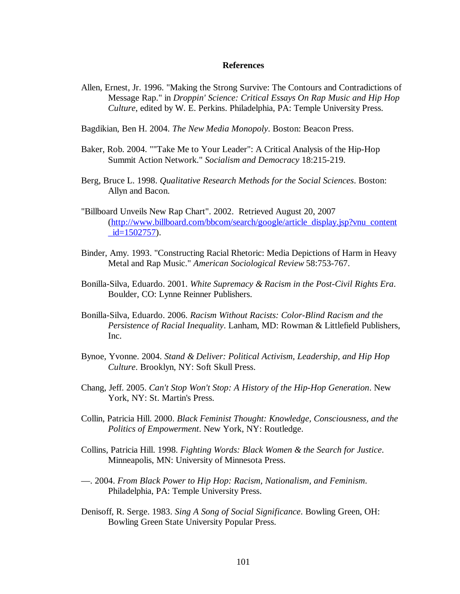#### **References**

Allen, Ernest, Jr. 1996. "Making the Strong Survive: The Contours and Contradictions of Message Rap." in *Droppin' Science: Critical Essays On Rap Music and Hip Hop Culture*, edited by W. E. Perkins. Philadelphia, PA: Temple University Press.

Bagdikian, Ben H. 2004. *The New Media Monopoly*. Boston: Beacon Press.

- Baker, Rob. 2004. ""Take Me to Your Leader": A Critical Analysis of the Hip-Hop Summit Action Network." *Socialism and Democracy* 18:215-219.
- Berg, Bruce L. 1998. *Qualitative Research Methods for the Social Sciences*. Boston: Allyn and Bacon.
- "Billboard Unveils New Rap Chart". 2002. Retrieved August 20, 2007 (http://www.billboard.com/bbcom/search/google/article\_display.jsp?vnu\_content  $id=1502757$ .
- Binder, Amy. 1993. "Constructing Racial Rhetoric: Media Depictions of Harm in Heavy Metal and Rap Music." *American Sociological Review* 58:753-767.
- Bonilla-Silva, Eduardo. 2001. *White Supremacy & Racism in the Post-Civil Rights Era*. Boulder, CO: Lynne Reinner Publishers.
- Bonilla-Silva, Eduardo. 2006. *Racism Without Racists: Color-Blind Racism and the Persistence of Racial Inequality*. Lanham, MD: Rowman & Littlefield Publishers, Inc.
- Bynoe, Yvonne. 2004. *Stand & Deliver: Political Activism, Leadership, and Hip Hop Culture*. Brooklyn, NY: Soft Skull Press.
- Chang, Jeff. 2005. *Can't Stop Won't Stop: A History of the Hip-Hop Generation*. New York, NY: St. Martin's Press.
- Collin, Patricia Hill. 2000. *Black Feminist Thought: Knowledge, Consciousness, and the Politics of Empowerment*. New York, NY: Routledge.
- Collins, Patricia Hill. 1998. *Fighting Words: Black Women & the Search for Justice*. Minneapolis, MN: University of Minnesota Press.
- —. 2004. *From Black Power to Hip Hop: Racism, Nationalism, and Feminism*. Philadelphia, PA: Temple University Press.
- Denisoff, R. Serge. 1983. *Sing A Song of Social Significance*. Bowling Green, OH: Bowling Green State University Popular Press.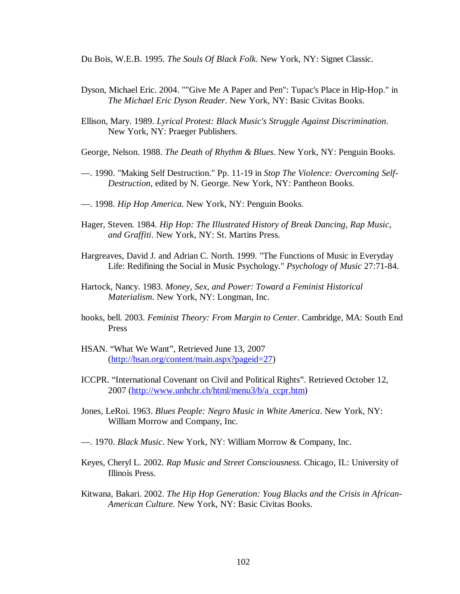Du Bois, W.E.B. 1995. *The Souls Of Black Folk*. New York, NY: Signet Classic.

- Dyson, Michael Eric. 2004. ""Give Me A Paper and Pen": Tupac's Place in Hip-Hop." in *The Michael Eric Dyson Reader*. New York, NY: Basic Civitas Books.
- Ellison, Mary. 1989. *Lyrical Protest: Black Music's Struggle Against Discrimination*. New York, NY: Praeger Publishers.
- George, Nelson. 1988. *The Death of Rhythm & Blues*. New York, NY: Penguin Books.
- —. 1990. "Making Self Destruction." Pp. 11-19 in *Stop The Violence: Overcoming Self-Destruction*, edited by N. George. New York, NY: Pantheon Books.
- —. 1998. *Hip Hop America*. New York, NY: Penguin Books.
- Hager, Steven. 1984. *Hip Hop: The Illustrated History of Break Dancing, Rap Music, and Graffiti*. New York, NY: St. Martins Press.
- Hargreaves, David J. and Adrian C. North. 1999. "The Functions of Music in Everyday Life: Redifining the Social in Music Psychology." *Psychology of Music* 27:71-84.
- Hartock, Nancy. 1983. *Money, Sex, and Power: Toward a Feminist Historical Materialism*. New York, NY: Longman, Inc.
- hooks, bell. 2003. *Feminist Theory: From Margin to Center*. Cambridge, MA: South End Press
- HSAN. "What We Want", Retrieved June 13, 2007 (http://hsan.org/content/main.aspx?pageid=27)
- ICCPR. "International Covenant on Civil and Political Rights". Retrieved October 12, 2007 (http://www.unhchr.ch/html/menu3/b/a\_ccpr.htm)
- Jones, LeRoi. 1963. *Blues People: Negro Music in White America*. New York, NY: William Morrow and Company, Inc.
- —. 1970. *Black Music*. New York, NY: William Morrow & Company, Inc.
- Keyes, Cheryl L. 2002. *Rap Music and Street Consciousness*. Chicago, IL: University of Illinois Press.
- Kitwana, Bakari. 2002. *The Hip Hop Generation: Youg Blacks and the Crisis in African-American Culture*. New York, NY: Basic Civitas Books.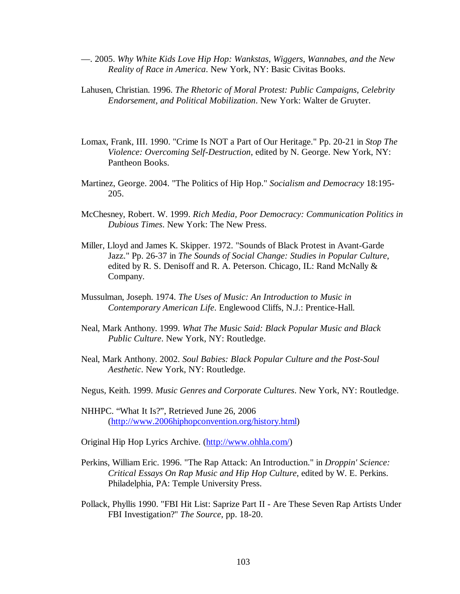- —. 2005. *Why White Kids Love Hip Hop: Wankstas, Wiggers, Wannabes, and the New Reality of Race in America*. New York, NY: Basic Civitas Books.
- Lahusen, Christian. 1996. *The Rhetoric of Moral Protest: Public Campaigns, Celebrity Endorsement, and Political Mobilization*. New York: Walter de Gruyter.
- Lomax, Frank, III. 1990. "Crime Is NOT a Part of Our Heritage." Pp. 20-21 in *Stop The Violence: Overcoming Self-Destruction*, edited by N. George. New York, NY: Pantheon Books.
- Martinez, George. 2004. "The Politics of Hip Hop." *Socialism and Democracy* 18:195- 205.
- McChesney, Robert. W. 1999. *Rich Media, Poor Democracy: Communication Politics in Dubious Times*. New York: The New Press.
- Miller, Lloyd and James K. Skipper. 1972. "Sounds of Black Protest in Avant-Garde Jazz." Pp. 26-37 in *The Sounds of Social Change: Studies in Popular Culture*, edited by R. S. Denisoff and R. A. Peterson. Chicago, IL: Rand McNally & Company.
- Mussulman, Joseph. 1974. *The Uses of Music: An Introduction to Music in Contemporary American Life*. Englewood Cliffs, N.J.: Prentice-Hall.
- Neal, Mark Anthony. 1999. *What The Music Said: Black Popular Music and Black Public Culture*. New York, NY: Routledge.
- Neal, Mark Anthony. 2002. *Soul Babies: Black Popular Culture and the Post-Soul Aesthetic*. New York, NY: Routledge.
- Negus, Keith. 1999. *Music Genres and Corporate Cultures*. New York, NY: Routledge.
- NHHPC. "What It Is?", Retrieved June 26, 2006 (http://www.2006hiphopconvention.org/history.html)
- Original Hip Hop Lyrics Archive. (http://www.ohhla.com/)
- Perkins, William Eric. 1996. "The Rap Attack: An Introduction." in *Droppin' Science: Critical Essays On Rap Music and Hip Hop Culture*, edited by W. E. Perkins. Philadelphia, PA: Temple University Press.
- Pollack, Phyllis 1990. "FBI Hit List: Saprize Part II Are These Seven Rap Artists Under FBI Investigation?" *The Source*, pp. 18-20.